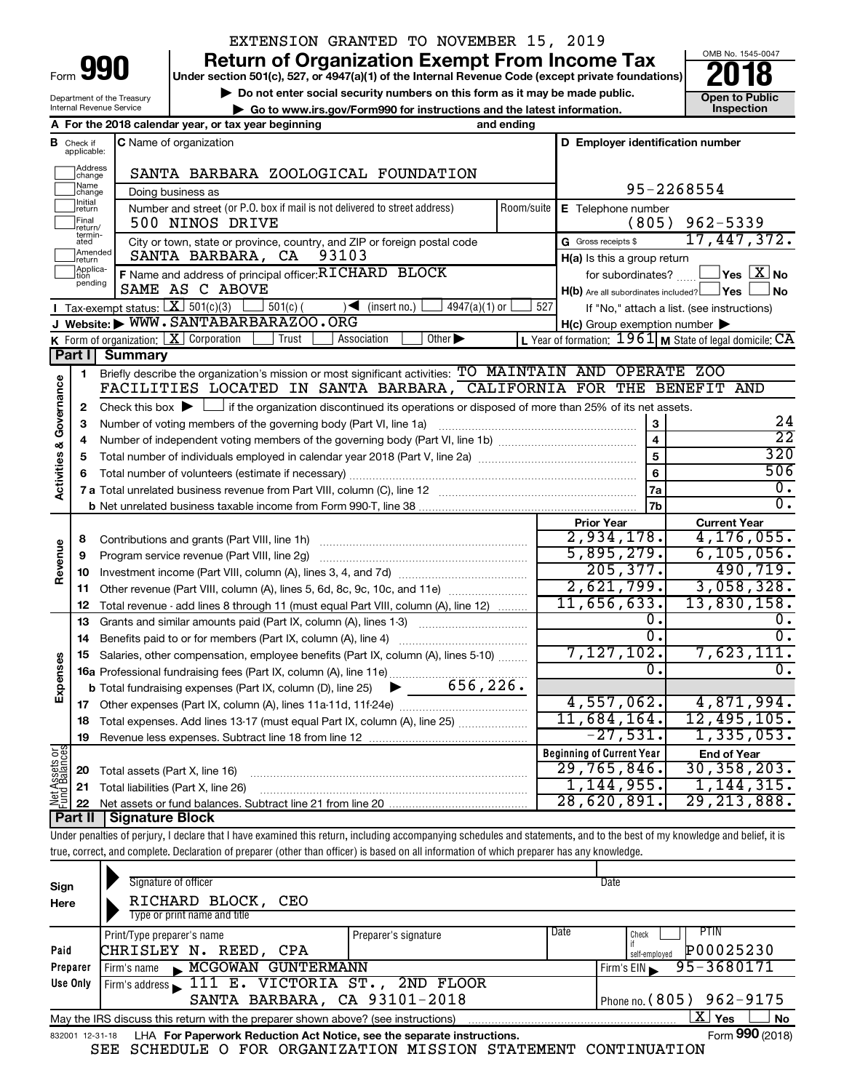Department of the Treasury Internal Revenue Service

## EXTENSION GRANTED TO NOVEMBER 15, 2019

**990** Return of Organization Exempt From Income Tax **Punce 1845-004 Puncer section 501(c), 527, or 4947(a)(1)** of the Internal Revenue Code (except private foundations) **2018** 

**b** Do not enter social security numbers on this form as it may be made public.<br> **Go to www.irs.gov/Form990 for instructions and the latest information. This impection | Go to www.irs.gov/Form990 for instructions and the latest information. Inspection**



|                                |                               | A For the 2018 calendar year, or tax year beginning                                                                                         | and ending                       |                                                         |                                                           |
|--------------------------------|-------------------------------|---------------------------------------------------------------------------------------------------------------------------------------------|----------------------------------|---------------------------------------------------------|-----------------------------------------------------------|
|                                | <b>B</b> Check if applicable: | <b>C</b> Name of organization                                                                                                               | D Employer identification number |                                                         |                                                           |
|                                | Address<br>change             | SANTA BARBARA ZOOLOGICAL FOUNDATION                                                                                                         |                                  |                                                         |                                                           |
|                                | Name<br>change                | Doing business as                                                                                                                           |                                  |                                                         | 95-2268554                                                |
|                                | Initial<br>return             | Number and street (or P.O. box if mail is not delivered to street address)                                                                  | Room/suite                       | E Telephone number                                      |                                                           |
|                                | Final<br>return/              | 500 NINOS DRIVE                                                                                                                             |                                  | (805)                                                   | $962 - 5339$                                              |
|                                | termin-<br>ated               | City or town, state or province, country, and ZIP or foreign postal code                                                                    |                                  | G Gross receipts \$                                     | 17,447,372.                                               |
|                                | Amended<br>return             | 93103<br>SANTA BARBARA, CA                                                                                                                  |                                  | H(a) Is this a group return                             |                                                           |
|                                | Applica-<br>tion<br>pending   | F Name and address of principal officer: RICHARD BLOCK                                                                                      |                                  | for subordinates?                                       | $ {\mathsf Y}$ es $ $ $\overline{{\mathsf X}}$ $ $ No     |
|                                |                               | SAME AS C ABOVE                                                                                                                             |                                  | $H(b)$ Are all subordinates included? $\Box$ Yes $\Box$ | No.                                                       |
|                                |                               | <b>I</b> Tax-exempt status: $X \ 501(c)(3)$<br>$501(c)$ (<br>$\sqrt{\left( \text{insert no.} \right)}$<br>$4947(a)(1)$ or                   | 527                              |                                                         | If "No," attach a list. (see instructions)                |
|                                |                               | J Website: WWW.SANTABARBARAZOO.ORG                                                                                                          |                                  | $H(c)$ Group exemption number $\blacktriangleright$     |                                                           |
|                                |                               | K Form of organization: $X$ Corporation<br>Other $\blacktriangleright$<br>Trust<br>Association                                              |                                  |                                                         | L Year of formation: $1961$ M State of legal domicile: CA |
|                                | Part I                        | <b>Summary</b><br>Briefly describe the organization's mission or most significant activities: TO MAINTAIN AND OPERATE ZOO                   |                                  |                                                         |                                                           |
|                                | 1                             | FACILITIES LOCATED IN SANTA BARBARA, CALIFORNIA FOR THE BENEFIT AND                                                                         |                                  |                                                         |                                                           |
| Governance                     | 2                             | Check this box $\blacktriangleright$ $\Box$ if the organization discontinued its operations or disposed of more than 25% of its net assets. |                                  |                                                         |                                                           |
|                                | з                             | Number of voting members of the governing body (Part VI, line 1a)                                                                           |                                  | 3                                                       | 24                                                        |
|                                | 4                             |                                                                                                                                             |                                  | $\overline{\mathbf{4}}$                                 | $\overline{22}$                                           |
|                                | 5                             |                                                                                                                                             |                                  | $\overline{5}$                                          | 320                                                       |
|                                |                               |                                                                                                                                             |                                  | $\bf 6$                                                 | 506                                                       |
| <b>Activities &amp;</b>        |                               |                                                                                                                                             |                                  | 7a                                                      | О.                                                        |
|                                |                               |                                                                                                                                             |                                  | 7b                                                      | $\overline{0}$ .                                          |
|                                |                               |                                                                                                                                             |                                  | <b>Prior Year</b>                                       | <b>Current Year</b>                                       |
|                                | 8                             | Contributions and grants (Part VIII, line 1h)                                                                                               |                                  | 2,934,178.                                              | 4, 176, 055.                                              |
|                                | 9                             | Program service revenue (Part VIII, line 2g)                                                                                                |                                  | 5,895,279.                                              | 6, 105, 056.                                              |
| Revenue                        | 10                            |                                                                                                                                             |                                  | 205, 377.                                               | 490, 719.                                                 |
|                                | 11                            | Other revenue (Part VIII, column (A), lines 5, 6d, 8c, 9c, 10c, and 11e)                                                                    |                                  | 2,621,799.                                              | 3,058,328.                                                |
|                                | 12                            | Total revenue - add lines 8 through 11 (must equal Part VIII, column (A), line 12)                                                          |                                  | 11,656,633.                                             | 13,830,158.                                               |
|                                | 13                            | Grants and similar amounts paid (Part IX, column (A), lines 1-3)                                                                            |                                  | О.                                                      | Ο.                                                        |
|                                | 14                            | Benefits paid to or for members (Part IX, column (A), line 4)                                                                               |                                  | О.                                                      | О.                                                        |
|                                | 15                            | Salaries, other compensation, employee benefits (Part IX, column (A), lines 5-10)                                                           |                                  | 7,127,102.<br>0.                                        | 7,623,111.<br>Ο.                                          |
| Expenses                       |                               | 16a Professional fundraising fees (Part IX, column (A), line 11e)<br>656, 226.                                                              |                                  |                                                         |                                                           |
|                                |                               | <b>b</b> Total fundraising expenses (Part IX, column (D), line 25)                                                                          |                                  | 4,557,062.                                              | 4,871,994.                                                |
|                                | 17<br>18                      | Total expenses. Add lines 13-17 (must equal Part IX, column (A), line 25)                                                                   |                                  | 11,684,164.                                             | 12,495,105.                                               |
|                                | 19                            |                                                                                                                                             |                                  | $-27,531.$                                              | 1, 335, 053.                                              |
|                                |                               |                                                                                                                                             |                                  | <b>Beginning of Current Year</b>                        | <b>End of Year</b>                                        |
|                                | 20                            | Total assets (Part X, line 16)                                                                                                              |                                  | 29,765,846.                                             | 30, 358, 203.                                             |
|                                | 21                            | Total liabilities (Part X, line 26)                                                                                                         |                                  | 1, 144, 955.                                            | 1,144,315.                                                |
| Net Assets or<br>Fund Balances | 22                            |                                                                                                                                             |                                  | 28,620,891.                                             | 29, 213, 888.                                             |
|                                |                               |                                                                                                                                             |                                  |                                                         |                                                           |

**Part II Signature Block**

Under penalties of perjury, I declare that I have examined this return, including accompanying schedules and statements, and to the best of my knowledge and belief, it is true, correct, and complete. Declaration of preparer (other than officer) is based on all information of which preparer has any knowledge.

| Sign<br>Here | Signature of officer<br>RICHARD BLOCK, CEO<br>Type or print name and title                                                  |                      | Date                     |                                             |  |  |  |  |
|--------------|-----------------------------------------------------------------------------------------------------------------------------|----------------------|--------------------------|---------------------------------------------|--|--|--|--|
| Paid         | Print/Type preparer's name<br>CHRISLEY N. REED, CPA                                                                         | Preparer's signature | Date                     | PTIN<br>Check<br>P00025230<br>self-emploved |  |  |  |  |
| Preparer     | MCGOWAN GUNTERMANN<br>Firm's name<br>$\mathbf{r}$                                                                           |                      |                          | 95-3680171<br>Firm's $EIN$                  |  |  |  |  |
| Use Only     | Firm's address 111 E. VICTORIA ST., 2ND FLOOR                                                                               |                      |                          |                                             |  |  |  |  |
|              | SANTA BARBARA, CA 93101-2018                                                                                                |                      | Phone no. (805) 962-9175 |                                             |  |  |  |  |
|              | x<br><b>No</b><br><b>Yes</b><br>May the IRS discuss this return with the preparer shown above? (see instructions)           |                      |                          |                                             |  |  |  |  |
|              | Form 990 (2018)<br>LHA For Paperwork Reduction Act Notice, see the separate instructions.<br>832001 12-31-18<br>$\sim$ $ -$ |                      |                          |                                             |  |  |  |  |

SEE SCHEDULE O FOR ORGANIZATION MISSION STATEMENT CONTINUATION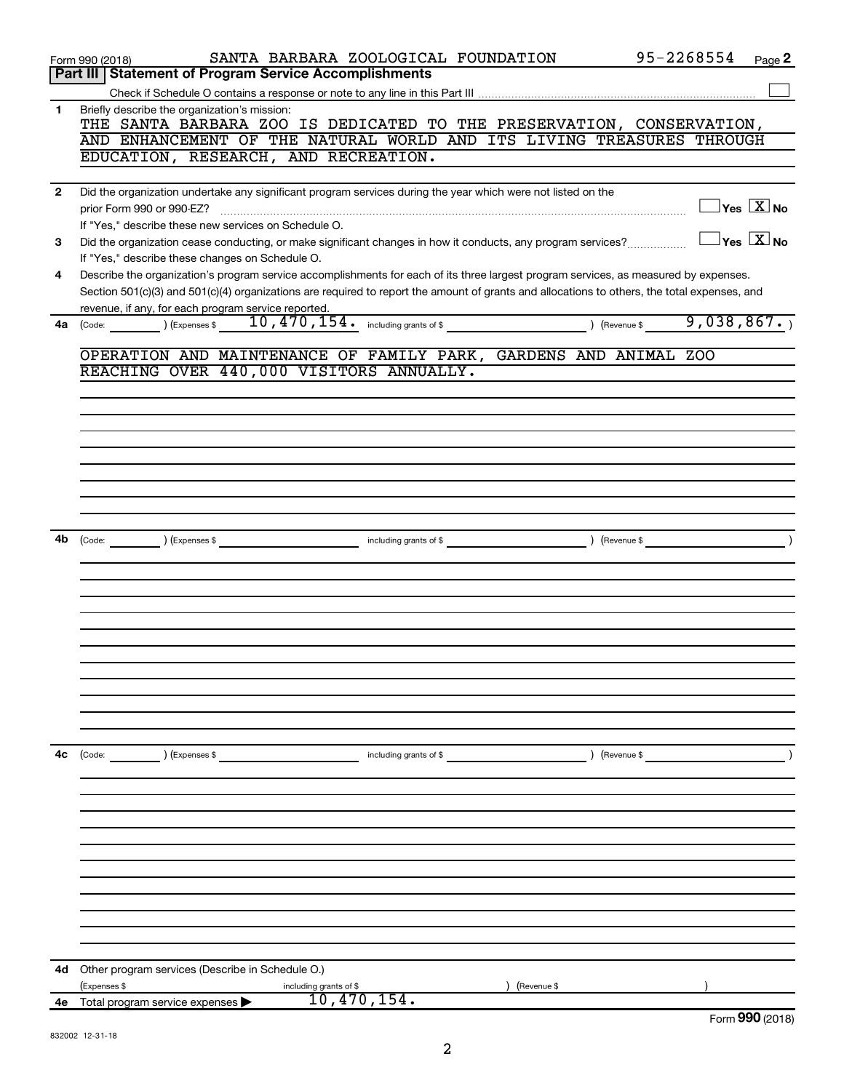|              | SANTA BARBARA ZOOLOGICAL FOUNDATION<br>Form 990 (2018)                                                                                       | 95-2268554<br>Page 2                                               |  |
|--------------|----------------------------------------------------------------------------------------------------------------------------------------------|--------------------------------------------------------------------|--|
|              | Part III   Statement of Program Service Accomplishments                                                                                      |                                                                    |  |
|              |                                                                                                                                              |                                                                    |  |
| 1.           | Briefly describe the organization's mission:                                                                                                 |                                                                    |  |
|              | THE SANTA BARBARA ZOO IS DEDICATED TO THE PRESERVATION, CONSERVATION,                                                                        |                                                                    |  |
|              | AND ENHANCEMENT OF THE NATURAL WORLD AND ITS LIVING TREASURES THROUGH                                                                        |                                                                    |  |
|              | EDUCATION, RESEARCH, AND RECREATION.                                                                                                         |                                                                    |  |
|              |                                                                                                                                              |                                                                    |  |
| $\mathbf{2}$ | Did the organization undertake any significant program services during the year which were not listed on the                                 | $\exists$ Yes $\boxed{\text{X}}$ No                                |  |
|              | prior Form 990 or 990-EZ?                                                                                                                    |                                                                    |  |
|              | If "Yes," describe these new services on Schedule O.                                                                                         | $\sqrt{\mathsf{Yes}\mathord{\;\mathbb{X}}\mathord{\;\mathsf{No}}}$ |  |
| 3            | Did the organization cease conducting, or make significant changes in how it conducts, any program services?                                 |                                                                    |  |
|              | If "Yes," describe these changes on Schedule O.                                                                                              |                                                                    |  |
| 4            | Describe the organization's program service accomplishments for each of its three largest program services, as measured by expenses.         |                                                                    |  |
|              | Section 501(c)(3) and 501(c)(4) organizations are required to report the amount of grants and allocations to others, the total expenses, and |                                                                    |  |
|              | revenue, if any, for each program service reported.                                                                                          | 9,038,867.                                                         |  |
| 4a           | 10,470,154. including grants of \$<br>) (Expenses \$<br>) (Revenue \$<br>(Code:                                                              |                                                                    |  |
|              | OPERATION AND MAINTENANCE OF FAMILY PARK, GARDENS AND ANIMAL ZOO                                                                             |                                                                    |  |
|              | REACHING OVER 440,000 VISITORS ANNUALLY.                                                                                                     |                                                                    |  |
|              |                                                                                                                                              |                                                                    |  |
|              |                                                                                                                                              |                                                                    |  |
|              |                                                                                                                                              |                                                                    |  |
|              |                                                                                                                                              |                                                                    |  |
|              |                                                                                                                                              |                                                                    |  |
|              |                                                                                                                                              |                                                                    |  |
|              |                                                                                                                                              |                                                                    |  |
|              |                                                                                                                                              |                                                                    |  |
|              |                                                                                                                                              |                                                                    |  |
| 4b           | (Expenses \$<br>) (Revenue \$<br>including grants of \$<br>(Code:                                                                            |                                                                    |  |
|              |                                                                                                                                              |                                                                    |  |
|              |                                                                                                                                              |                                                                    |  |
|              |                                                                                                                                              |                                                                    |  |
|              |                                                                                                                                              |                                                                    |  |
|              |                                                                                                                                              |                                                                    |  |
|              |                                                                                                                                              |                                                                    |  |
|              |                                                                                                                                              |                                                                    |  |
|              |                                                                                                                                              |                                                                    |  |
|              |                                                                                                                                              |                                                                    |  |
|              |                                                                                                                                              |                                                                    |  |
|              |                                                                                                                                              |                                                                    |  |
|              |                                                                                                                                              |                                                                    |  |
| 4с           | ) (Expenses \$<br>) (Revenue \$<br>including grants of \$                                                                                    |                                                                    |  |
|              |                                                                                                                                              |                                                                    |  |
|              |                                                                                                                                              |                                                                    |  |
|              |                                                                                                                                              |                                                                    |  |
|              |                                                                                                                                              |                                                                    |  |
|              |                                                                                                                                              |                                                                    |  |
|              |                                                                                                                                              |                                                                    |  |
|              |                                                                                                                                              |                                                                    |  |
|              |                                                                                                                                              |                                                                    |  |
|              |                                                                                                                                              |                                                                    |  |
|              |                                                                                                                                              |                                                                    |  |
|              |                                                                                                                                              |                                                                    |  |
|              |                                                                                                                                              |                                                                    |  |
| 4d           | Other program services (Describe in Schedule O.)                                                                                             |                                                                    |  |
|              | (Expenses \$<br>including grants of \$<br>(Revenue \$                                                                                        |                                                                    |  |
| 4е           | 10,470,154.<br>Total program service expenses                                                                                                |                                                                    |  |
|              |                                                                                                                                              | Form 990 (2018)                                                    |  |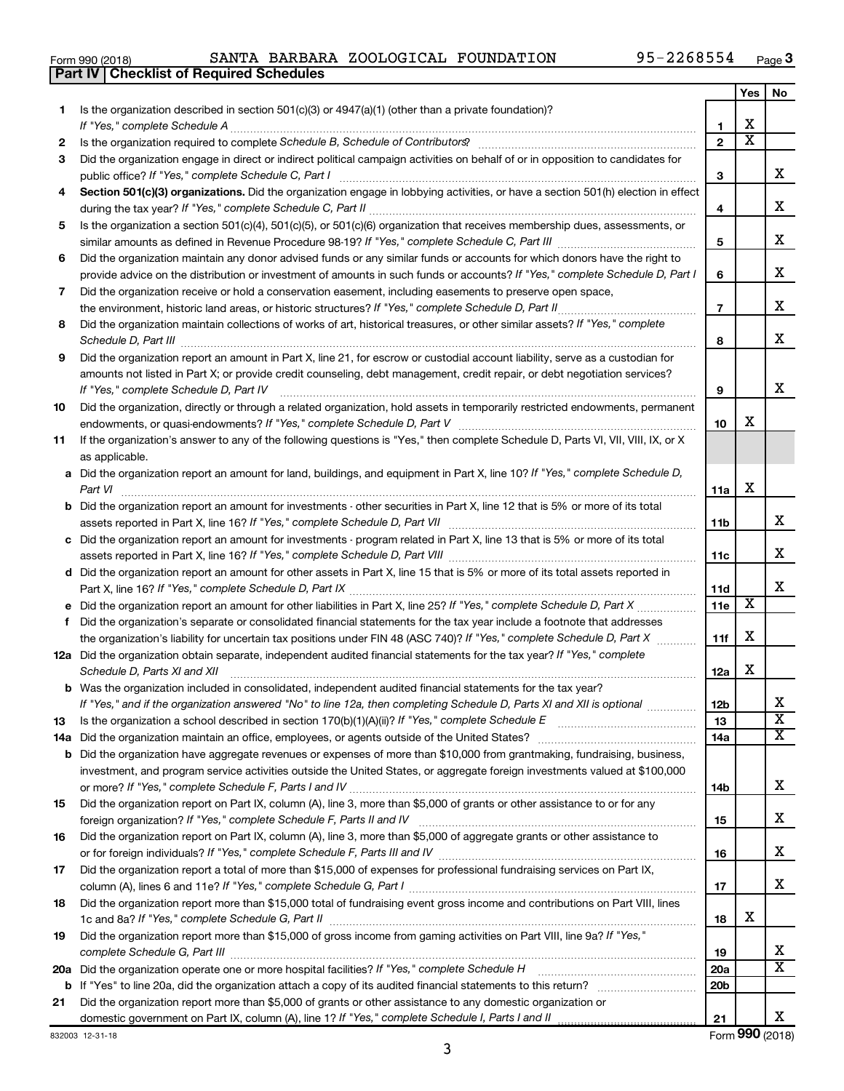|  | Form 990 (2018) |  |
|--|-----------------|--|
|  |                 |  |

**Part IV Checklist of Required Schedules**

|    |                                                                                                                                                                                                                                                         |                 | Yes                   | No                           |
|----|---------------------------------------------------------------------------------------------------------------------------------------------------------------------------------------------------------------------------------------------------------|-----------------|-----------------------|------------------------------|
| 1. | Is the organization described in section 501(c)(3) or 4947(a)(1) (other than a private foundation)?                                                                                                                                                     |                 |                       |                              |
|    | If "Yes," complete Schedule A                                                                                                                                                                                                                           | 1               | х                     |                              |
| 2  |                                                                                                                                                                                                                                                         | $\overline{2}$  | $\overline{\text{x}}$ |                              |
| 3  | Did the organization engage in direct or indirect political campaign activities on behalf of or in opposition to candidates for                                                                                                                         |                 |                       |                              |
|    | public office? If "Yes," complete Schedule C, Part I                                                                                                                                                                                                    | 3               |                       | х                            |
| 4  | Section 501(c)(3) organizations. Did the organization engage in lobbying activities, or have a section 501(h) election in effect                                                                                                                        | 4               |                       | х                            |
| 5  | Is the organization a section 501(c)(4), 501(c)(5), or 501(c)(6) organization that receives membership dues, assessments, or                                                                                                                            |                 |                       |                              |
|    |                                                                                                                                                                                                                                                         | 5               |                       | х                            |
| 6  | Did the organization maintain any donor advised funds or any similar funds or accounts for which donors have the right to                                                                                                                               |                 |                       |                              |
|    | provide advice on the distribution or investment of amounts in such funds or accounts? If "Yes," complete Schedule D, Part I                                                                                                                            | 6               |                       | х                            |
| 7  | Did the organization receive or hold a conservation easement, including easements to preserve open space,                                                                                                                                               |                 |                       |                              |
|    | the environment, historic land areas, or historic structures? If "Yes," complete Schedule D, Part II                                                                                                                                                    | $\overline{7}$  |                       | х                            |
| 8  | Did the organization maintain collections of works of art, historical treasures, or other similar assets? If "Yes," complete<br>Schedule D, Part III <b>Marting Communities</b> Contains and Technical Communities Contains and Communities Communities | 8               |                       | х                            |
| 9  | Did the organization report an amount in Part X, line 21, for escrow or custodial account liability, serve as a custodian for                                                                                                                           |                 |                       |                              |
|    | amounts not listed in Part X; or provide credit counseling, debt management, credit repair, or debt negotiation services?                                                                                                                               |                 |                       |                              |
|    | If "Yes," complete Schedule D, Part IV                                                                                                                                                                                                                  | 9               |                       | х                            |
| 10 | Did the organization, directly or through a related organization, hold assets in temporarily restricted endowments, permanent                                                                                                                           |                 |                       |                              |
|    |                                                                                                                                                                                                                                                         | 10              | х                     |                              |
| 11 | If the organization's answer to any of the following questions is "Yes," then complete Schedule D, Parts VI, VII, VIII, IX, or X<br>as applicable.                                                                                                      |                 |                       |                              |
|    | a Did the organization report an amount for land, buildings, and equipment in Part X, line 10? If "Yes," complete Schedule D,                                                                                                                           |                 |                       |                              |
|    | Part VI                                                                                                                                                                                                                                                 | 11a             | х                     |                              |
|    | <b>b</b> Did the organization report an amount for investments - other securities in Part X, line 12 that is 5% or more of its total                                                                                                                    | 11b             |                       | х                            |
|    | c Did the organization report an amount for investments - program related in Part X, line 13 that is 5% or more of its total                                                                                                                            |                 |                       |                              |
|    |                                                                                                                                                                                                                                                         | 11c             |                       | х                            |
|    | d Did the organization report an amount for other assets in Part X, line 15 that is 5% or more of its total assets reported in                                                                                                                          |                 |                       |                              |
|    |                                                                                                                                                                                                                                                         | 11d             |                       | х                            |
|    | e Did the organization report an amount for other liabilities in Part X, line 25? If "Yes," complete Schedule D, Part X manus                                                                                                                           | 11e             | $\overline{\text{X}}$ |                              |
| f  | Did the organization's separate or consolidated financial statements for the tax year include a footnote that addresses                                                                                                                                 |                 |                       |                              |
|    | the organization's liability for uncertain tax positions under FIN 48 (ASC 740)? If "Yes," complete Schedule D, Part X                                                                                                                                  | 11f             | х                     |                              |
|    | 12a Did the organization obtain separate, independent audited financial statements for the tax year? If "Yes," complete                                                                                                                                 |                 |                       |                              |
|    | Schedule D, Parts XI and XII                                                                                                                                                                                                                            | 12a             | х                     |                              |
|    | <b>b</b> Was the organization included in consolidated, independent audited financial statements for the tax year?                                                                                                                                      |                 |                       |                              |
|    | If "Yes," and if the organization answered "No" to line 12a, then completing Schedule D, Parts XI and XII is optional                                                                                                                                   | 12b             |                       | ┻<br>$\overline{\textbf{x}}$ |
| 13 | Is the organization a school described in section 170(b)(1)(A)(ii)? If "Yes," complete Schedule E                                                                                                                                                       | 13              |                       | $\overline{\mathbf{X}}$      |
|    | 14a Did the organization maintain an office, employees, or agents outside of the United States?<br><b>b</b> Did the organization have aggregate revenues or expenses of more than \$10,000 from grantmaking, fundraising, business,                     | 14a             |                       |                              |
|    | investment, and program service activities outside the United States, or aggregate foreign investments valued at \$100,000                                                                                                                              |                 |                       |                              |
|    |                                                                                                                                                                                                                                                         | 14b             |                       | х                            |
| 15 | Did the organization report on Part IX, column (A), line 3, more than \$5,000 of grants or other assistance to or for any                                                                                                                               |                 |                       |                              |
|    |                                                                                                                                                                                                                                                         | 15              |                       | x                            |
| 16 | Did the organization report on Part IX, column (A), line 3, more than \$5,000 of aggregate grants or other assistance to                                                                                                                                |                 |                       |                              |
|    |                                                                                                                                                                                                                                                         | 16              |                       | x                            |
| 17 | Did the organization report a total of more than \$15,000 of expenses for professional fundraising services on Part IX,                                                                                                                                 |                 |                       |                              |
|    |                                                                                                                                                                                                                                                         | 17              |                       | X.                           |
| 18 | Did the organization report more than \$15,000 total of fundraising event gross income and contributions on Part VIII, lines                                                                                                                            |                 |                       |                              |
|    |                                                                                                                                                                                                                                                         | 18              | х                     |                              |
| 19 | Did the organization report more than \$15,000 of gross income from gaming activities on Part VIII, line 9a? If "Yes,"                                                                                                                                  |                 |                       |                              |
|    |                                                                                                                                                                                                                                                         | 19              |                       | x<br>$\overline{\text{X}}$   |
|    | 20a Did the organization operate one or more hospital facilities? If "Yes," complete Schedule H                                                                                                                                                         | 20a             |                       |                              |
|    | Did the organization report more than \$5,000 of grants or other assistance to any domestic organization or                                                                                                                                             | 20 <sub>b</sub> |                       |                              |
| 21 |                                                                                                                                                                                                                                                         | 21              |                       | х                            |
|    |                                                                                                                                                                                                                                                         |                 |                       |                              |

832003 12-31-18

3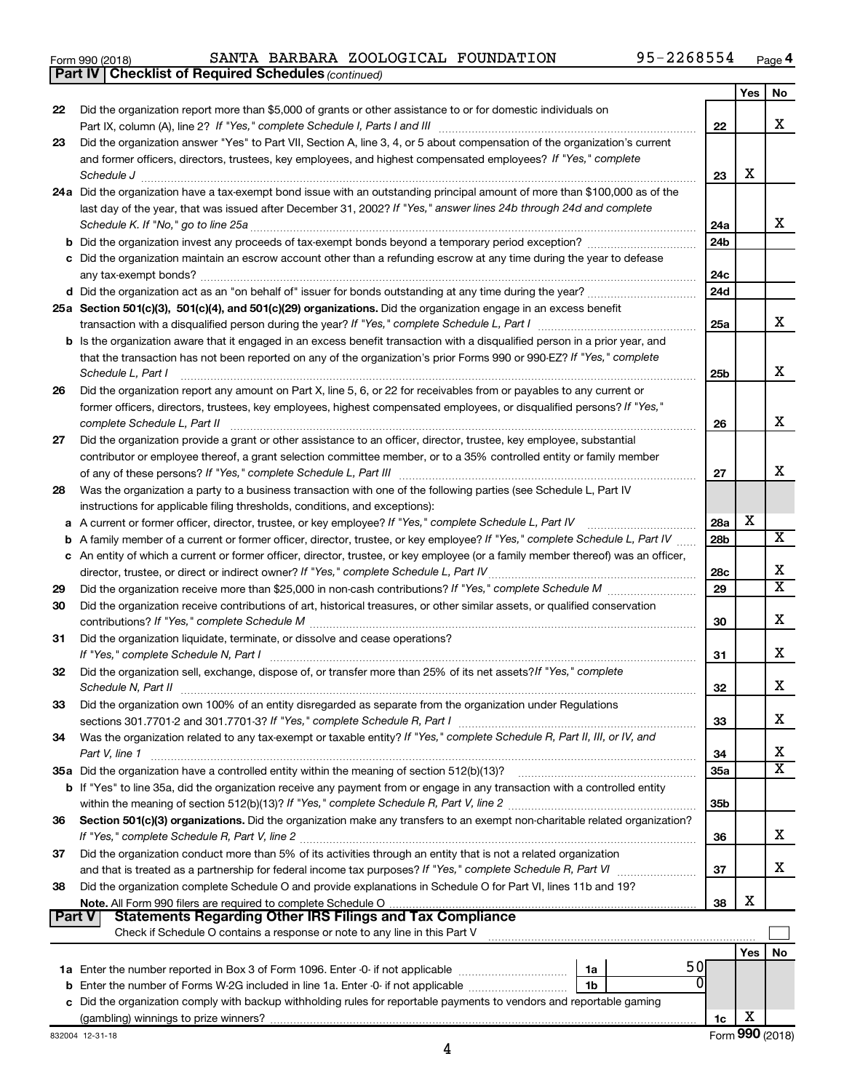|  | Form 990 (2018) |
|--|-----------------|
|  |                 |

*(continued)* **Part IV Checklist of Required Schedules**

|               |                                                                                                                                 |                 | Yes | No                      |
|---------------|---------------------------------------------------------------------------------------------------------------------------------|-----------------|-----|-------------------------|
| 22            | Did the organization report more than \$5,000 of grants or other assistance to or for domestic individuals on                   |                 |     |                         |
|               |                                                                                                                                 | 22              |     | x                       |
| 23            | Did the organization answer "Yes" to Part VII, Section A, line 3, 4, or 5 about compensation of the organization's current      |                 |     |                         |
|               | and former officers, directors, trustees, key employees, and highest compensated employees? If "Yes," complete                  |                 |     |                         |
|               | Schedule J                                                                                                                      | 23              | x   |                         |
|               | 24a Did the organization have a tax-exempt bond issue with an outstanding principal amount of more than \$100,000 as of the     |                 |     |                         |
|               | last day of the year, that was issued after December 31, 2002? If "Yes," answer lines 24b through 24d and complete              |                 |     |                         |
|               | Schedule K. If "No," go to line 25a                                                                                             | 24a             |     | x                       |
|               |                                                                                                                                 | 24b             |     |                         |
|               | c Did the organization maintain an escrow account other than a refunding escrow at any time during the year to defease          |                 |     |                         |
|               |                                                                                                                                 | 24c             |     |                         |
|               |                                                                                                                                 | 24d             |     |                         |
|               | 25a Section 501(c)(3), 501(c)(4), and 501(c)(29) organizations. Did the organization engage in an excess benefit                |                 |     |                         |
|               | transaction with a disqualified person during the year? If "Yes," complete Schedule L, Part I                                   | 25a             |     | x                       |
|               | b Is the organization aware that it engaged in an excess benefit transaction with a disqualified person in a prior year, and    |                 |     |                         |
|               | that the transaction has not been reported on any of the organization's prior Forms 990 or 990-EZ? If "Yes," complete           |                 |     |                         |
|               | Schedule L, Part I                                                                                                              | 25 <sub>b</sub> |     | x                       |
| 26            | Did the organization report any amount on Part X, line 5, 6, or 22 for receivables from or payables to any current or           |                 |     |                         |
|               | former officers, directors, trustees, key employees, highest compensated employees, or disqualified persons? If "Yes,"          |                 |     |                         |
|               | complete Schedule L, Part II                                                                                                    | 26              |     | x                       |
| 27            | Did the organization provide a grant or other assistance to an officer, director, trustee, key employee, substantial            |                 |     |                         |
|               | contributor or employee thereof, a grant selection committee member, or to a 35% controlled entity or family member             |                 |     |                         |
|               |                                                                                                                                 | 27              |     | x                       |
| 28            | Was the organization a party to a business transaction with one of the following parties (see Schedule L, Part IV               |                 |     |                         |
|               | instructions for applicable filing thresholds, conditions, and exceptions):                                                     |                 |     |                         |
| а             | A current or former officer, director, trustee, or key employee? If "Yes," complete Schedule L, Part IV                         | 28a             | х   |                         |
| b             | A family member of a current or former officer, director, trustee, or key employee? If "Yes," complete Schedule L, Part IV      | 28 <sub>b</sub> |     | $\overline{\text{X}}$   |
| с             | An entity of which a current or former officer, director, trustee, or key employee (or a family member thereof) was an officer, |                 |     |                         |
|               | director, trustee, or direct or indirect owner? If "Yes," complete Schedule L, Part IV                                          | 28c             |     | x                       |
| 29            |                                                                                                                                 | 29              |     | $\overline{\textbf{X}}$ |
| 30            | Did the organization receive contributions of art, historical treasures, or other similar assets, or qualified conservation     |                 |     |                         |
|               |                                                                                                                                 | 30              |     | x                       |
| 31            | Did the organization liquidate, terminate, or dissolve and cease operations?                                                    |                 |     |                         |
|               | If "Yes," complete Schedule N, Part I                                                                                           | 31              |     | x                       |
| 32            | Did the organization sell, exchange, dispose of, or transfer more than 25% of its net assets? If "Yes," complete                |                 |     |                         |
|               |                                                                                                                                 | 32              |     | x                       |
| 33            | Did the organization own 100% of an entity disregarded as separate from the organization under Regulations                      |                 |     |                         |
|               |                                                                                                                                 | 33              |     | х                       |
| 34            | Was the organization related to any tax-exempt or taxable entity? If "Yes," complete Schedule R, Part II, III, or IV, and       |                 |     |                         |
|               | Part V, line 1                                                                                                                  | 34              |     | х                       |
|               |                                                                                                                                 | <b>35a</b>      |     | х                       |
|               | b If "Yes" to line 35a, did the organization receive any payment from or engage in any transaction with a controlled entity     |                 |     |                         |
|               |                                                                                                                                 | 35 <sub>b</sub> |     |                         |
| 36            | Section 501(c)(3) organizations. Did the organization make any transfers to an exempt non-charitable related organization?      |                 |     |                         |
|               |                                                                                                                                 | 36              |     | x                       |
| 37            | Did the organization conduct more than 5% of its activities through an entity that is not a related organization                |                 |     |                         |
|               |                                                                                                                                 | 37              |     | x                       |
| 38            | Did the organization complete Schedule O and provide explanations in Schedule O for Part VI, lines 11b and 19?                  |                 |     |                         |
| <b>Part V</b> | <b>Statements Regarding Other IRS Filings and Tax Compliance</b>                                                                | 38              | х   |                         |
|               | Check if Schedule O contains a response or note to any line in this Part V                                                      |                 |     |                         |
|               |                                                                                                                                 |                 |     |                         |
|               | 50                                                                                                                              |                 | Yes | No                      |
|               | 1a                                                                                                                              |                 |     |                         |
| b             | Enter the number of Forms W-2G included in line 1a. Enter -0- if not applicable<br>1b                                           |                 |     |                         |
| с             | Did the organization comply with backup withholding rules for reportable payments to vendors and reportable gaming              |                 | X   |                         |
|               |                                                                                                                                 | 1c              |     |                         |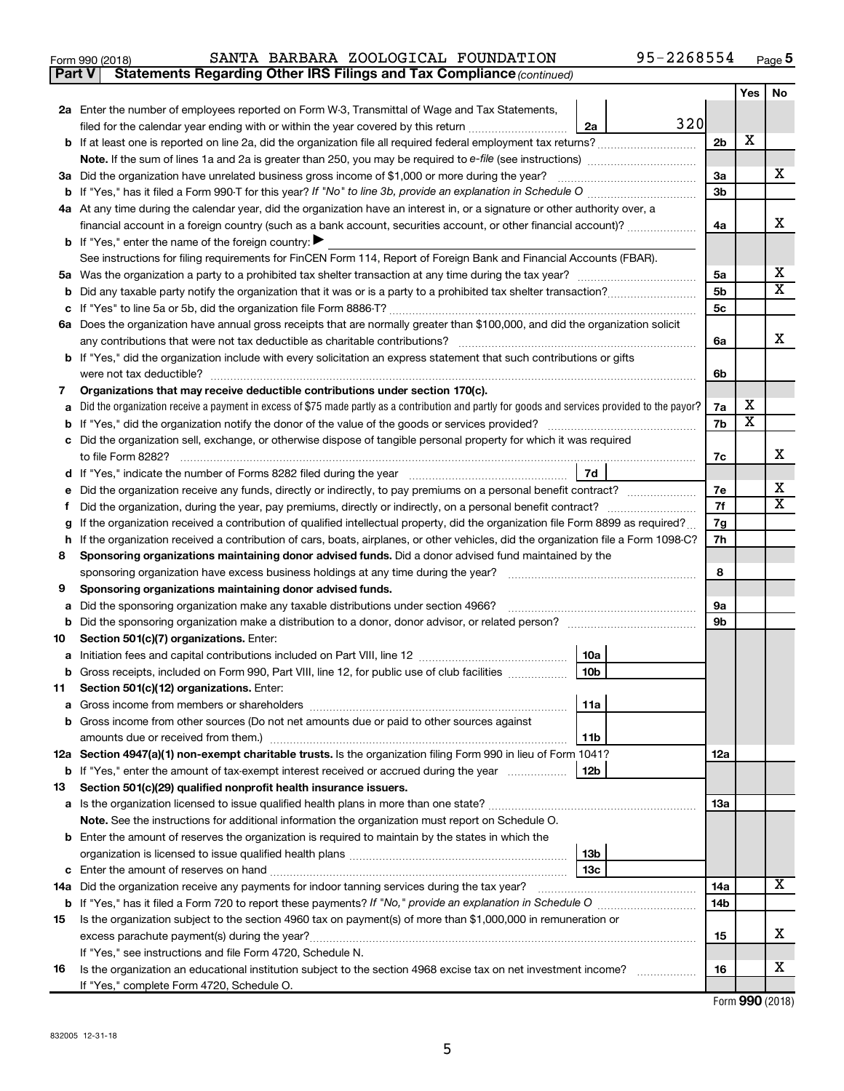| $\cap$<br>.1001c<br>Form | <b>BARBARA</b><br>AN"<br>ĽΑ | ZOOLOGICAL | <b>FOUNDATION</b> | יכ ace |
|--------------------------|-----------------------------|------------|-------------------|--------|
|                          |                             |            |                   |        |

|     |                                                                                                                                                                                                      |     |                                  | Yes                     | No                           |  |
|-----|------------------------------------------------------------------------------------------------------------------------------------------------------------------------------------------------------|-----|----------------------------------|-------------------------|------------------------------|--|
|     | 2a Enter the number of employees reported on Form W-3, Transmittal of Wage and Tax Statements,                                                                                                       |     |                                  |                         |                              |  |
|     | 2a<br>filed for the calendar year ending with or within the year covered by this return <i></i>                                                                                                      | 320 |                                  |                         |                              |  |
|     | <b>b</b> If at least one is reported on line 2a, did the organization file all required federal employment tax returns?                                                                              |     | 2 <sub>b</sub>                   | х                       |                              |  |
|     | <b>Note.</b> If the sum of lines 1a and 2a is greater than 250, you may be required to e-file (see instructions) <i>marrouum</i> manu-                                                               |     |                                  |                         |                              |  |
|     | 3a Did the organization have unrelated business gross income of \$1,000 or more during the year?                                                                                                     |     | За                               |                         | X.                           |  |
| b   |                                                                                                                                                                                                      |     | 3b                               |                         |                              |  |
|     | 4a At any time during the calendar year, did the organization have an interest in, or a signature or other authority over, a                                                                         |     |                                  |                         |                              |  |
|     |                                                                                                                                                                                                      |     | 4a                               |                         | х                            |  |
|     | <b>b</b> If "Yes," enter the name of the foreign country: $\blacktriangleright$                                                                                                                      |     |                                  |                         |                              |  |
|     | See instructions for filing requirements for FinCEN Form 114, Report of Foreign Bank and Financial Accounts (FBAR).                                                                                  |     |                                  |                         |                              |  |
|     |                                                                                                                                                                                                      |     |                                  |                         |                              |  |
| b   | Did any taxable party notify the organization that it was or is a party to a prohibited tax shelter transaction?                                                                                     |     | 5 <sub>b</sub><br>5 <sub>c</sub> |                         | $\overline{\mathbf{x}}$      |  |
| 6a  | Does the organization have annual gross receipts that are normally greater than \$100,000, and did the organization solicit                                                                          |     |                                  |                         |                              |  |
|     | any contributions that were not tax deductible as charitable contributions?                                                                                                                          |     | 6a                               |                         | x                            |  |
| b   | If "Yes," did the organization include with every solicitation an express statement that such contributions or gifts                                                                                 |     |                                  |                         |                              |  |
|     | were not tax deductible?                                                                                                                                                                             |     | 6b                               |                         |                              |  |
| 7   | Organizations that may receive deductible contributions under section 170(c).                                                                                                                        |     |                                  |                         |                              |  |
|     | Did the organization receive a payment in excess of \$75 made partly as a contribution and partly for goods and services provided to the payor?                                                      |     | 7a                               | х                       |                              |  |
| b   |                                                                                                                                                                                                      |     | 7b                               | $\overline{\textbf{x}}$ |                              |  |
| с   | Did the organization sell, exchange, or otherwise dispose of tangible personal property for which it was required                                                                                    |     |                                  |                         |                              |  |
|     |                                                                                                                                                                                                      |     | 7c                               |                         | x                            |  |
| d   | 7d                                                                                                                                                                                                   |     |                                  |                         |                              |  |
| е   | Did the organization receive any funds, directly or indirectly, to pay premiums on a personal benefit contract?                                                                                      |     | 7e                               |                         | x<br>$\overline{\mathtt{x}}$ |  |
|     | Did the organization, during the year, pay premiums, directly or indirectly, on a personal benefit contract?                                                                                         |     |                                  |                         |                              |  |
|     | If the organization received a contribution of qualified intellectual property, did the organization file Form 8899 as required?                                                                     |     |                                  |                         |                              |  |
| h   | If the organization received a contribution of cars, boats, airplanes, or other vehicles, did the organization file a Form 1098-C?                                                                   |     | 7h                               |                         |                              |  |
| 8   | Sponsoring organizations maintaining donor advised funds. Did a donor advised fund maintained by the                                                                                                 |     |                                  |                         |                              |  |
|     | sponsoring organization have excess business holdings at any time during the year?<br>and a complete the contract of the complete the complete the complete the complete the complete the complete t |     | 8                                |                         |                              |  |
| 9   | Sponsoring organizations maintaining donor advised funds.                                                                                                                                            |     |                                  |                         |                              |  |
| а   | Did the sponsoring organization make any taxable distributions under section 4966?                                                                                                                   |     | 9а                               |                         |                              |  |
| b   |                                                                                                                                                                                                      |     | 9b                               |                         |                              |  |
| 10  | Section 501(c)(7) organizations. Enter:                                                                                                                                                              |     |                                  |                         |                              |  |
| а   | 10a<br>10 <sub>b</sub>                                                                                                                                                                               |     |                                  |                         |                              |  |
| 11. | Gross receipts, included on Form 990, Part VIII, line 12, for public use of club facilities<br>Section 501(c)(12) organizations. Enter:                                                              |     |                                  |                         |                              |  |
|     | 11a                                                                                                                                                                                                  |     |                                  |                         |                              |  |
|     | <b>b</b> Gross income from other sources (Do not net amounts due or paid to other sources against                                                                                                    |     |                                  |                         |                              |  |
|     | amounts due or received from them.)<br>11b                                                                                                                                                           |     |                                  |                         |                              |  |
|     | 12a Section 4947(a)(1) non-exempt charitable trusts. Is the organization filing Form 990 in lieu of Form 1041?                                                                                       |     | 12a                              |                         |                              |  |
| b   | 12 <sub>b</sub><br>If "Yes," enter the amount of tax-exempt interest received or accrued during the year                                                                                             |     |                                  |                         |                              |  |
| 13  | Section 501(c)(29) qualified nonprofit health insurance issuers.                                                                                                                                     |     |                                  |                         |                              |  |
| а   | Is the organization licensed to issue qualified health plans in more than one state?                                                                                                                 |     | 1За                              |                         |                              |  |
|     | Note. See the instructions for additional information the organization must report on Schedule O.                                                                                                    |     |                                  |                         |                              |  |
|     | <b>b</b> Enter the amount of reserves the organization is required to maintain by the states in which the                                                                                            |     |                                  |                         |                              |  |
|     | 13 <sub>b</sub>                                                                                                                                                                                      |     |                                  |                         |                              |  |
| с   | 13 <sub>c</sub>                                                                                                                                                                                      |     |                                  |                         |                              |  |
| 14a | Did the organization receive any payments for indoor tanning services during the tax year?                                                                                                           |     |                                  |                         | $\overline{\mathbf{X}}$      |  |
| b   |                                                                                                                                                                                                      |     | 14b                              |                         |                              |  |
| 15  | Is the organization subject to the section 4960 tax on payment(s) of more than \$1,000,000 in remuneration or                                                                                        |     |                                  |                         |                              |  |
|     | excess parachute payment(s) during the year?                                                                                                                                                         |     | 15                               |                         | х                            |  |
|     | If "Yes," see instructions and file Form 4720, Schedule N.                                                                                                                                           |     |                                  |                         |                              |  |
| 16  | Is the organization an educational institution subject to the section 4968 excise tax on net investment income?                                                                                      |     | 16                               |                         | х                            |  |
|     | If "Yes," complete Form 4720, Schedule O.                                                                                                                                                            |     |                                  |                         |                              |  |

**Part V** Statements Regarding Other IRS Filings and Tax Compliance (continued)

Form (2018) **990**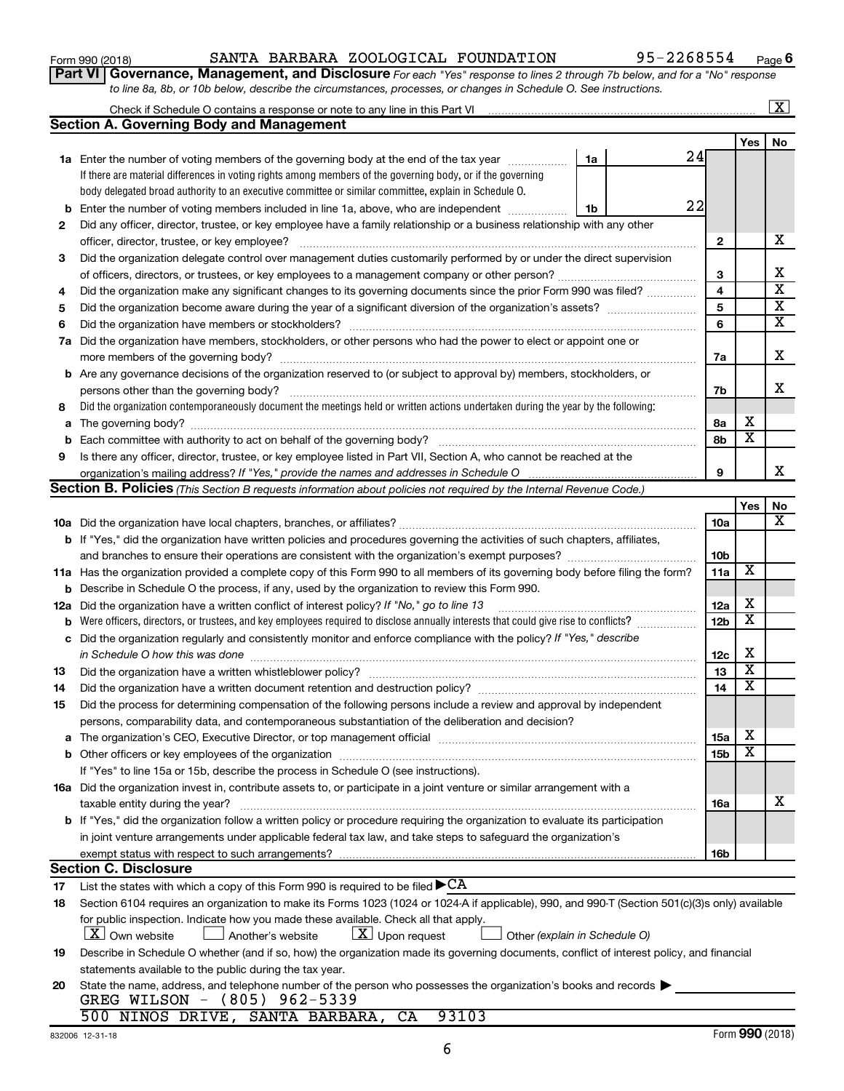**2**

**3**

**4 5**

| 6   |                                                                                                                                                                                                                                | 6               |                       | х  |
|-----|--------------------------------------------------------------------------------------------------------------------------------------------------------------------------------------------------------------------------------|-----------------|-----------------------|----|
|     | 7a Did the organization have members, stockholders, or other persons who had the power to elect or appoint one or                                                                                                              |                 |                       |    |
|     |                                                                                                                                                                                                                                | 7a              |                       | X  |
|     | <b>b</b> Are any governance decisions of the organization reserved to (or subject to approval by) members, stockholders, or                                                                                                    |                 |                       |    |
|     |                                                                                                                                                                                                                                | 7b              |                       | х  |
| 8   | Did the organization contemporaneously document the meetings held or written actions undertaken during the year by the following:                                                                                              |                 |                       |    |
| a   |                                                                                                                                                                                                                                | 8a              | х                     |    |
|     |                                                                                                                                                                                                                                | 8b              | $\overline{\text{x}}$ |    |
| 9   | Is there any officer, director, trustee, or key employee listed in Part VII, Section A, who cannot be reached at the                                                                                                           |                 |                       |    |
|     |                                                                                                                                                                                                                                | 9               |                       | х  |
|     | Section B. Policies (This Section B requests information about policies not required by the Internal Revenue Code.)                                                                                                            |                 |                       |    |
|     |                                                                                                                                                                                                                                |                 | Yes                   | No |
|     |                                                                                                                                                                                                                                | 10a             |                       | х  |
|     | b If "Yes," did the organization have written policies and procedures governing the activities of such chapters, affiliates,                                                                                                   |                 |                       |    |
|     |                                                                                                                                                                                                                                | 10 <sub>b</sub> |                       |    |
|     | 11a Has the organization provided a complete copy of this Form 990 to all members of its governing body before filing the form?                                                                                                | 11a             | х                     |    |
|     | <b>b</b> Describe in Schedule O the process, if any, used by the organization to review this Form 990.                                                                                                                         |                 |                       |    |
| 12a | Did the organization have a written conflict of interest policy? If "No," go to line 13                                                                                                                                        | 12a             | х                     |    |
|     |                                                                                                                                                                                                                                | 12 <sub>b</sub> | $\overline{\text{x}}$ |    |
| c   | Did the organization regularly and consistently monitor and enforce compliance with the policy? If "Yes," describe                                                                                                             |                 |                       |    |
|     | in Schedule O how this was done <b>construction and construction</b> construction of the schedule O how this was done                                                                                                          | 12c             | X                     |    |
| 13  |                                                                                                                                                                                                                                | 13              | x                     |    |
| 14  | Did the organization have a written document retention and destruction policy? [11] manufaction manufaction in                                                                                                                 | 14              | $\overline{\text{x}}$ |    |
| 15  | Did the process for determining compensation of the following persons include a review and approval by independent                                                                                                             |                 |                       |    |
|     | persons, comparability data, and contemporaneous substantiation of the deliberation and decision?                                                                                                                              |                 |                       |    |
| a   | The organization's CEO, Executive Director, or top management official [111] [11] manument content of the organization's CEO, Executive Director, or top management official [11] manument content of the original manument of | 15a             | х                     |    |
| b   |                                                                                                                                                                                                                                | 15 <sub>b</sub> | $\overline{\text{x}}$ |    |
|     | If "Yes" to line 15a or 15b, describe the process in Schedule O (see instructions).                                                                                                                                            |                 |                       |    |
|     | 16a Did the organization invest in, contribute assets to, or participate in a joint venture or similar arrangement with a                                                                                                      |                 |                       |    |
|     |                                                                                                                                                                                                                                | 16a             |                       | x  |
|     | <b>b</b> If "Yes," did the organization follow a written policy or procedure requiring the organization to evaluate its participation                                                                                          |                 |                       |    |
|     | in joint venture arrangements under applicable federal tax law, and take steps to safeguard the organization's                                                                                                                 |                 |                       |    |
|     | exempt status with respect to such arrangements?                                                                                                                                                                               | 16 <sub>b</sub> |                       |    |
|     | <b>Section C. Disclosure</b>                                                                                                                                                                                                   |                 |                       |    |
| 17  | List the states with which a copy of this Form 990 is required to be filed $\blacktriangleright$ CA                                                                                                                            |                 |                       |    |
| 18  | Section 6104 requires an organization to make its Forms 1023 (1024 or 1024 A if applicable), 990, and 990-T (Section 501(c)(3)s only) available                                                                                |                 |                       |    |
|     | for public inspection. Indicate how you made these available. Check all that apply.                                                                                                                                            |                 |                       |    |
|     | $\lfloor x \rfloor$ Upon request<br>$\lfloor X \rfloor$ Own website<br>Another's website<br>Other (explain in Schedule O)                                                                                                      |                 |                       |    |
| 19  | Describe in Schedule O whether (and if so, how) the organization made its governing documents, conflict of interest policy, and financial                                                                                      |                 |                       |    |
|     | statements available to the public during the tax year.                                                                                                                                                                        |                 |                       |    |
| 20  | State the name, address, and telephone number of the person who possesses the organization's books and records $\blacktriangleright$                                                                                           |                 |                       |    |
|     | GREG WILSON - (805) 962-5339                                                                                                                                                                                                   |                 |                       |    |
|     | 500 NINOS DRIVE, SANTA BARBARA,<br>93103<br>CA                                                                                                                                                                                 |                 | $0.00 \times 0.0$     |    |
|     |                                                                                                                                                                                                                                |                 |                       |    |

Did any officer, director, trustee, or key employee have a family relationship or a business relationship with any other

officer, director, trustee, or key employee? ~~~~~~~~~~~~~~~~~~~~~~~~~~~~~~~~~~~~~~~~ Did the organization delegate control over management duties customarily performed by or under the direct supervision of officers, directors, or trustees, or key employees to a management company or other person?~~~~~~~~~~~~~~ Did the organization make any significant changes to its governing documents since the prior Form 990 was filed? ............... Did the organization become aware during the year of a significant diversion of the organization's assets? ~~~~~~~~~

**1a** Enter the number of voting members of the governing body at the end of the tax year *www.fronoming* 

Check if Schedule O contains a response or note to any line in this Part VI

**Section A. Governing Body and Management**

If there are material differences in voting rights among members of the governing body, or if the governing body delegated broad authority to an executive committee or similar committee, explain in Schedule O.

**b** Enter the number of voting members included in line 1a, above, who are independent  $\ldots$ 

24

22

**2**

**3 4 5**

**1a**

**1b**

**Yes No**

 $\boxed{\text{X}}$ 

X

X  $\overline{\mathtt{x}}$  $\overline{\text{x}}$ 

**Part VI** Governance, Management, and Disclosure For each "Yes" response to lines 2 through 7b below, and for a "No" response *to line 8a, 8b, or 10b below, describe the circumstances, processes, or changes in Schedule O. See instructions.*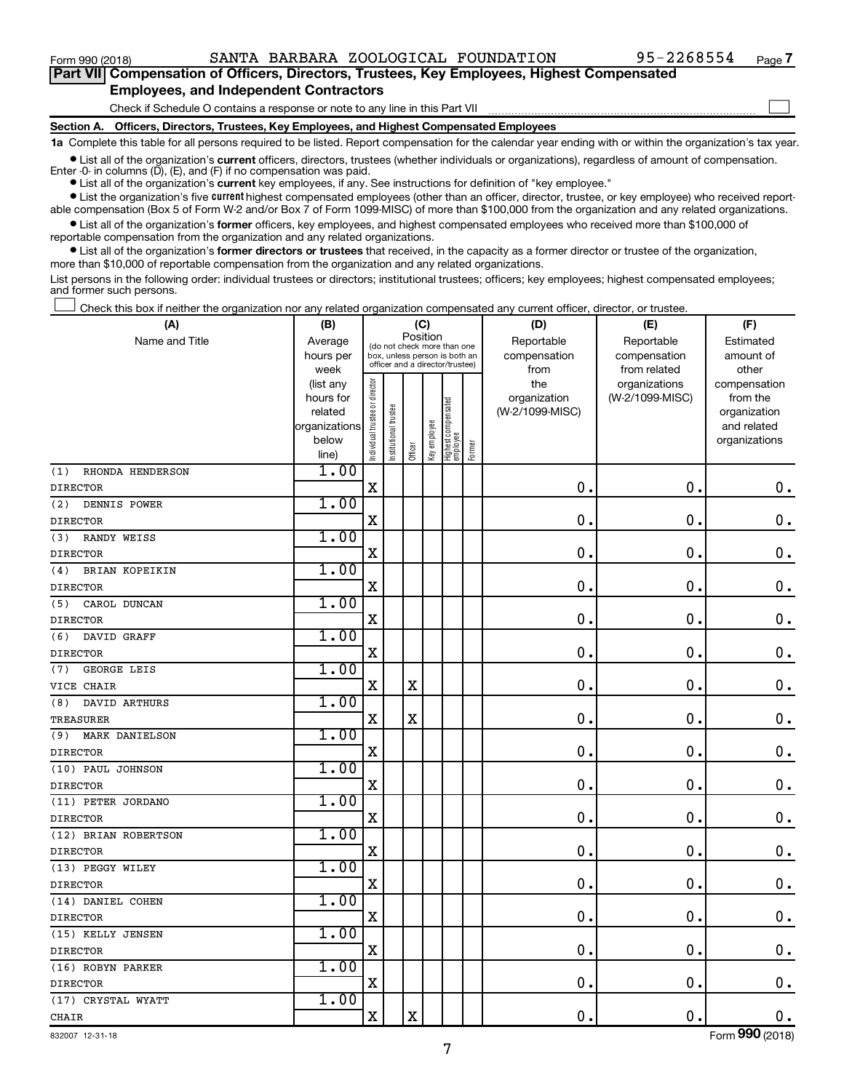$\Box$ 

**Part VII Compensation of Officers, Directors, Trustees, Key Employees, Highest Compensated Employees, and Independent Contractors**

Check if Schedule O contains a response or note to any line in this Part VII

**Section A. Officers, Directors, Trustees, Key Employees, and Highest Compensated Employees**

**1a**  Complete this table for all persons required to be listed. Report compensation for the calendar year ending with or within the organization's tax year.

**•** List all of the organization's current officers, directors, trustees (whether individuals or organizations), regardless of amount of compensation. Enter -0- in columns  $(D)$ ,  $(E)$ , and  $(F)$  if no compensation was paid.

**•** List all of the organization's **current** key employees, if any. See instructions for definition of "key employee."

**•** List the organization's five current highest compensated employees (other than an officer, director, trustee, or key employee) who received reportable compensation (Box 5 of Form W-2 and/or Box 7 of Form 1099-MISC) of more than \$100,000 from the organization and any related organizations.

**•** List all of the organization's former officers, key employees, and highest compensated employees who received more than \$100,000 of reportable compensation from the organization and any related organizations.

**•** List all of the organization's former directors or trustees that received, in the capacity as a former director or trustee of the organization, more than \$10,000 of reportable compensation from the organization and any related organizations.

List persons in the following order: individual trustees or directors; institutional trustees; officers; key employees; highest compensated employees; and former such persons.

Check this box if neither the organization nor any related organization compensated any current officer, director, or trustee.  $\Box$ 

| (A)                         | (B)                    |                                |                                                                  | (C)         |              |                                 |        | (D)                 | (E)                              | (F)                      |
|-----------------------------|------------------------|--------------------------------|------------------------------------------------------------------|-------------|--------------|---------------------------------|--------|---------------------|----------------------------------|--------------------------|
| Name and Title              | Average                |                                | (do not check more than one                                      |             | Position     |                                 |        | Reportable          | Reportable                       | Estimated                |
|                             | hours per              |                                | box, unless person is both an<br>officer and a director/trustee) |             |              |                                 |        | compensation        | compensation                     | amount of                |
|                             | week                   |                                |                                                                  |             |              |                                 |        | from                | from related                     | other                    |
|                             | (list any<br>hours for |                                |                                                                  |             |              |                                 |        | the<br>organization | organizations<br>(W-2/1099-MISC) | compensation<br>from the |
|                             | related                |                                |                                                                  |             |              |                                 |        | (W-2/1099-MISC)     |                                  | organization             |
|                             | organizations          |                                |                                                                  |             |              |                                 |        |                     |                                  | and related              |
|                             | below                  |                                |                                                                  |             |              |                                 |        |                     |                                  | organizations            |
|                             | line)                  | Individual trustee or director | Institutional trustee                                            | Officer     | Key employee | Highest compensated<br>employee | Former |                     |                                  |                          |
| RHONDA HENDERSON<br>(1)     | 1.00                   |                                |                                                                  |             |              |                                 |        |                     |                                  |                          |
| <b>DIRECTOR</b>             |                        | $\mathbf X$                    |                                                                  |             |              |                                 |        | 0.                  | $\mathbf 0$                      | $\mathbf 0$ .            |
| (2)<br>DENNIS POWER         | 1.00                   |                                |                                                                  |             |              |                                 |        |                     |                                  |                          |
| <b>DIRECTOR</b>             |                        | X                              |                                                                  |             |              |                                 |        | $\mathbf 0$ .       | 0.                               | $\mathbf 0$ .            |
| <b>RANDY WEISS</b><br>(3)   | 1.00                   |                                |                                                                  |             |              |                                 |        |                     |                                  |                          |
| <b>DIRECTOR</b>             |                        | X                              |                                                                  |             |              |                                 |        | 0.                  | $\mathbf 0$                      | $\mathbf 0$ .            |
| BRIAN KOPEIKIN<br>(4)       | 1.00                   |                                |                                                                  |             |              |                                 |        |                     |                                  |                          |
| <b>DIRECTOR</b>             |                        | X                              |                                                                  |             |              |                                 |        | $\mathbf 0$ .       | $\mathbf 0$ .                    | $\mathbf 0$ .            |
| CAROL DUNCAN<br>(5)         | 1.00                   |                                |                                                                  |             |              |                                 |        |                     |                                  |                          |
| <b>DIRECTOR</b>             |                        | $\mathbf X$                    |                                                                  |             |              |                                 |        | 0.                  | $\mathbf 0$ .                    | $\mathbf 0$ .            |
| DAVID GRAFF<br>(6)          | 1.00                   |                                |                                                                  |             |              |                                 |        |                     |                                  |                          |
| <b>DIRECTOR</b>             |                        | X                              |                                                                  |             |              |                                 |        | $\mathbf 0$ .       | $\mathbf 0$ .                    | $\boldsymbol{0}$ .       |
| <b>GEORGE LEIS</b><br>(7)   | 1.00                   |                                |                                                                  |             |              |                                 |        |                     |                                  |                          |
| VICE CHAIR                  |                        | $\mathbf X$                    |                                                                  | $\mathbf X$ |              |                                 |        | 0.                  | $\mathbf 0$ .                    | $\mathbf 0$ .            |
| <b>DAVID ARTHURS</b><br>(8) | 1.00                   |                                |                                                                  |             |              |                                 |        |                     |                                  |                          |
| TREASURER                   |                        | $\mathbf X$                    |                                                                  | X           |              |                                 |        | 0.                  | $\mathbf 0$ .                    | $\mathbf 0$ .            |
| MARK DANIELSON<br>(9)       | 1.00                   |                                |                                                                  |             |              |                                 |        |                     |                                  |                          |
| <b>DIRECTOR</b>             |                        | $\mathbf x$                    |                                                                  |             |              |                                 |        | 0.                  | $\mathbf 0$ .                    | $\mathbf 0$ .            |
| (10) PAUL JOHNSON           | 1.00                   |                                |                                                                  |             |              |                                 |        |                     |                                  |                          |
| <b>DIRECTOR</b>             |                        | $\mathbf X$                    |                                                                  |             |              |                                 |        | 0.                  | $\mathbf 0$ .                    | $\mathbf 0$ .            |
| (11) PETER JORDANO          | 1.00                   |                                |                                                                  |             |              |                                 |        |                     |                                  |                          |
| <b>DIRECTOR</b>             |                        | $\mathbf X$                    |                                                                  |             |              |                                 |        | 0.                  | $\mathbf 0$ .                    | $\mathbf 0$ .            |
| (12) BRIAN ROBERTSON        | 1.00                   |                                |                                                                  |             |              |                                 |        |                     |                                  |                          |
| <b>DIRECTOR</b>             |                        | X                              |                                                                  |             |              |                                 |        | $\mathbf 0$ .       | $\mathbf 0$ .                    | $\mathbf 0$ .            |
| (13) PEGGY WILEY            | 1.00                   |                                |                                                                  |             |              |                                 |        |                     |                                  |                          |
| <b>DIRECTOR</b>             |                        | $\mathbf X$                    |                                                                  |             |              |                                 |        | 0.                  | $\mathbf 0$ .                    | $\mathbf 0$ .            |
| (14) DANIEL COHEN           | 1.00                   |                                |                                                                  |             |              |                                 |        |                     |                                  |                          |
| <b>DIRECTOR</b>             |                        | X                              |                                                                  |             |              |                                 |        | $\mathbf 0$ .       | $\mathbf 0$ .                    | $\mathbf 0$ .            |
| (15) KELLY JENSEN           | 1.00                   |                                |                                                                  |             |              |                                 |        |                     |                                  |                          |
| <b>DIRECTOR</b>             |                        | $\mathbf X$                    |                                                                  |             |              |                                 |        | $\mathbf{0}$ .      | $\mathbf 0$ .                    | $\mathbf 0$ .            |
| (16) ROBYN PARKER           | 1.00                   |                                |                                                                  |             |              |                                 |        |                     |                                  |                          |
| <b>DIRECTOR</b>             |                        | X                              |                                                                  |             |              |                                 |        | $\mathbf 0$ .       | $\mathbf 0$ .                    | 0.                       |
| (17) CRYSTAL WYATT          | 1.00                   |                                |                                                                  |             |              |                                 |        |                     |                                  |                          |
| <b>CHAIR</b>                |                        | $\mathbf x$                    |                                                                  | $\mathbf X$ |              |                                 |        | 0.                  | $\mathbf 0$ .                    | $\mathbf 0$ .            |

Form (2018) **990**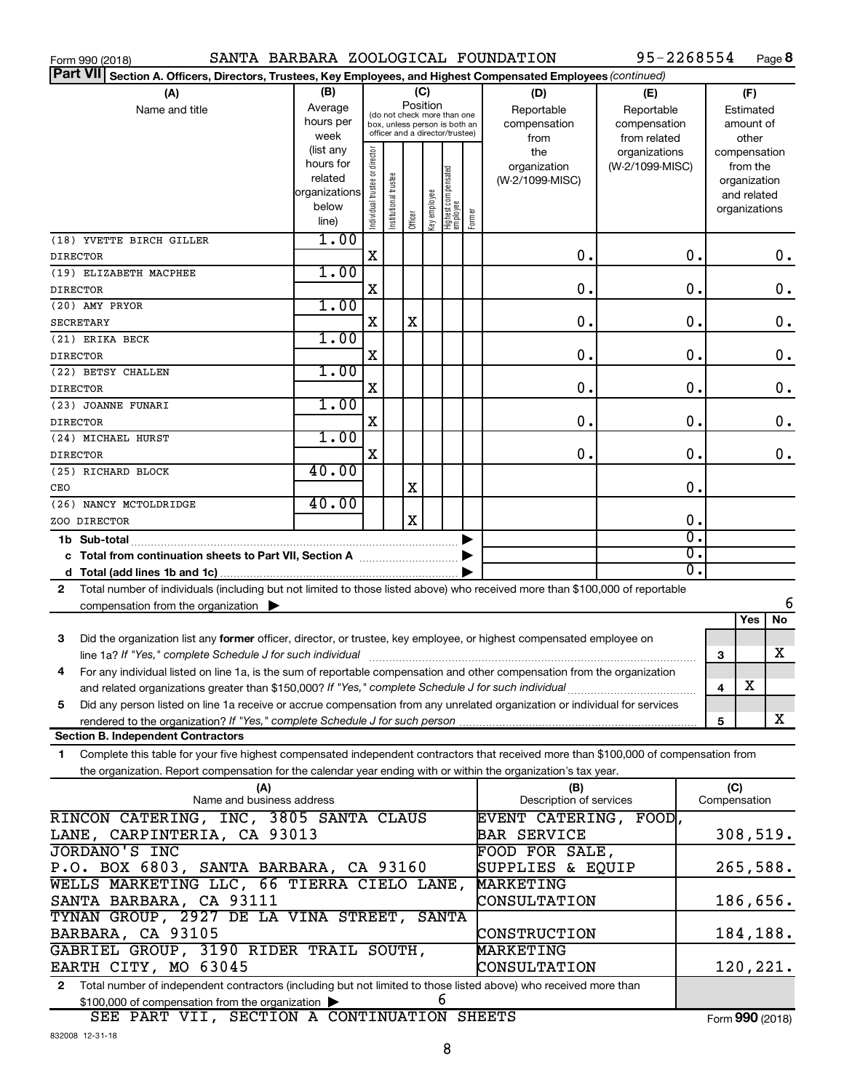| SANTA BARBARA ZOOLOGICAL FOUNDATION<br>Form 990 (2018)                                                                                                                                                                                                                  |                                                                                                                                   |                                |                       |                 |              |                                                                                                 |        |                                           | 95-2268554                                        |               |                     |                                                                          | Page 8        |
|-------------------------------------------------------------------------------------------------------------------------------------------------------------------------------------------------------------------------------------------------------------------------|-----------------------------------------------------------------------------------------------------------------------------------|--------------------------------|-----------------------|-----------------|--------------|-------------------------------------------------------------------------------------------------|--------|-------------------------------------------|---------------------------------------------------|---------------|---------------------|--------------------------------------------------------------------------|---------------|
| Part VII Section A. Officers, Directors, Trustees, Key Employees, and Highest Compensated Employees (continued)                                                                                                                                                         |                                                                                                                                   |                                |                       |                 |              |                                                                                                 |        |                                           |                                                   |               |                     |                                                                          |               |
| (A)<br>Name and title                                                                                                                                                                                                                                                   | (B)<br>Average<br>hours per<br>week                                                                                               |                                |                       | (C)<br>Position |              | (do not check more than one<br>box, unless person is both an<br>officer and a director/trustee) |        | (D)<br>Reportable<br>compensation<br>from | (E)<br>Reportable<br>compensation<br>from related |               |                     | (F)<br>Estimated<br>amount of<br>other                                   |               |
|                                                                                                                                                                                                                                                                         | (list any<br>hours for<br>related<br>organizations<br>below<br>line)                                                              | Individual trustee or director | Institutional trustee | Officer         | Key employee | Highest compensated<br>  employee                                                               | Former | the<br>organization<br>(W-2/1099-MISC)    | organizations<br>(W-2/1099-MISC)                  |               |                     | compensation<br>from the<br>organization<br>and related<br>organizations |               |
| (18) YVETTE BIRCH GILLER                                                                                                                                                                                                                                                | 1.00                                                                                                                              |                                |                       |                 |              |                                                                                                 |        |                                           |                                                   |               |                     |                                                                          |               |
| <b>DIRECTOR</b>                                                                                                                                                                                                                                                         |                                                                                                                                   | X                              |                       |                 |              |                                                                                                 |        | $\mathbf 0$ .                             |                                                   | 0.            |                     |                                                                          | 0.            |
| (19) ELIZABETH MACPHEE<br><b>DIRECTOR</b>                                                                                                                                                                                                                               | 1.00                                                                                                                              | X                              |                       |                 |              |                                                                                                 |        | $\mathbf 0$ .                             |                                                   | $\mathbf 0$ . |                     |                                                                          | $\mathbf 0$ . |
| (20) AMY PRYOR                                                                                                                                                                                                                                                          | 1.00                                                                                                                              |                                |                       |                 |              |                                                                                                 |        |                                           |                                                   |               |                     |                                                                          |               |
| <b>SECRETARY</b>                                                                                                                                                                                                                                                        |                                                                                                                                   | X                              |                       | X               |              |                                                                                                 |        | $\mathbf 0$ .                             |                                                   | $\mathbf 0$ . |                     |                                                                          | $\mathbf 0$ . |
| (21) ERIKA BECK                                                                                                                                                                                                                                                         | 1.00                                                                                                                              |                                |                       |                 |              |                                                                                                 |        |                                           |                                                   |               |                     |                                                                          |               |
| DIRECTOR                                                                                                                                                                                                                                                                |                                                                                                                                   | X                              |                       |                 |              |                                                                                                 |        | $\mathbf 0$ .                             |                                                   | $\mathbf 0$ . |                     |                                                                          | $\mathbf 0$ . |
| (22) BETSY CHALLEN                                                                                                                                                                                                                                                      | 1.00                                                                                                                              |                                |                       |                 |              |                                                                                                 |        |                                           |                                                   |               |                     |                                                                          |               |
| <b>DIRECTOR</b>                                                                                                                                                                                                                                                         |                                                                                                                                   | X                              |                       |                 |              |                                                                                                 |        | $\mathbf 0$ .                             |                                                   | $\mathbf 0$ . |                     |                                                                          | $\mathbf 0$ . |
| (23) JOANNE FUNARI                                                                                                                                                                                                                                                      | 1.00                                                                                                                              |                                |                       |                 |              |                                                                                                 |        |                                           |                                                   |               |                     |                                                                          |               |
| <b>DIRECTOR</b>                                                                                                                                                                                                                                                         |                                                                                                                                   | X                              |                       |                 |              |                                                                                                 |        | $\mathbf 0$ .                             |                                                   | $\mathbf 0$ . |                     |                                                                          | $\mathbf 0$ . |
| (24) MICHAEL HURST                                                                                                                                                                                                                                                      | 1.00                                                                                                                              |                                |                       |                 |              |                                                                                                 |        |                                           |                                                   |               |                     |                                                                          |               |
| <b>DIRECTOR</b>                                                                                                                                                                                                                                                         |                                                                                                                                   | X                              |                       |                 |              |                                                                                                 |        | $\mathbf 0$ .                             |                                                   | $\mathbf 0$ . |                     |                                                                          | $\mathbf 0$ . |
| (25) RICHARD BLOCK                                                                                                                                                                                                                                                      | 40.00                                                                                                                             |                                |                       | X               |              |                                                                                                 |        |                                           |                                                   | 0.            |                     |                                                                          |               |
| CEO<br>(26) NANCY MCTOLDRIDGE                                                                                                                                                                                                                                           | 40.00                                                                                                                             |                                |                       |                 |              |                                                                                                 |        |                                           |                                                   |               |                     |                                                                          |               |
| ZOO DIRECTOR                                                                                                                                                                                                                                                            |                                                                                                                                   |                                |                       | X               |              |                                                                                                 |        |                                           |                                                   | $\mathbf 0$ . |                     |                                                                          |               |
|                                                                                                                                                                                                                                                                         |                                                                                                                                   |                                |                       |                 |              |                                                                                                 |        |                                           |                                                   | σ.            |                     |                                                                          |               |
|                                                                                                                                                                                                                                                                         |                                                                                                                                   |                                |                       |                 |              |                                                                                                 |        |                                           |                                                   | σ.            |                     |                                                                          |               |
|                                                                                                                                                                                                                                                                         |                                                                                                                                   |                                |                       |                 |              |                                                                                                 |        |                                           |                                                   | σ.            |                     |                                                                          |               |
| Total number of individuals (including but not limited to those listed above) who received more than \$100,000 of reportable<br>2                                                                                                                                       |                                                                                                                                   |                                |                       |                 |              |                                                                                                 |        |                                           |                                                   |               |                     |                                                                          |               |
| compensation from the organization $\blacktriangleright$                                                                                                                                                                                                                |                                                                                                                                   |                                |                       |                 |              |                                                                                                 |        |                                           |                                                   |               |                     |                                                                          | 6             |
|                                                                                                                                                                                                                                                                         |                                                                                                                                   |                                |                       |                 |              |                                                                                                 |        |                                           |                                                   |               |                     | Yes                                                                      | No            |
| Did the organization list any former officer, director, or trustee, key employee, or highest compensated employee on<br>3<br>line 1a? If "Yes," complete Schedule J for such individual manufacture content to the set of the set of the schedule J for such individual |                                                                                                                                   |                                |                       |                 |              |                                                                                                 |        |                                           |                                                   |               | 3                   |                                                                          | x             |
| 4<br>For any individual listed on line 1a, is the sum of reportable compensation and other compensation from the organization                                                                                                                                           |                                                                                                                                   |                                |                       |                 |              |                                                                                                 |        |                                           |                                                   |               |                     |                                                                          |               |
| and related organizations greater than \$150,000? If "Yes," complete Schedule J for such individual                                                                                                                                                                     |                                                                                                                                   |                                |                       |                 |              |                                                                                                 |        |                                           |                                                   |               | 4                   | х                                                                        |               |
| Did any person listed on line 1a receive or accrue compensation from any unrelated organization or individual for services<br>5                                                                                                                                         |                                                                                                                                   |                                |                       |                 |              |                                                                                                 |        |                                           |                                                   |               |                     |                                                                          |               |
| rendered to the organization? If "Yes," complete Schedule J for such person                                                                                                                                                                                             |                                                                                                                                   |                                |                       |                 |              |                                                                                                 |        |                                           |                                                   |               | 5                   |                                                                          | x             |
| <b>Section B. Independent Contractors</b>                                                                                                                                                                                                                               |                                                                                                                                   |                                |                       |                 |              |                                                                                                 |        |                                           |                                                   |               |                     |                                                                          |               |
| Complete this table for your five highest compensated independent contractors that received more than \$100,000 of compensation from<br>1.                                                                                                                              |                                                                                                                                   |                                |                       |                 |              |                                                                                                 |        |                                           |                                                   |               |                     |                                                                          |               |
| the organization. Report compensation for the calendar year ending with or within the organization's tax year.                                                                                                                                                          |                                                                                                                                   |                                |                       |                 |              |                                                                                                 |        |                                           |                                                   |               |                     |                                                                          |               |
| (A)<br>Name and business address                                                                                                                                                                                                                                        |                                                                                                                                   |                                |                       |                 |              |                                                                                                 |        | (B)<br>Description of services            |                                                   |               | (C)<br>Compensation |                                                                          |               |
| RINCON CATERING, INC, 3805 SANTA CLAUS                                                                                                                                                                                                                                  |                                                                                                                                   |                                |                       |                 |              |                                                                                                 |        | EVENT CATERING, FOOD,                     |                                                   |               |                     |                                                                          |               |
| LANE, CARPINTERIA, CA 93013                                                                                                                                                                                                                                             |                                                                                                                                   |                                |                       |                 |              |                                                                                                 |        | <b>BAR SERVICE</b>                        |                                                   |               |                     |                                                                          | 308,519.      |
| <b>JORDANO'S INC</b>                                                                                                                                                                                                                                                    |                                                                                                                                   |                                |                       |                 |              |                                                                                                 |        | FOOD FOR SALE,                            |                                                   |               |                     |                                                                          |               |
|                                                                                                                                                                                                                                                                         | P.O. BOX 6803, SANTA BARBARA, CA 93160<br>SUPPLIES & EQUIP<br>265,588.<br>WELLS MARKETING LLC, 66 TIERRA CIELO LANE,<br>MARKETING |                                |                       |                 |              |                                                                                                 |        |                                           |                                                   |               |                     |                                                                          |               |
| SANTA BARBARA, CA 93111                                                                                                                                                                                                                                                 |                                                                                                                                   |                                |                       |                 |              |                                                                                                 |        | CONSULTATION                              |                                                   |               |                     | 186,656.                                                                 |               |
| TYNAN GROUP, 2927 DE LA VINA STREET, SANTA                                                                                                                                                                                                                              |                                                                                                                                   |                                |                       |                 |              |                                                                                                 |        |                                           |                                                   |               |                     |                                                                          |               |

Form (2018) **990**

8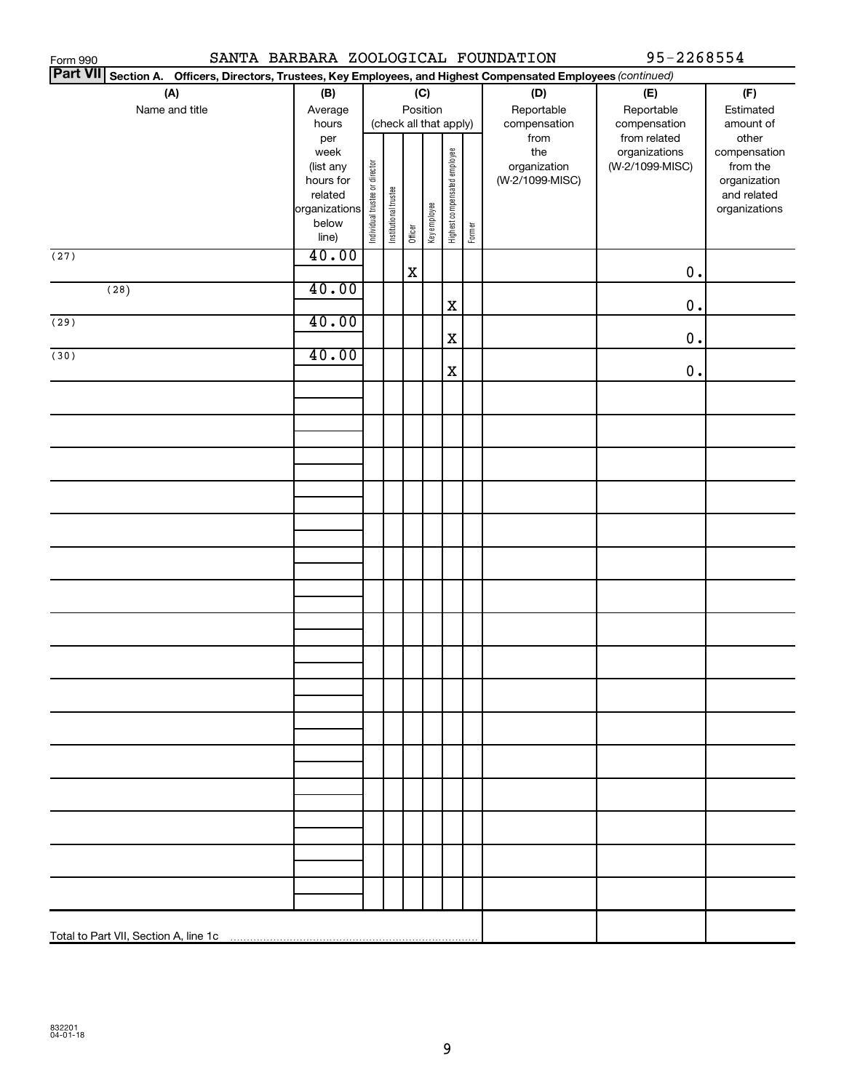| SANTA BARBARA ZOOLOGICAL FOUNDATION<br>95-2268554<br>Form 990                                                   |                                                                                               |  |                        |          |              |                              |        |                 |                 |               |  |
|-----------------------------------------------------------------------------------------------------------------|-----------------------------------------------------------------------------------------------|--|------------------------|----------|--------------|------------------------------|--------|-----------------|-----------------|---------------|--|
| Part VII Section A. Officers, Directors, Trustees, Key Employees, and Highest Compensated Employees (continued) |                                                                                               |  |                        |          |              |                              |        |                 |                 |               |  |
| (A)                                                                                                             | (B)                                                                                           |  |                        |          | (C)          |                              |        | (D)             | (E)             | (F)           |  |
| Name and title                                                                                                  | Average                                                                                       |  |                        | Position |              |                              |        | Reportable      | Reportable      | Estimated     |  |
|                                                                                                                 | hours                                                                                         |  | (check all that apply) |          |              |                              |        | compensation    | compensation    | amount of     |  |
|                                                                                                                 | per                                                                                           |  |                        |          |              |                              |        | from            | from related    | other         |  |
|                                                                                                                 | week                                                                                          |  |                        |          |              |                              |        | the             | organizations   | compensation  |  |
|                                                                                                                 |                                                                                               |  |                        |          |              |                              |        | organization    | (W-2/1099-MISC) | from the      |  |
|                                                                                                                 |                                                                                               |  |                        |          |              |                              |        | (W-2/1099-MISC) |                 | organization  |  |
|                                                                                                                 |                                                                                               |  |                        |          |              |                              |        |                 |                 | and related   |  |
|                                                                                                                 |                                                                                               |  |                        |          |              | Highest compensated employee |        |                 |                 | organizations |  |
|                                                                                                                 |                                                                                               |  |                        |          |              |                              |        |                 |                 |               |  |
|                                                                                                                 | (list any<br>hours for<br>list any<br>hours for<br>related<br>organizations<br>below<br>line) |  | Institutional trustee  | Officer  | Key employee |                              | Former |                 |                 |               |  |
| (27)                                                                                                            | 40.00                                                                                         |  |                        |          |              |                              |        |                 |                 |               |  |
|                                                                                                                 |                                                                                               |  |                        | X        |              |                              |        |                 | $0$ .           |               |  |
| (28)                                                                                                            | 40.00                                                                                         |  |                        |          |              |                              |        |                 |                 |               |  |
|                                                                                                                 |                                                                                               |  |                        |          |              | X                            |        |                 | $0$ .           |               |  |
| (29)                                                                                                            | 40.00                                                                                         |  |                        |          |              |                              |        |                 |                 |               |  |
|                                                                                                                 |                                                                                               |  |                        |          |              | $\mathbf X$                  |        |                 | $0$ .           |               |  |
| (30)                                                                                                            | 40.00                                                                                         |  |                        |          |              |                              |        |                 |                 |               |  |
|                                                                                                                 |                                                                                               |  |                        |          |              |                              |        |                 |                 |               |  |
|                                                                                                                 |                                                                                               |  |                        |          |              | X                            |        |                 | $0$ .           |               |  |
|                                                                                                                 |                                                                                               |  |                        |          |              |                              |        |                 |                 |               |  |
|                                                                                                                 |                                                                                               |  |                        |          |              |                              |        |                 |                 |               |  |
|                                                                                                                 |                                                                                               |  |                        |          |              |                              |        |                 |                 |               |  |
|                                                                                                                 |                                                                                               |  |                        |          |              |                              |        |                 |                 |               |  |
|                                                                                                                 |                                                                                               |  |                        |          |              |                              |        |                 |                 |               |  |
|                                                                                                                 |                                                                                               |  |                        |          |              |                              |        |                 |                 |               |  |
|                                                                                                                 |                                                                                               |  |                        |          |              |                              |        |                 |                 |               |  |
|                                                                                                                 |                                                                                               |  |                        |          |              |                              |        |                 |                 |               |  |
|                                                                                                                 |                                                                                               |  |                        |          |              |                              |        |                 |                 |               |  |
|                                                                                                                 |                                                                                               |  |                        |          |              |                              |        |                 |                 |               |  |
|                                                                                                                 |                                                                                               |  |                        |          |              |                              |        |                 |                 |               |  |
|                                                                                                                 |                                                                                               |  |                        |          |              |                              |        |                 |                 |               |  |
|                                                                                                                 |                                                                                               |  |                        |          |              |                              |        |                 |                 |               |  |
|                                                                                                                 |                                                                                               |  |                        |          |              |                              |        |                 |                 |               |  |
|                                                                                                                 |                                                                                               |  |                        |          |              |                              |        |                 |                 |               |  |
|                                                                                                                 |                                                                                               |  |                        |          |              |                              |        |                 |                 |               |  |
|                                                                                                                 |                                                                                               |  |                        |          |              |                              |        |                 |                 |               |  |
|                                                                                                                 |                                                                                               |  |                        |          |              |                              |        |                 |                 |               |  |
|                                                                                                                 |                                                                                               |  |                        |          |              |                              |        |                 |                 |               |  |
|                                                                                                                 |                                                                                               |  |                        |          |              |                              |        |                 |                 |               |  |
|                                                                                                                 |                                                                                               |  |                        |          |              |                              |        |                 |                 |               |  |
|                                                                                                                 |                                                                                               |  |                        |          |              |                              |        |                 |                 |               |  |
|                                                                                                                 |                                                                                               |  |                        |          |              |                              |        |                 |                 |               |  |
|                                                                                                                 |                                                                                               |  |                        |          |              |                              |        |                 |                 |               |  |
|                                                                                                                 |                                                                                               |  |                        |          |              |                              |        |                 |                 |               |  |
|                                                                                                                 |                                                                                               |  |                        |          |              |                              |        |                 |                 |               |  |
|                                                                                                                 |                                                                                               |  |                        |          |              |                              |        |                 |                 |               |  |
|                                                                                                                 |                                                                                               |  |                        |          |              |                              |        |                 |                 |               |  |
|                                                                                                                 |                                                                                               |  |                        |          |              |                              |        |                 |                 |               |  |
|                                                                                                                 |                                                                                               |  |                        |          |              |                              |        |                 |                 |               |  |
|                                                                                                                 |                                                                                               |  |                        |          |              |                              |        |                 |                 |               |  |
|                                                                                                                 |                                                                                               |  |                        |          |              |                              |        |                 |                 |               |  |
|                                                                                                                 |                                                                                               |  |                        |          |              |                              |        |                 |                 |               |  |
|                                                                                                                 |                                                                                               |  |                        |          |              |                              |        |                 |                 |               |  |
|                                                                                                                 |                                                                                               |  |                        |          |              |                              |        |                 |                 |               |  |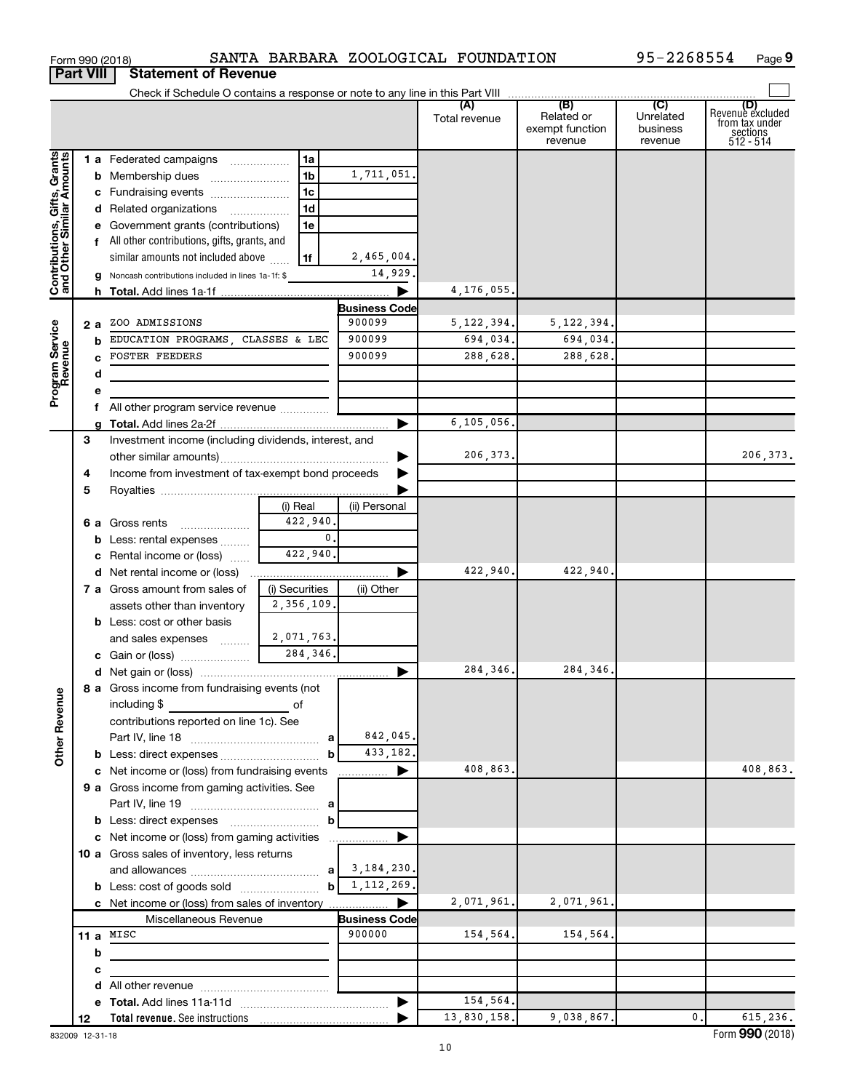|                                                           | <b>Part VIII</b> |   | <b>Statement of Revenue</b>                                                                               |                |                      |               |                                          |                                  |                                                                    |
|-----------------------------------------------------------|------------------|---|-----------------------------------------------------------------------------------------------------------|----------------|----------------------|---------------|------------------------------------------|----------------------------------|--------------------------------------------------------------------|
|                                                           |                  |   |                                                                                                           |                |                      |               |                                          |                                  |                                                                    |
|                                                           |                  |   |                                                                                                           |                |                      | Total revenue | Related or<br>exempt function<br>revenue | Unrelated<br>business<br>revenue | (D)<br>Revenue excluded<br>from tax under<br>sections<br>512 - 514 |
|                                                           |                  |   | 1 a Federated campaigns                                                                                   | 1a             |                      |               |                                          |                                  |                                                                    |
|                                                           |                  |   |                                                                                                           | 1 <sub>b</sub> | 1,711,051.           |               |                                          |                                  |                                                                    |
|                                                           |                  |   | c Fundraising events                                                                                      | 1 <sub>c</sub> |                      |               |                                          |                                  |                                                                    |
|                                                           |                  |   | d Related organizations<br>$\overline{\phantom{a}}$                                                       | 1 <sub>d</sub> |                      |               |                                          |                                  |                                                                    |
|                                                           |                  |   | e Government grants (contributions)                                                                       | 1e             |                      |               |                                          |                                  |                                                                    |
|                                                           |                  |   | f All other contributions, gifts, grants, and                                                             |                |                      |               |                                          |                                  |                                                                    |
|                                                           |                  |   | similar amounts not included above                                                                        | 1f             | 2,465,004.           |               |                                          |                                  |                                                                    |
| Contributions, Gifts, Grants<br>and Other Similar Amounts |                  |   | g Noncash contributions included in lines 1a-1f: \$                                                       |                | 14,929.              |               |                                          |                                  |                                                                    |
|                                                           |                  |   |                                                                                                           |                | ▶                    | 4, 176, 055.  |                                          |                                  |                                                                    |
|                                                           |                  |   |                                                                                                           |                | <b>Business Code</b> |               |                                          |                                  |                                                                    |
|                                                           | 2 a              |   | ZOO ADMISSIONS                                                                                            |                | 900099               | 5, 122, 394.  | 5, 122, 394.                             |                                  |                                                                    |
|                                                           |                  | b | EDUCATION PROGRAMS CLASSES & LEC                                                                          |                | 900099               | 694,034.      | 694,034.                                 |                                  |                                                                    |
|                                                           |                  |   | <b>FOSTER FEEDERS</b>                                                                                     |                | 900099               | 288,628.      | 288,628.                                 |                                  |                                                                    |
|                                                           |                  | d |                                                                                                           |                |                      |               |                                          |                                  |                                                                    |
| Program Service<br>Revenue                                |                  |   |                                                                                                           |                |                      |               |                                          |                                  |                                                                    |
|                                                           |                  |   | f All other program service revenue                                                                       |                |                      | 6,105,056.    |                                          |                                  |                                                                    |
|                                                           | 3                |   | Investment income (including dividends, interest, and                                                     |                |                      |               |                                          |                                  |                                                                    |
|                                                           |                  |   |                                                                                                           |                | ▶                    | 206, 373.     |                                          |                                  | 206, 373.                                                          |
|                                                           | 4                |   | Income from investment of tax-exempt bond proceeds                                                        |                |                      |               |                                          |                                  |                                                                    |
|                                                           | 5                |   |                                                                                                           |                |                      |               |                                          |                                  |                                                                    |
|                                                           |                  |   |                                                                                                           | (i) Real       | (ii) Personal        |               |                                          |                                  |                                                                    |
|                                                           |                  |   | 6 a Gross rents                                                                                           | 422,940.       |                      |               |                                          |                                  |                                                                    |
|                                                           |                  |   | <b>b</b> Less: rental expenses                                                                            | 0.             |                      |               |                                          |                                  |                                                                    |
|                                                           |                  |   | c Rental income or (loss)                                                                                 | 422,940.       |                      |               |                                          |                                  |                                                                    |
|                                                           |                  |   |                                                                                                           |                |                      | 422,940.      | 422,940.                                 |                                  |                                                                    |
|                                                           |                  |   | 7 a Gross amount from sales of                                                                            | (i) Securities | (ii) Other           |               |                                          |                                  |                                                                    |
|                                                           |                  |   | assets other than inventory                                                                               | 2,356,109.     |                      |               |                                          |                                  |                                                                    |
|                                                           |                  |   | <b>b</b> Less: cost or other basis                                                                        |                |                      |               |                                          |                                  |                                                                    |
|                                                           |                  |   | and sales expenses                                                                                        | 2,071,763.     |                      |               |                                          |                                  |                                                                    |
|                                                           |                  |   |                                                                                                           | 284,346.       |                      |               |                                          |                                  |                                                                    |
|                                                           |                  |   |                                                                                                           |                | ▶                    | 284,346.      | 284,346.                                 |                                  |                                                                    |
| <b>Other Revenue</b>                                      |                  |   | 8 a Gross income from fundraising events (not<br>including $$$<br><u> 1990 - Johann Barbara, martin a</u> | of             |                      |               |                                          |                                  |                                                                    |
|                                                           |                  |   | contributions reported on line 1c). See                                                                   |                |                      |               |                                          |                                  |                                                                    |
|                                                           |                  |   |                                                                                                           |                | 842,045.             |               |                                          |                                  |                                                                    |
|                                                           |                  |   |                                                                                                           | b              | 433, 182.            |               |                                          |                                  |                                                                    |
|                                                           |                  |   | c Net income or (loss) from fundraising events                                                            |                | ▶<br>.               | 408,863.      |                                          |                                  | 408,863.                                                           |
|                                                           |                  |   | 9 a Gross income from gaming activities. See                                                              |                |                      |               |                                          |                                  |                                                                    |
|                                                           |                  |   |                                                                                                           |                |                      |               |                                          |                                  |                                                                    |
|                                                           |                  |   |                                                                                                           | b              |                      |               |                                          |                                  |                                                                    |
|                                                           |                  |   | c Net income or (loss) from gaming activities                                                             |                | ▶                    |               |                                          |                                  |                                                                    |
|                                                           |                  |   | 10 a Gross sales of inventory, less returns                                                               |                |                      |               |                                          |                                  |                                                                    |
|                                                           |                  |   |                                                                                                           |                | 3,184,230.           |               |                                          |                                  |                                                                    |
|                                                           |                  |   |                                                                                                           | bl             | 1, 112, 269.         |               |                                          |                                  |                                                                    |
|                                                           |                  |   |                                                                                                           |                | ▶                    | 2,071,961.    | 2,071,961.                               |                                  |                                                                    |
|                                                           |                  |   | Miscellaneous Revenue                                                                                     |                | <b>Business Code</b> |               |                                          |                                  |                                                                    |
|                                                           |                  |   | 11 a $MISC$                                                                                               |                | 900000               | 154,564.      | 154,564.                                 |                                  |                                                                    |
|                                                           |                  | b |                                                                                                           |                |                      |               |                                          |                                  |                                                                    |
|                                                           |                  | с |                                                                                                           |                |                      |               |                                          |                                  |                                                                    |
|                                                           |                  |   |                                                                                                           |                | ▶                    | 154,564.      |                                          |                                  |                                                                    |
|                                                           | 12               |   |                                                                                                           |                |                      | 13,830,158.   | 9,038,867.                               | $\mathbf{0}$ .                   | 615,236.                                                           |

Form 990 (2018) SANTA BARBARA ZOOLOGICAL FOUNDATION 95-2268554 Page

832009 12-31-18

**9**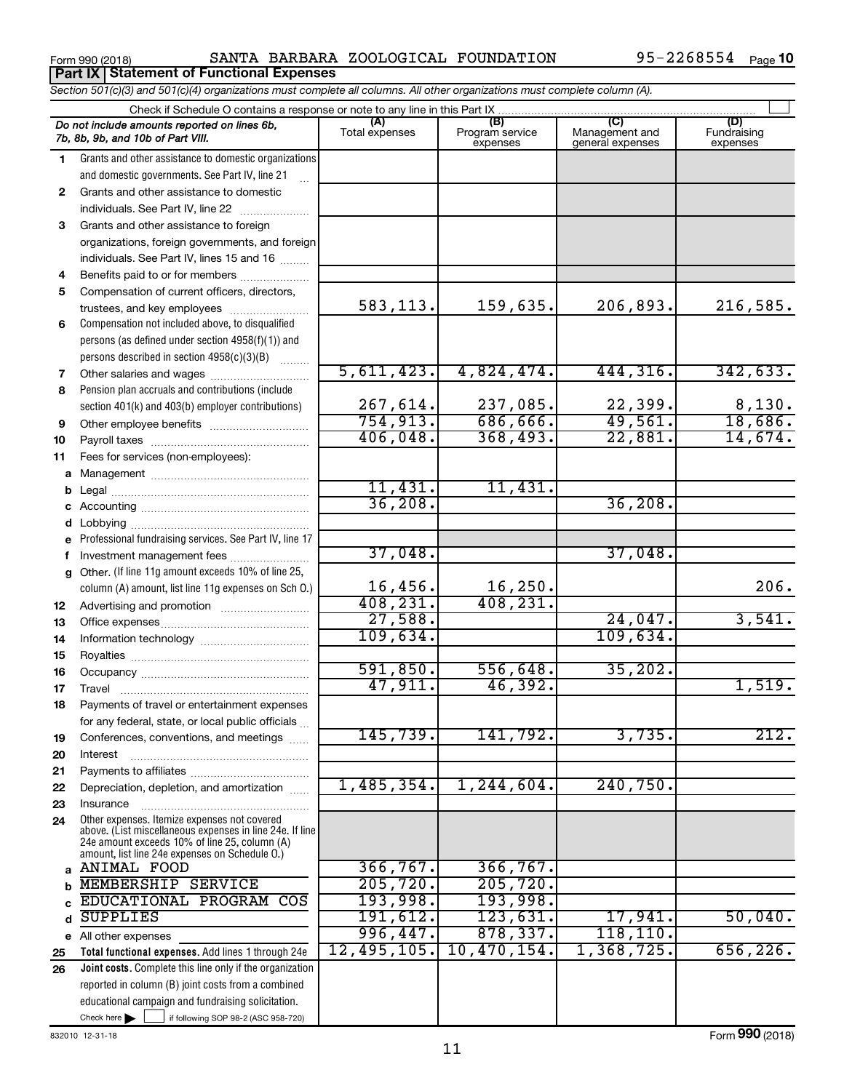**Part IX Statement of Functional Expenses**

Form 990 (2018) Page SANTA BARBARA ZOOLOGICAL FOUNDATION 95-2268554

|    | Section 501(c)(3) and 501(c)(4) organizations must complete all columns. All other organizations must complete column (A).                                                                                  |                       |                                    |                                           |                                |
|----|-------------------------------------------------------------------------------------------------------------------------------------------------------------------------------------------------------------|-----------------------|------------------------------------|-------------------------------------------|--------------------------------|
|    | Check if Schedule O contains a response or note to any line in this Part IX                                                                                                                                 |                       |                                    |                                           |                                |
|    | Do not include amounts reported on lines 6b,<br>7b, 8b, 9b, and 10b of Part VIII.                                                                                                                           | (A)<br>Total expenses | (B)<br>Program service<br>expenses | (C)<br>Management and<br>general expenses | (D)<br>Fundraising<br>expenses |
| 1. | Grants and other assistance to domestic organizations<br>and domestic governments. See Part IV, line 21                                                                                                     |                       |                                    |                                           |                                |
| 2  | Grants and other assistance to domestic                                                                                                                                                                     |                       |                                    |                                           |                                |
|    | individuals. See Part IV, line 22                                                                                                                                                                           |                       |                                    |                                           |                                |
| 3  | Grants and other assistance to foreign                                                                                                                                                                      |                       |                                    |                                           |                                |
|    | organizations, foreign governments, and foreign                                                                                                                                                             |                       |                                    |                                           |                                |
|    | individuals. See Part IV, lines 15 and 16                                                                                                                                                                   |                       |                                    |                                           |                                |
| 4  | Benefits paid to or for members                                                                                                                                                                             |                       |                                    |                                           |                                |
| 5  | Compensation of current officers, directors,                                                                                                                                                                |                       |                                    |                                           |                                |
|    | trustees, and key employees                                                                                                                                                                                 | 583,113.              | 159,635.                           | 206,893.                                  | 216,585.                       |
| 6  | Compensation not included above, to disqualified                                                                                                                                                            |                       |                                    |                                           |                                |
|    | persons (as defined under section 4958(f)(1)) and                                                                                                                                                           |                       |                                    |                                           |                                |
|    | persons described in section 4958(c)(3)(B)                                                                                                                                                                  |                       |                                    |                                           |                                |
| 7  |                                                                                                                                                                                                             | 5,611,423.            | 4,824,474.                         | 444, 316.                                 | 342,633.                       |
| 8  | Pension plan accruals and contributions (include                                                                                                                                                            |                       |                                    |                                           |                                |
|    | section 401(k) and 403(b) employer contributions)                                                                                                                                                           | 267,614.              | 237,085.                           | 22,399.                                   | 8,130.                         |
| 9  | Other employee benefits                                                                                                                                                                                     | 754, 913.             | 686,666.                           | 49,561.                                   | 18,686.                        |
| 10 |                                                                                                                                                                                                             | 406,048.              | 368,493.                           | 22,881.                                   | 14,674.                        |
| 11 | Fees for services (non-employees):                                                                                                                                                                          |                       |                                    |                                           |                                |
| а  |                                                                                                                                                                                                             |                       |                                    |                                           |                                |
|    |                                                                                                                                                                                                             | 11,431.<br>36,208.    | 11,431.                            | 36, 208.                                  |                                |
|    |                                                                                                                                                                                                             |                       |                                    |                                           |                                |
| d  |                                                                                                                                                                                                             |                       |                                    |                                           |                                |
|    | e Professional fundraising services. See Part IV, line 17                                                                                                                                                   | 37,048.               |                                    | 37,048.                                   |                                |
|    | f Investment management fees<br>g Other. (If line 11g amount exceeds 10% of line 25,                                                                                                                        |                       |                                    |                                           |                                |
|    | column (A) amount, list line 11g expenses on Sch O.)                                                                                                                                                        | $16,456$ .            | 16, 250.                           |                                           | 206.                           |
| 12 |                                                                                                                                                                                                             | 408, 231.             | 408, 231.                          |                                           |                                |
| 13 |                                                                                                                                                                                                             | 27,588.               |                                    | 24,047.                                   | 3,541.                         |
| 14 |                                                                                                                                                                                                             | 109,634.              |                                    | 109,634.                                  |                                |
| 15 |                                                                                                                                                                                                             |                       |                                    |                                           |                                |
| 16 |                                                                                                                                                                                                             | 591,850.              | 556,648.                           | 35,202.                                   |                                |
| 17 |                                                                                                                                                                                                             | 47,911.               | 46,392.                            |                                           | 1,519.                         |
| 18 | Payments of travel or entertainment expenses                                                                                                                                                                |                       |                                    |                                           |                                |
|    | for any federal, state, or local public officials                                                                                                                                                           |                       |                                    |                                           |                                |
| 19 | Conferences, conventions, and meetings                                                                                                                                                                      | 145,739.              | 141,792.                           | 3,735.                                    | 212.                           |
| 20 | Interest                                                                                                                                                                                                    |                       |                                    |                                           |                                |
| 21 |                                                                                                                                                                                                             |                       |                                    |                                           |                                |
| 22 | Depreciation, depletion, and amortization                                                                                                                                                                   | 1,485,354.            | 1, 244, 604.                       | 240,750.                                  |                                |
| 23 | Insurance                                                                                                                                                                                                   |                       |                                    |                                           |                                |
| 24 | Other expenses. Itemize expenses not covered<br>above. (List miscellaneous expenses in line 24e. If line<br>24e amount exceeds 10% of line 25, column (A)<br>amount, list line 24e expenses on Schedule O.) |                       |                                    |                                           |                                |
| a  | <b>ANIMAL FOOD</b>                                                                                                                                                                                          | 366, 767.             | 366, 767.                          |                                           |                                |
|    | MEMBERSHIP SERVICE                                                                                                                                                                                          | 205,720.              | 205,720.                           |                                           |                                |
|    | EDUCATIONAL PROGRAM COS                                                                                                                                                                                     | 193,998.              | 193,998.                           |                                           |                                |
| d  | <b>SUPPLIES</b>                                                                                                                                                                                             | 191,612.              | 123,631.                           | 17,941.                                   | 50,040.                        |
|    | e All other expenses                                                                                                                                                                                        | 996,447.              | 878, 337.                          | 118, 110.                                 |                                |
| 25 | Total functional expenses. Add lines 1 through 24e                                                                                                                                                          | 12,495,105.           | 10,470,154.                        | 1,368,725.                                | 656, 226.                      |
| 26 | Joint costs. Complete this line only if the organization                                                                                                                                                    |                       |                                    |                                           |                                |
|    | reported in column (B) joint costs from a combined                                                                                                                                                          |                       |                                    |                                           |                                |
|    | educational campaign and fundraising solicitation.                                                                                                                                                          |                       |                                    |                                           |                                |
|    | Check here $\blacktriangleright$<br>if following SOP 98-2 (ASC 958-720)                                                                                                                                     |                       |                                    |                                           |                                |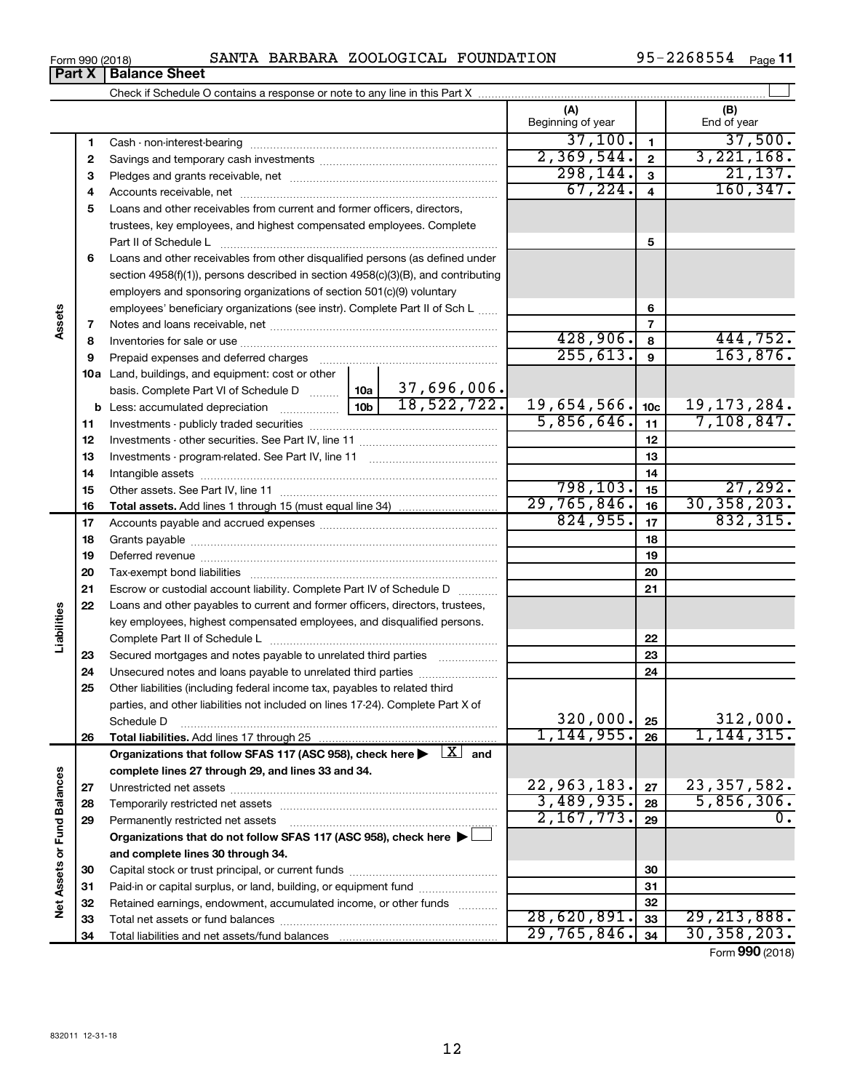**32 33 34**

| SANTA BARBARA ZOOLOGICAL FOUNDATION<br>Form 990 (2018) | 95-2268554 | Page |
|--------------------------------------------------------|------------|------|
|--------------------------------------------------------|------------|------|

|                             | Part X | <b>Balance Sheet</b>                                                                                                       |                 |                       |                           |                         |                             |
|-----------------------------|--------|----------------------------------------------------------------------------------------------------------------------------|-----------------|-----------------------|---------------------------|-------------------------|-----------------------------|
|                             |        |                                                                                                                            |                 |                       |                           |                         |                             |
|                             |        |                                                                                                                            |                 |                       | (A)<br>Beginning of year  |                         | (B)<br>End of year          |
|                             | 1      |                                                                                                                            |                 |                       | 37,100.                   | $\mathbf{1}$            | 37,500.                     |
|                             | 2      |                                                                                                                            |                 |                       | 2,369,544.                | $\mathbf{2}$            | 3,221,168.                  |
|                             | 3      |                                                                                                                            |                 |                       | 298, 144.                 | $\mathbf{3}$            | 21, 137.                    |
|                             | 4      |                                                                                                                            |                 |                       | 67,224.                   | $\overline{\mathbf{4}}$ | 160, 347.                   |
|                             | 5      | Loans and other receivables from current and former officers, directors,                                                   |                 |                       |                           |                         |                             |
|                             |        | trustees, key employees, and highest compensated employees. Complete                                                       |                 |                       |                           | 5                       |                             |
|                             | 6      | Loans and other receivables from other disqualified persons (as defined under                                              |                 |                       |                           |                         |                             |
|                             |        | section 4958(f)(1)), persons described in section 4958(c)(3)(B), and contributing                                          |                 |                       |                           |                         |                             |
|                             |        | employers and sponsoring organizations of section 501(c)(9) voluntary                                                      |                 |                       |                           |                         |                             |
|                             |        | employees' beneficiary organizations (see instr). Complete Part II of Sch L                                                |                 |                       |                           | 6                       |                             |
| Assets                      | 7      |                                                                                                                            |                 |                       |                           | $\overline{7}$          |                             |
|                             | 8      |                                                                                                                            |                 |                       | 428,906.                  | 8                       | 444,752.                    |
|                             | 9      | Prepaid expenses and deferred charges                                                                                      |                 |                       | 255, 613.                 | 9                       | 163,876.                    |
|                             |        | 10a Land, buildings, and equipment: cost or other                                                                          |                 |                       |                           |                         |                             |
|                             |        | basis. Complete Part VI of Schedule D  10a                                                                                 |                 | 37,696,006.           |                           |                         |                             |
|                             |        |                                                                                                                            | 10 <sub>b</sub> | $\boxed{18,522,722.}$ | 19,654,566.               | 10 <sub>c</sub>         | 19, 173, 284.               |
|                             | 11     |                                                                                                                            |                 |                       | 5,856,646.                | 11                      | 7,108,847.                  |
|                             | 12     |                                                                                                                            |                 | 12                    |                           |                         |                             |
|                             | 13     |                                                                                                                            |                 | 13                    |                           |                         |                             |
|                             | 14     |                                                                                                                            |                 | 14                    |                           |                         |                             |
|                             | 15     |                                                                                                                            | 798, 103.       | 15                    | 27, 292.                  |                         |                             |
|                             | 16     |                                                                                                                            |                 |                       | 29,765,846.               | 16                      | 30, 358, 203.               |
|                             | 17     |                                                                                                                            |                 | 824,955.              | 17                        | 832, 315.               |                             |
|                             | 18     |                                                                                                                            |                 | 18                    |                           |                         |                             |
|                             | 19     |                                                                                                                            |                 | 19                    |                           |                         |                             |
|                             | 20     |                                                                                                                            |                 |                       |                           | 20                      |                             |
|                             | 21     | Escrow or custodial account liability. Complete Part IV of Schedule D                                                      |                 |                       |                           | 21                      |                             |
|                             | 22     | Loans and other payables to current and former officers, directors, trustees,                                              |                 |                       |                           |                         |                             |
|                             |        | key employees, highest compensated employees, and disqualified persons.                                                    |                 |                       |                           |                         |                             |
| Liabilities                 |        |                                                                                                                            |                 |                       |                           | 22                      |                             |
|                             | 23     | Secured mortgages and notes payable to unrelated third parties                                                             |                 |                       |                           | 23                      |                             |
|                             | 24     | Unsecured notes and loans payable to unrelated third parties                                                               |                 |                       |                           | 24                      |                             |
|                             | 25     | Other liabilities (including federal income tax, payables to related third                                                 |                 |                       |                           |                         |                             |
|                             |        | parties, and other liabilities not included on lines 17-24). Complete Part X of                                            |                 |                       |                           |                         |                             |
|                             |        | Schedule D                                                                                                                 |                 |                       | 320,000.                  | 25                      | 312,000.                    |
|                             | 26     | Total liabilities. Add lines 17 through 25                                                                                 |                 |                       | 1, 144, 955.              | 26                      | 1,144,315.                  |
|                             |        | Organizations that follow SFAS 117 (ASC 958), check here $\blacktriangleright \begin{array}{c} \perp X \\ \end{array}$ and |                 |                       |                           |                         |                             |
|                             |        | complete lines 27 through 29, and lines 33 and 34.                                                                         |                 |                       | 22,963,183.               |                         |                             |
|                             | 27     |                                                                                                                            |                 |                       | 3,489,935.                | 27                      | 23, 357, 582.<br>5,856,306. |
|                             | 28     | Temporarily restricted net assets                                                                                          |                 |                       | 2,167,773.                | 28                      | $\overline{0}$ .            |
|                             | 29     | Permanently restricted net assets                                                                                          |                 |                       |                           | 29                      |                             |
|                             |        | Organizations that do not follow SFAS 117 (ASC 958), check here >                                                          |                 |                       |                           |                         |                             |
|                             |        | and complete lines 30 through 34.                                                                                          |                 |                       |                           |                         |                             |
|                             | 30     |                                                                                                                            |                 |                       |                           | 30                      |                             |
| Net Assets or Fund Balances | 31     | Paid-in or capital surplus, or land, building, or equipment fund                                                           |                 |                       |                           | 31                      |                             |
|                             | 32     | Retained earnings, endowment, accumulated income, or other funds<br>Total not accete as fund beloness                      |                 | .                     | $\overline{28}$<br>620891 | 32<br>$\sim$            | 29 213 888                  |

Form (2018) **990**

**32 33 34**

 $28,620,891.$   $33$   $29,213,888.$ 29,765,846. 30,358,203.

Total net assets or fund balances ~~~~~~~~~~~~~~~~~~~~~~

Total liabilities and net assets/fund balances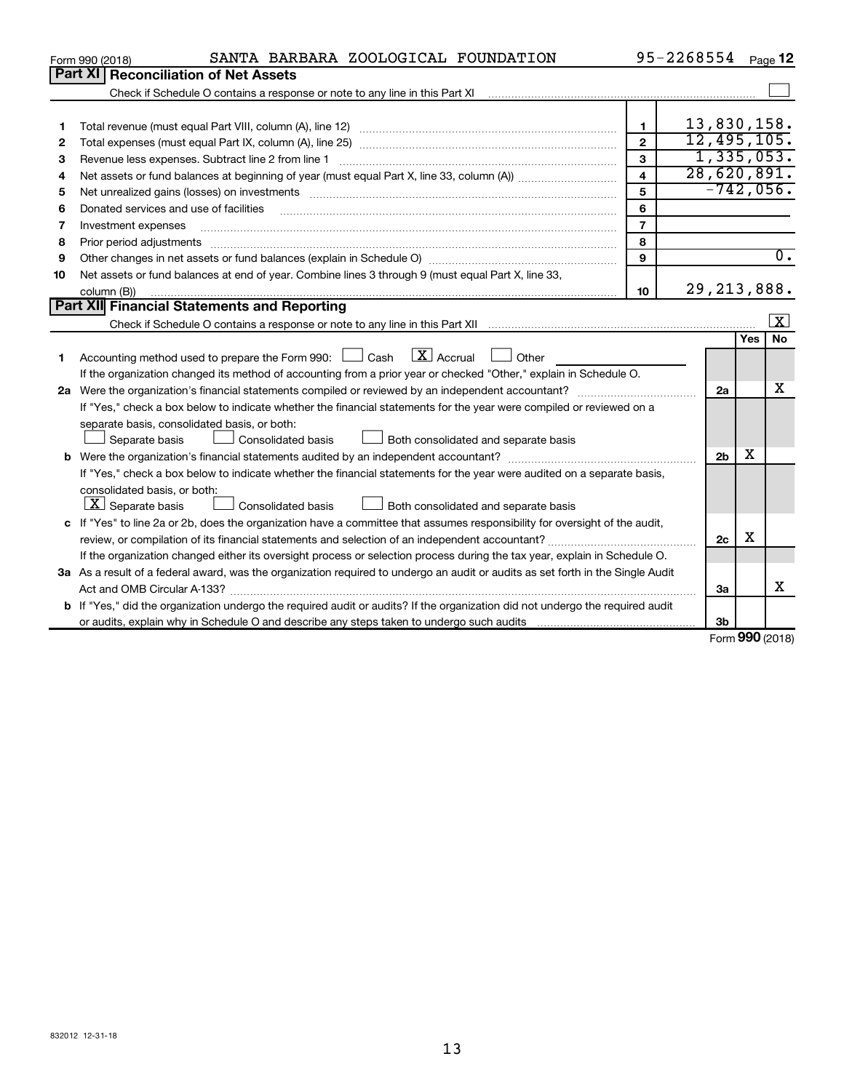|    | SANTA BARBARA ZOOLOGICAL FOUNDATION<br>Form 990 (2018)                                                                                                                                                                                                                                                                                                                                                                                                                                              |                | 95-2268554    |                |     | Page 12                 |  |  |
|----|-----------------------------------------------------------------------------------------------------------------------------------------------------------------------------------------------------------------------------------------------------------------------------------------------------------------------------------------------------------------------------------------------------------------------------------------------------------------------------------------------------|----------------|---------------|----------------|-----|-------------------------|--|--|
|    | Part XI<br><b>Reconciliation of Net Assets</b>                                                                                                                                                                                                                                                                                                                                                                                                                                                      |                |               |                |     |                         |  |  |
|    |                                                                                                                                                                                                                                                                                                                                                                                                                                                                                                     |                |               |                |     |                         |  |  |
|    |                                                                                                                                                                                                                                                                                                                                                                                                                                                                                                     |                |               |                |     |                         |  |  |
| 1  |                                                                                                                                                                                                                                                                                                                                                                                                                                                                                                     | 1              | 13,830,158.   |                |     |                         |  |  |
| 2  |                                                                                                                                                                                                                                                                                                                                                                                                                                                                                                     | $\overline{2}$ | 12,495,105.   |                |     |                         |  |  |
| З  | 1,335,053.<br>3<br>Revenue less expenses. Subtract line 2 from line 1                                                                                                                                                                                                                                                                                                                                                                                                                               |                |               |                |     |                         |  |  |
| 4  | 28,620,891.<br>$\overline{\mathbf{4}}$                                                                                                                                                                                                                                                                                                                                                                                                                                                              |                |               |                |     |                         |  |  |
| 5  | Net unrealized gains (losses) on investments [11] matter contracts and the state of the state of the state of the state of the state of the state of the state of the state of the state of the state of the state of the stat                                                                                                                                                                                                                                                                      | 5              |               |                |     | $-742,056.$             |  |  |
| 6  | Donated services and use of facilities                                                                                                                                                                                                                                                                                                                                                                                                                                                              | 6              |               |                |     |                         |  |  |
| 7  | Investment expenses                                                                                                                                                                                                                                                                                                                                                                                                                                                                                 | $\overline{7}$ |               |                |     |                         |  |  |
| 8  |                                                                                                                                                                                                                                                                                                                                                                                                                                                                                                     | 8              |               |                |     |                         |  |  |
| 9  |                                                                                                                                                                                                                                                                                                                                                                                                                                                                                                     | 9              |               |                |     | $\overline{0}$ .        |  |  |
| 10 | Net assets or fund balances at end of year. Combine lines 3 through 9 (must equal Part X, line 33,                                                                                                                                                                                                                                                                                                                                                                                                  |                |               |                |     |                         |  |  |
|    | column (B))<br>$\begin{minipage}{0.9\linewidth} \begin{tabular}{l} \hline \textbf{0.01} \end{tabular} \end{minipage} \begin{tabular}{l} \hline \textbf{1.01} \end{tabular} \end{minipage} \begin{tabular}{l} \hline \textbf{1.01} \end{tabular} \end{minipage} \begin{minipage}{0.9\linewidth} \textbf{1.01} \end{minipage} \begin{tabular}{l} \hline \textbf{1.01} \end{tabular} \end{minipage} \begin{minipage}{0.9\linewidth} \textbf{1.01} \end{minipage} \begin{tabular}{l} \hline \textbf{1.$ | 10             | 29, 213, 888. |                |     |                         |  |  |
|    | Part XII Financial Statements and Reporting                                                                                                                                                                                                                                                                                                                                                                                                                                                         |                |               |                |     |                         |  |  |
|    |                                                                                                                                                                                                                                                                                                                                                                                                                                                                                                     |                |               |                |     | $\overline{\mathbf{x}}$ |  |  |
|    |                                                                                                                                                                                                                                                                                                                                                                                                                                                                                                     |                |               |                | Yes | <b>No</b>               |  |  |
| 1  | $\boxed{\text{X}}$ Accrual<br>Accounting method used to prepare the Form 990: [130] Cash<br>Other<br><b>Contract</b>                                                                                                                                                                                                                                                                                                                                                                                |                |               |                |     |                         |  |  |
|    | If the organization changed its method of accounting from a prior year or checked "Other," explain in Schedule O.                                                                                                                                                                                                                                                                                                                                                                                   |                |               |                |     |                         |  |  |
|    |                                                                                                                                                                                                                                                                                                                                                                                                                                                                                                     |                |               | 2a             |     | x                       |  |  |
|    | If "Yes," check a box below to indicate whether the financial statements for the year were compiled or reviewed on a                                                                                                                                                                                                                                                                                                                                                                                |                |               |                |     |                         |  |  |
|    | separate basis, consolidated basis, or both:                                                                                                                                                                                                                                                                                                                                                                                                                                                        |                |               |                |     |                         |  |  |
|    | Separate basis<br>Consolidated basis<br>Both consolidated and separate basis                                                                                                                                                                                                                                                                                                                                                                                                                        |                |               |                |     |                         |  |  |
|    |                                                                                                                                                                                                                                                                                                                                                                                                                                                                                                     |                |               | 2 <sub>b</sub> | х   |                         |  |  |
|    | If "Yes," check a box below to indicate whether the financial statements for the year were audited on a separate basis,                                                                                                                                                                                                                                                                                                                                                                             |                |               |                |     |                         |  |  |
|    | consolidated basis, or both:                                                                                                                                                                                                                                                                                                                                                                                                                                                                        |                |               |                |     |                         |  |  |
|    | $ \mathbf{X} $ Separate basis<br><b>Consolidated basis</b><br>Both consolidated and separate basis                                                                                                                                                                                                                                                                                                                                                                                                  |                |               |                |     |                         |  |  |
|    | c If "Yes" to line 2a or 2b, does the organization have a committee that assumes responsibility for oversight of the audit,                                                                                                                                                                                                                                                                                                                                                                         |                |               |                |     |                         |  |  |
|    | review, or compilation of its financial statements and selection of an independent accountant?                                                                                                                                                                                                                                                                                                                                                                                                      |                |               | 2c             | х   |                         |  |  |
|    | If the organization changed either its oversight process or selection process during the tax year, explain in Schedule O.                                                                                                                                                                                                                                                                                                                                                                           |                |               |                |     |                         |  |  |
|    | 3a As a result of a federal award, was the organization required to undergo an audit or audits as set forth in the Single Audit                                                                                                                                                                                                                                                                                                                                                                     |                |               |                |     |                         |  |  |
|    |                                                                                                                                                                                                                                                                                                                                                                                                                                                                                                     |                |               | 3a             |     | x                       |  |  |
|    | <b>b</b> If "Yes," did the organization undergo the required audit or audits? If the organization did not undergo the required audit                                                                                                                                                                                                                                                                                                                                                                |                |               |                |     |                         |  |  |
|    |                                                                                                                                                                                                                                                                                                                                                                                                                                                                                                     |                |               | 3b             |     |                         |  |  |
|    |                                                                                                                                                                                                                                                                                                                                                                                                                                                                                                     |                |               |                |     | $000 \text{ mas}$       |  |  |

Form (2018) **990**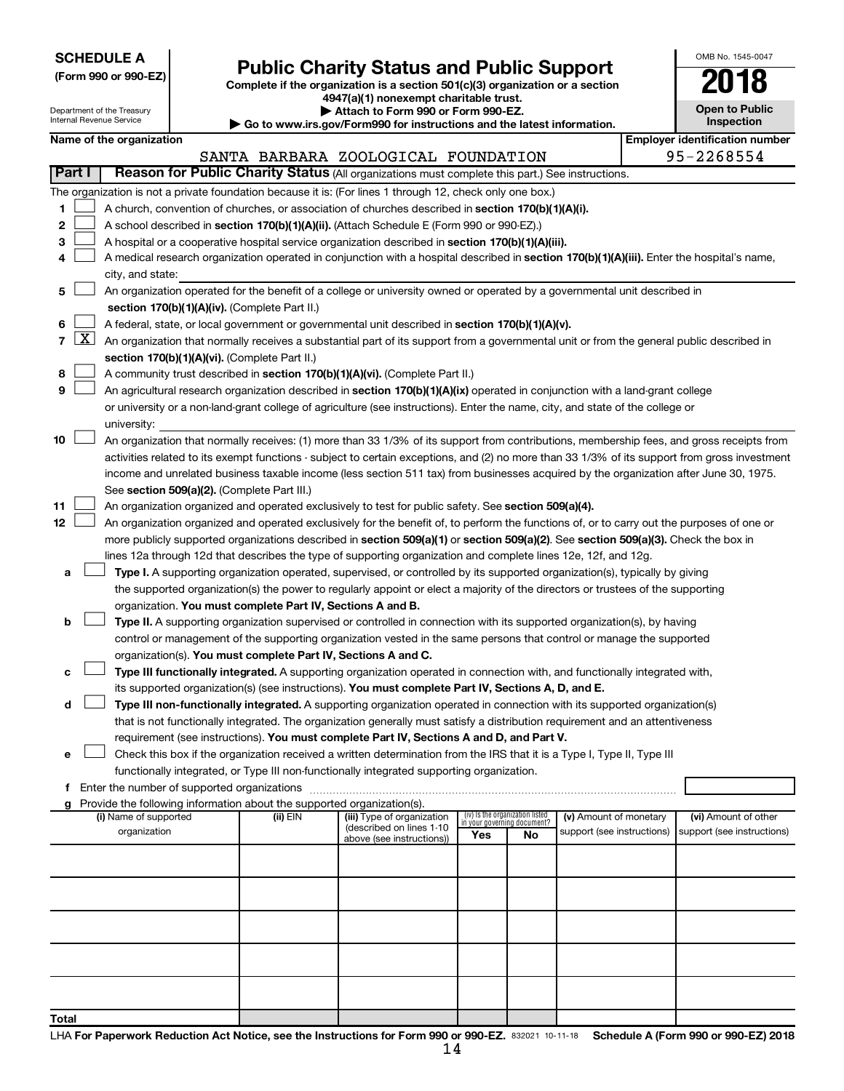| <b>SCHEDULE A</b> |  |
|-------------------|--|
|-------------------|--|

# **Public Charity Status and Public Support**<br> **Addition is a section 501(c)(3) organization or a section**<br>  $4947(a)(1)$  nonexempt charitable trust.

**(Form 990 or 990-EZ) Complete if the organization is a section 501(c)(3) organization or a section**

| OMB No 1545-0047                    |
|-------------------------------------|
| <b>018</b>                          |
| <b>Open to Public</b><br>Inspection |

 $\Box$ 

| Department of the Treasury<br>Internal Revenue Service |                          |  | Attach to Form 990 or Form 990-EZ.<br>Go to www.irs.gov/Form990 for instructions and the latest information. | <b>Open to Public</b><br>Inspection                                                                                                                                                                             |     |                                   |                            |                                       |
|--------------------------------------------------------|--------------------------|--|--------------------------------------------------------------------------------------------------------------|-----------------------------------------------------------------------------------------------------------------------------------------------------------------------------------------------------------------|-----|-----------------------------------|----------------------------|---------------------------------------|
|                                                        | Name of the organization |  |                                                                                                              |                                                                                                                                                                                                                 |     |                                   |                            | <b>Employer identification number</b> |
|                                                        |                          |  |                                                                                                              | SANTA BARBARA ZOOLOGICAL FOUNDATION                                                                                                                                                                             |     |                                   |                            | 95-2268554                            |
| Part I                                                 |                          |  |                                                                                                              | Reason for Public Charity Status (All organizations must complete this part.) See instructions.                                                                                                                 |     |                                   |                            |                                       |
|                                                        |                          |  |                                                                                                              |                                                                                                                                                                                                                 |     |                                   |                            |                                       |
|                                                        |                          |  |                                                                                                              | The organization is not a private foundation because it is: (For lines 1 through 12, check only one box.)<br>A church, convention of churches, or association of churches described in section 170(b)(1)(A)(i). |     |                                   |                            |                                       |
| 1                                                      |                          |  |                                                                                                              |                                                                                                                                                                                                                 |     |                                   |                            |                                       |
| 2                                                      |                          |  |                                                                                                              | A school described in section 170(b)(1)(A)(ii). (Attach Schedule E (Form 990 or 990-EZ).)<br>A hospital or a cooperative hospital service organization described in section 170(b)(1)(A)(iii).                  |     |                                   |                            |                                       |
| 3                                                      |                          |  |                                                                                                              |                                                                                                                                                                                                                 |     |                                   |                            |                                       |
| 4                                                      |                          |  |                                                                                                              | A medical research organization operated in conjunction with a hospital described in section 170(b)(1)(A)(iii). Enter the hospital's name,                                                                      |     |                                   |                            |                                       |
| 5                                                      | city, and state:         |  |                                                                                                              | An organization operated for the benefit of a college or university owned or operated by a governmental unit described in                                                                                       |     |                                   |                            |                                       |
|                                                        |                          |  | section 170(b)(1)(A)(iv). (Complete Part II.)                                                                |                                                                                                                                                                                                                 |     |                                   |                            |                                       |
| 6                                                      |                          |  |                                                                                                              | A federal, state, or local government or governmental unit described in section 170(b)(1)(A)(v).                                                                                                                |     |                                   |                            |                                       |
| $\mathbf{X}$<br>7                                      |                          |  |                                                                                                              | An organization that normally receives a substantial part of its support from a governmental unit or from the general public described in                                                                       |     |                                   |                            |                                       |
|                                                        |                          |  | section 170(b)(1)(A)(vi). (Complete Part II.)                                                                |                                                                                                                                                                                                                 |     |                                   |                            |                                       |
| 8                                                      |                          |  |                                                                                                              | A community trust described in section 170(b)(1)(A)(vi). (Complete Part II.)                                                                                                                                    |     |                                   |                            |                                       |
| 9                                                      |                          |  |                                                                                                              | An agricultural research organization described in section 170(b)(1)(A)(ix) operated in conjunction with a land-grant college                                                                                   |     |                                   |                            |                                       |
|                                                        |                          |  |                                                                                                              | or university or a non-land-grant college of agriculture (see instructions). Enter the name, city, and state of the college or                                                                                  |     |                                   |                            |                                       |
|                                                        | university:              |  |                                                                                                              |                                                                                                                                                                                                                 |     |                                   |                            |                                       |
| 10                                                     |                          |  |                                                                                                              | An organization that normally receives: (1) more than 33 1/3% of its support from contributions, membership fees, and gross receipts from                                                                       |     |                                   |                            |                                       |
|                                                        |                          |  |                                                                                                              | activities related to its exempt functions - subject to certain exceptions, and (2) no more than 33 1/3% of its support from gross investment                                                                   |     |                                   |                            |                                       |
|                                                        |                          |  |                                                                                                              | income and unrelated business taxable income (less section 511 tax) from businesses acquired by the organization after June 30, 1975.                                                                           |     |                                   |                            |                                       |
|                                                        |                          |  | See section 509(a)(2). (Complete Part III.)                                                                  |                                                                                                                                                                                                                 |     |                                   |                            |                                       |
| 11                                                     |                          |  |                                                                                                              | An organization organized and operated exclusively to test for public safety. See section 509(a)(4).                                                                                                            |     |                                   |                            |                                       |
| 12 <sup>°</sup>                                        |                          |  |                                                                                                              | An organization organized and operated exclusively for the benefit of, to perform the functions of, or to carry out the purposes of one or                                                                      |     |                                   |                            |                                       |
|                                                        |                          |  |                                                                                                              | more publicly supported organizations described in section 509(a)(1) or section 509(a)(2). See section 509(a)(3). Check the box in                                                                              |     |                                   |                            |                                       |
|                                                        |                          |  |                                                                                                              | lines 12a through 12d that describes the type of supporting organization and complete lines 12e, 12f, and 12g.                                                                                                  |     |                                   |                            |                                       |
| а                                                      |                          |  |                                                                                                              | Type I. A supporting organization operated, supervised, or controlled by its supported organization(s), typically by giving                                                                                     |     |                                   |                            |                                       |
|                                                        |                          |  |                                                                                                              | the supported organization(s) the power to regularly appoint or elect a majority of the directors or trustees of the supporting                                                                                 |     |                                   |                            |                                       |
|                                                        |                          |  | organization. You must complete Part IV, Sections A and B.                                                   |                                                                                                                                                                                                                 |     |                                   |                            |                                       |
| b                                                      |                          |  |                                                                                                              | Type II. A supporting organization supervised or controlled in connection with its supported organization(s), by having                                                                                         |     |                                   |                            |                                       |
|                                                        |                          |  |                                                                                                              | control or management of the supporting organization vested in the same persons that control or manage the supported                                                                                            |     |                                   |                            |                                       |
|                                                        |                          |  | organization(s). You must complete Part IV, Sections A and C.                                                |                                                                                                                                                                                                                 |     |                                   |                            |                                       |
| с                                                      |                          |  |                                                                                                              | Type III functionally integrated. A supporting organization operated in connection with, and functionally integrated with,                                                                                      |     |                                   |                            |                                       |
|                                                        |                          |  |                                                                                                              | its supported organization(s) (see instructions). You must complete Part IV, Sections A, D, and E.                                                                                                              |     |                                   |                            |                                       |
| d                                                      |                          |  |                                                                                                              | Type III non-functionally integrated. A supporting organization operated in connection with its supported organization(s)                                                                                       |     |                                   |                            |                                       |
|                                                        |                          |  |                                                                                                              | that is not functionally integrated. The organization generally must satisfy a distribution requirement and an attentiveness                                                                                    |     |                                   |                            |                                       |
|                                                        |                          |  |                                                                                                              | requirement (see instructions). You must complete Part IV, Sections A and D, and Part V.                                                                                                                        |     |                                   |                            |                                       |
| е                                                      |                          |  |                                                                                                              | Check this box if the organization received a written determination from the IRS that it is a Type I, Type II, Type III                                                                                         |     |                                   |                            |                                       |
|                                                        |                          |  |                                                                                                              | functionally integrated, or Type III non-functionally integrated supporting organization.                                                                                                                       |     |                                   |                            |                                       |
|                                                        |                          |  |                                                                                                              |                                                                                                                                                                                                                 |     |                                   |                            |                                       |
|                                                        | (i) Name of supported    |  | g Provide the following information about the supported organization(s).<br>(ii) EIN                         | (iii) Type of organization                                                                                                                                                                                      |     | (iv) Is the organization listed   | (v) Amount of monetary     | (vi) Amount of other                  |
|                                                        | organization             |  |                                                                                                              | (described on lines 1-10                                                                                                                                                                                        | Yes | in your governing document?<br>No | support (see instructions) | support (see instructions)            |
|                                                        |                          |  |                                                                                                              | above (see instructions))                                                                                                                                                                                       |     |                                   |                            |                                       |
|                                                        |                          |  |                                                                                                              |                                                                                                                                                                                                                 |     |                                   |                            |                                       |
|                                                        |                          |  |                                                                                                              |                                                                                                                                                                                                                 |     |                                   |                            |                                       |
|                                                        |                          |  |                                                                                                              |                                                                                                                                                                                                                 |     |                                   |                            |                                       |
|                                                        |                          |  |                                                                                                              |                                                                                                                                                                                                                 |     |                                   |                            |                                       |
|                                                        |                          |  |                                                                                                              |                                                                                                                                                                                                                 |     |                                   |                            |                                       |
|                                                        |                          |  |                                                                                                              |                                                                                                                                                                                                                 |     |                                   |                            |                                       |
|                                                        |                          |  |                                                                                                              |                                                                                                                                                                                                                 |     |                                   |                            |                                       |
|                                                        |                          |  |                                                                                                              |                                                                                                                                                                                                                 |     |                                   |                            |                                       |
|                                                        |                          |  |                                                                                                              |                                                                                                                                                                                                                 |     |                                   |                            |                                       |
| Total                                                  |                          |  |                                                                                                              |                                                                                                                                                                                                                 |     |                                   |                            |                                       |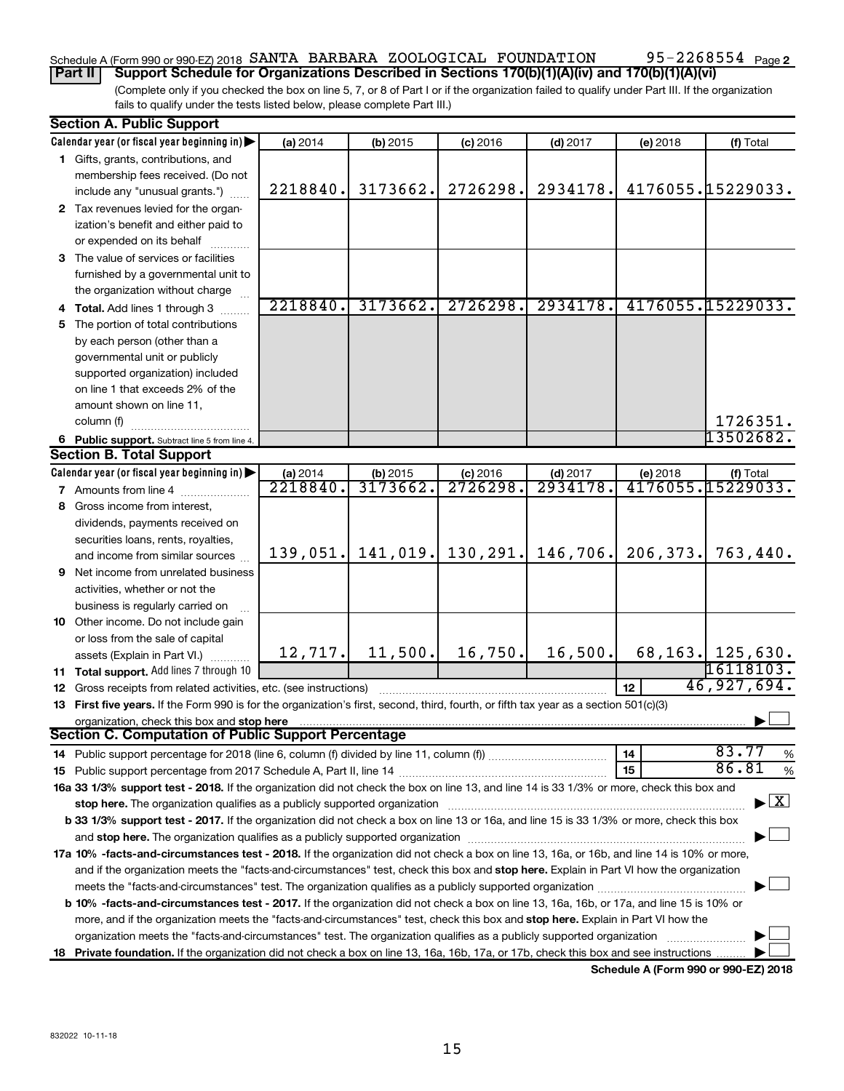## Schedule A (Form 990 or 990-EZ) 2018 SANTA BARBARA ZOOLOGICAL FOUNDATION 95-2268554 Page **Part II Support Schedule for Organizations Described in Sections 170(b)(1)(A)(iv) and 170(b)(1)(A)(vi)**

95-2268554 Page 2

(Complete only if you checked the box on line 5, 7, or 8 of Part I or if the organization failed to qualify under Part III. If the organization fails to qualify under the tests listed below, please complete Part III.)

| <b>Section A. Public Support</b>                                                                                                                                                                                               |                      |                      |                        |                        |           |                                    |
|--------------------------------------------------------------------------------------------------------------------------------------------------------------------------------------------------------------------------------|----------------------|----------------------|------------------------|------------------------|-----------|------------------------------------|
| Calendar year (or fiscal year beginning in)                                                                                                                                                                                    | (a) 2014             | $(b)$ 2015           | $(c)$ 2016             | $(d)$ 2017             | (e) 2018  | (f) Total                          |
| 1 Gifts, grants, contributions, and                                                                                                                                                                                            |                      |                      |                        |                        |           |                                    |
| membership fees received. (Do not                                                                                                                                                                                              |                      |                      |                        |                        |           |                                    |
| include any "unusual grants.")                                                                                                                                                                                                 | 2218840.             | 3173662.             | 2726298.               | 2934178.               |           | 4176055.15229033.                  |
| 2 Tax revenues levied for the organ-                                                                                                                                                                                           |                      |                      |                        |                        |           |                                    |
| ization's benefit and either paid to                                                                                                                                                                                           |                      |                      |                        |                        |           |                                    |
| or expended on its behalf                                                                                                                                                                                                      |                      |                      |                        |                        |           |                                    |
| 3 The value of services or facilities                                                                                                                                                                                          |                      |                      |                        |                        |           |                                    |
| furnished by a governmental unit to                                                                                                                                                                                            |                      |                      |                        |                        |           |                                    |
| the organization without charge                                                                                                                                                                                                |                      |                      |                        |                        |           |                                    |
| 4 Total. Add lines 1 through 3                                                                                                                                                                                                 | 2218840.             | 3173662.             | 2726298.               | 2934178.               |           | 4176055.15229033.                  |
| 5 The portion of total contributions                                                                                                                                                                                           |                      |                      |                        |                        |           |                                    |
| by each person (other than a                                                                                                                                                                                                   |                      |                      |                        |                        |           |                                    |
| governmental unit or publicly                                                                                                                                                                                                  |                      |                      |                        |                        |           |                                    |
| supported organization) included                                                                                                                                                                                               |                      |                      |                        |                        |           |                                    |
| on line 1 that exceeds 2% of the                                                                                                                                                                                               |                      |                      |                        |                        |           |                                    |
| amount shown on line 11,                                                                                                                                                                                                       |                      |                      |                        |                        |           |                                    |
| column (f)                                                                                                                                                                                                                     |                      |                      |                        |                        |           | 1726351.                           |
|                                                                                                                                                                                                                                |                      |                      |                        |                        |           | 13502682.                          |
| 6 Public support. Subtract line 5 from line 4.<br><b>Section B. Total Support</b>                                                                                                                                              |                      |                      |                        |                        |           |                                    |
| Calendar year (or fiscal year beginning in)                                                                                                                                                                                    |                      |                      |                        |                        |           |                                    |
|                                                                                                                                                                                                                                | (a) 2014<br>2218840. | (b) 2015<br>3173662. | $(c)$ 2016<br>2726298. | $(d)$ 2017<br>2934178. | (e) 2018  | (f) Total<br>4176055.15229033.     |
| 7 Amounts from line 4                                                                                                                                                                                                          |                      |                      |                        |                        |           |                                    |
| 8 Gross income from interest,                                                                                                                                                                                                  |                      |                      |                        |                        |           |                                    |
| dividends, payments received on                                                                                                                                                                                                |                      |                      |                        |                        |           |                                    |
| securities loans, rents, royalties,                                                                                                                                                                                            | 139,051.             |                      | $141,019.$ 130, 291.   | 146,706.               | 206, 373. | 763,440.                           |
| and income from similar sources                                                                                                                                                                                                |                      |                      |                        |                        |           |                                    |
| <b>9</b> Net income from unrelated business                                                                                                                                                                                    |                      |                      |                        |                        |           |                                    |
| activities, whether or not the                                                                                                                                                                                                 |                      |                      |                        |                        |           |                                    |
| business is regularly carried on                                                                                                                                                                                               |                      |                      |                        |                        |           |                                    |
| 10 Other income. Do not include gain                                                                                                                                                                                           |                      |                      |                        |                        |           |                                    |
| or loss from the sale of capital                                                                                                                                                                                               |                      |                      |                        |                        |           |                                    |
| assets (Explain in Part VI.)                                                                                                                                                                                                   | 12, 717.             | 11,500.              | 16, 750.               | 16,500.                |           | 68, 163. 125, 630.                 |
| 11 Total support. Add lines 7 through 10                                                                                                                                                                                       |                      |                      |                        |                        |           | 16118103.                          |
| <b>12</b> Gross receipts from related activities, etc. (see instructions)                                                                                                                                                      |                      |                      |                        |                        | 12        | 46,927,694.                        |
| 13 First five years. If the Form 990 is for the organization's first, second, third, fourth, or fifth tax year as a section 501(c)(3)                                                                                          |                      |                      |                        |                        |           |                                    |
| organization, check this box and stop here                                                                                                                                                                                     |                      |                      |                        |                        |           |                                    |
| <b>Section C. Computation of Public Support Percentage</b>                                                                                                                                                                     |                      |                      |                        |                        |           |                                    |
|                                                                                                                                                                                                                                |                      |                      |                        |                        | 14        | 83.77<br>%                         |
|                                                                                                                                                                                                                                |                      |                      |                        |                        | 15        | 86.81<br>%                         |
| 16a 33 1/3% support test - 2018. If the organization did not check the box on line 13, and line 14 is 33 1/3% or more, check this box and                                                                                      |                      |                      |                        |                        |           |                                    |
| stop here. The organization qualifies as a publicly supported organization manufactured content and the organization of the state of the state of the state of the state of the state of the state of the state of the state o |                      |                      |                        |                        |           | $\blacktriangleright$ $\mathbf{X}$ |
| b 33 1/3% support test - 2017. If the organization did not check a box on line 13 or 16a, and line 15 is 33 1/3% or more, check this box                                                                                       |                      |                      |                        |                        |           |                                    |
|                                                                                                                                                                                                                                |                      |                      |                        |                        |           |                                    |
| 17a 10% -facts-and-circumstances test - 2018. If the organization did not check a box on line 13, 16a, or 16b, and line 14 is 10% or more,                                                                                     |                      |                      |                        |                        |           |                                    |
| and if the organization meets the "facts-and-circumstances" test, check this box and stop here. Explain in Part VI how the organization                                                                                        |                      |                      |                        |                        |           |                                    |
|                                                                                                                                                                                                                                |                      |                      |                        |                        |           |                                    |
| <b>b 10%</b> -facts-and-circumstances test - 2017. If the organization did not check a box on line 13, 16a, 16b, or 17a, and line 15 is 10% or                                                                                 |                      |                      |                        |                        |           |                                    |
| more, and if the organization meets the "facts-and-circumstances" test, check this box and stop here. Explain in Part VI how the                                                                                               |                      |                      |                        |                        |           |                                    |
| organization meets the "facts-and-circumstances" test. The organization qualifies as a publicly supported organization                                                                                                         |                      |                      |                        |                        |           |                                    |
| 18 Private foundation. If the organization did not check a box on line 13, 16a, 16b, 17a, or 17b, check this box and see instructions                                                                                          |                      |                      |                        |                        |           |                                    |
|                                                                                                                                                                                                                                |                      |                      |                        |                        |           |                                    |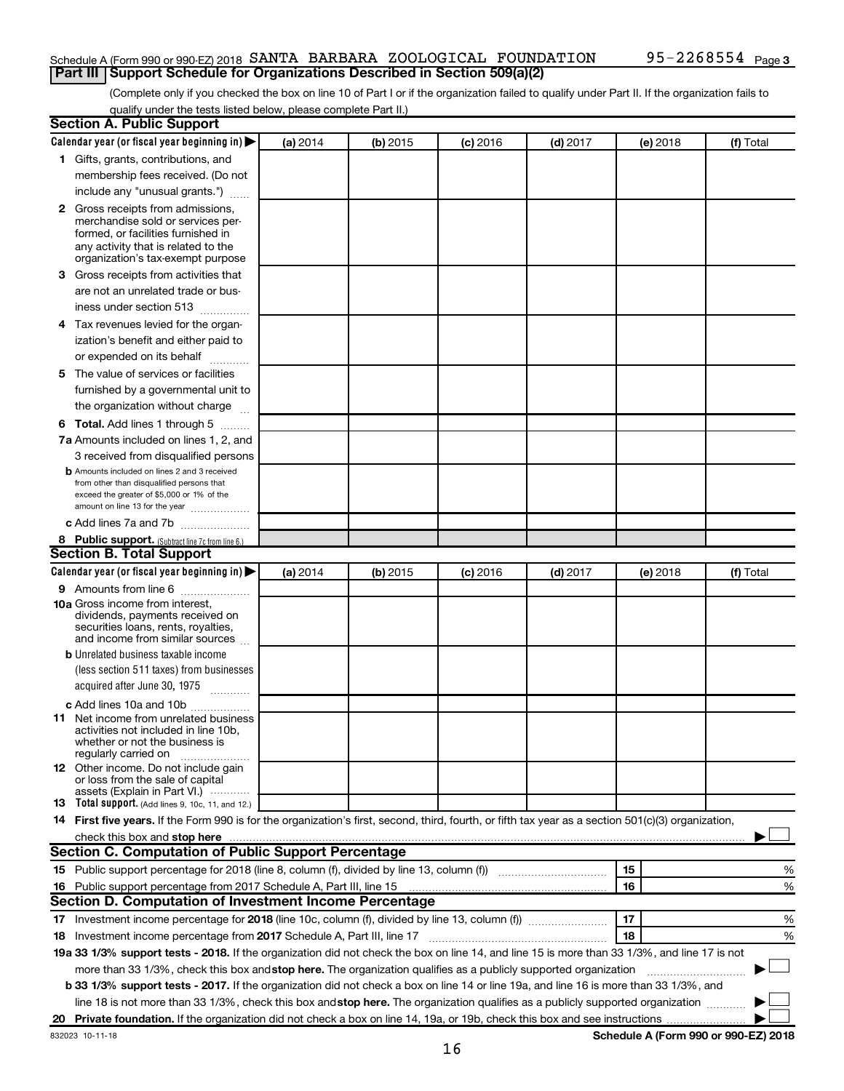## Schedule A (Form 990 or 990-EZ) 2018 SANTA BARBARA ZOOLOGICAL FOUNDATION 95-2268554 Page **Part III Support Schedule for Organizations Described in Section 509(a)(2)**

(Complete only if you checked the box on line 10 of Part I or if the organization failed to qualify under Part II. If the organization fails to qualify under the tests listed below, please complete Part II.)

| <b>Section A. Public Support</b>                                                                                                                                                                                               |          |            |            |            |          |           |
|--------------------------------------------------------------------------------------------------------------------------------------------------------------------------------------------------------------------------------|----------|------------|------------|------------|----------|-----------|
| Calendar year (or fiscal year beginning in)                                                                                                                                                                                    | (a) 2014 | (b) 2015   | $(c)$ 2016 | $(d)$ 2017 | (e) 2018 | (f) Total |
| 1 Gifts, grants, contributions, and                                                                                                                                                                                            |          |            |            |            |          |           |
| membership fees received. (Do not                                                                                                                                                                                              |          |            |            |            |          |           |
| include any "unusual grants.")                                                                                                                                                                                                 |          |            |            |            |          |           |
| <b>2</b> Gross receipts from admissions,                                                                                                                                                                                       |          |            |            |            |          |           |
| merchandise sold or services per-                                                                                                                                                                                              |          |            |            |            |          |           |
| formed, or facilities furnished in                                                                                                                                                                                             |          |            |            |            |          |           |
| any activity that is related to the<br>organization's tax-exempt purpose                                                                                                                                                       |          |            |            |            |          |           |
| 3 Gross receipts from activities that                                                                                                                                                                                          |          |            |            |            |          |           |
| are not an unrelated trade or bus-                                                                                                                                                                                             |          |            |            |            |          |           |
|                                                                                                                                                                                                                                |          |            |            |            |          |           |
| iness under section 513                                                                                                                                                                                                        |          |            |            |            |          |           |
| 4 Tax revenues levied for the organ-                                                                                                                                                                                           |          |            |            |            |          |           |
| ization's benefit and either paid to                                                                                                                                                                                           |          |            |            |            |          |           |
| or expended on its behalf                                                                                                                                                                                                      |          |            |            |            |          |           |
| 5 The value of services or facilities                                                                                                                                                                                          |          |            |            |            |          |           |
| furnished by a governmental unit to                                                                                                                                                                                            |          |            |            |            |          |           |
| the organization without charge                                                                                                                                                                                                |          |            |            |            |          |           |
| 6 Total. Add lines 1 through 5                                                                                                                                                                                                 |          |            |            |            |          |           |
| 7a Amounts included on lines 1, 2, and                                                                                                                                                                                         |          |            |            |            |          |           |
| 3 received from disqualified persons                                                                                                                                                                                           |          |            |            |            |          |           |
| <b>b</b> Amounts included on lines 2 and 3 received                                                                                                                                                                            |          |            |            |            |          |           |
| from other than disqualified persons that<br>exceed the greater of \$5,000 or 1% of the                                                                                                                                        |          |            |            |            |          |           |
| amount on line 13 for the year                                                                                                                                                                                                 |          |            |            |            |          |           |
| c Add lines 7a and 7b                                                                                                                                                                                                          |          |            |            |            |          |           |
| 8 Public support. (Subtract line 7c from line 6.)                                                                                                                                                                              |          |            |            |            |          |           |
| <b>Section B. Total Support</b>                                                                                                                                                                                                |          |            |            |            |          |           |
| Calendar year (or fiscal year beginning in)                                                                                                                                                                                    | (a) 2014 | $(b)$ 2015 | $(c)$ 2016 | $(d)$ 2017 | (e) 2018 | (f) Total |
| 9 Amounts from line 6                                                                                                                                                                                                          |          |            |            |            |          |           |
| <b>10a</b> Gross income from interest,                                                                                                                                                                                         |          |            |            |            |          |           |
| dividends, payments received on                                                                                                                                                                                                |          |            |            |            |          |           |
| securities loans, rents, royalties,<br>and income from similar sources                                                                                                                                                         |          |            |            |            |          |           |
| <b>b</b> Unrelated business taxable income                                                                                                                                                                                     |          |            |            |            |          |           |
| (less section 511 taxes) from businesses                                                                                                                                                                                       |          |            |            |            |          |           |
| acquired after June 30, 1975                                                                                                                                                                                                   |          |            |            |            |          |           |
| c Add lines 10a and 10b                                                                                                                                                                                                        |          |            |            |            |          |           |
| <b>11</b> Net income from unrelated business                                                                                                                                                                                   |          |            |            |            |          |           |
| activities not included in line 10b.                                                                                                                                                                                           |          |            |            |            |          |           |
| whether or not the business is                                                                                                                                                                                                 |          |            |            |            |          |           |
| regularly carried on<br>12 Other income. Do not include gain                                                                                                                                                                   |          |            |            |            |          |           |
| or loss from the sale of capital                                                                                                                                                                                               |          |            |            |            |          |           |
| assets (Explain in Part VI.)                                                                                                                                                                                                   |          |            |            |            |          |           |
| <b>13</b> Total support. (Add lines 9, 10c, 11, and 12.)                                                                                                                                                                       |          |            |            |            |          |           |
| 14 First five years. If the Form 990 is for the organization's first, second, third, fourth, or fifth tax year as a section 501(c)(3) organization,                                                                            |          |            |            |            |          |           |
| check this box and stop here manufactured and stop here and stop here are manufactured and stop here and stop here and stop here and stop here and stop here and stop here and stop here are all the stop of the stop of the s |          |            |            |            |          |           |
| Section C. Computation of Public Support Percentage                                                                                                                                                                            |          |            |            |            |          |           |
|                                                                                                                                                                                                                                |          |            |            |            | 15       | ℅         |
| 16 Public support percentage from 2017 Schedule A, Part III, line 15                                                                                                                                                           |          |            |            |            | 16       | %         |
| Section D. Computation of Investment Income Percentage                                                                                                                                                                         |          |            |            |            |          |           |
|                                                                                                                                                                                                                                |          |            |            |            | 17       | %         |
| 18 Investment income percentage from 2017 Schedule A, Part III, line 17                                                                                                                                                        |          |            |            |            | 18       | %         |
| 19a 33 1/3% support tests - 2018. If the organization did not check the box on line 14, and line 15 is more than 33 1/3%, and line 17 is not                                                                                   |          |            |            |            |          |           |
| more than 33 1/3%, check this box and stop here. The organization qualifies as a publicly supported organization                                                                                                               |          |            |            |            |          |           |
| b 33 1/3% support tests - 2017. If the organization did not check a box on line 14 or line 19a, and line 16 is more than 33 1/3%, and                                                                                          |          |            |            |            |          |           |
| line 18 is not more than 33 1/3%, check this box and stop here. The organization qualifies as a publicly supported organization                                                                                                |          |            |            |            |          |           |
|                                                                                                                                                                                                                                |          |            |            |            |          |           |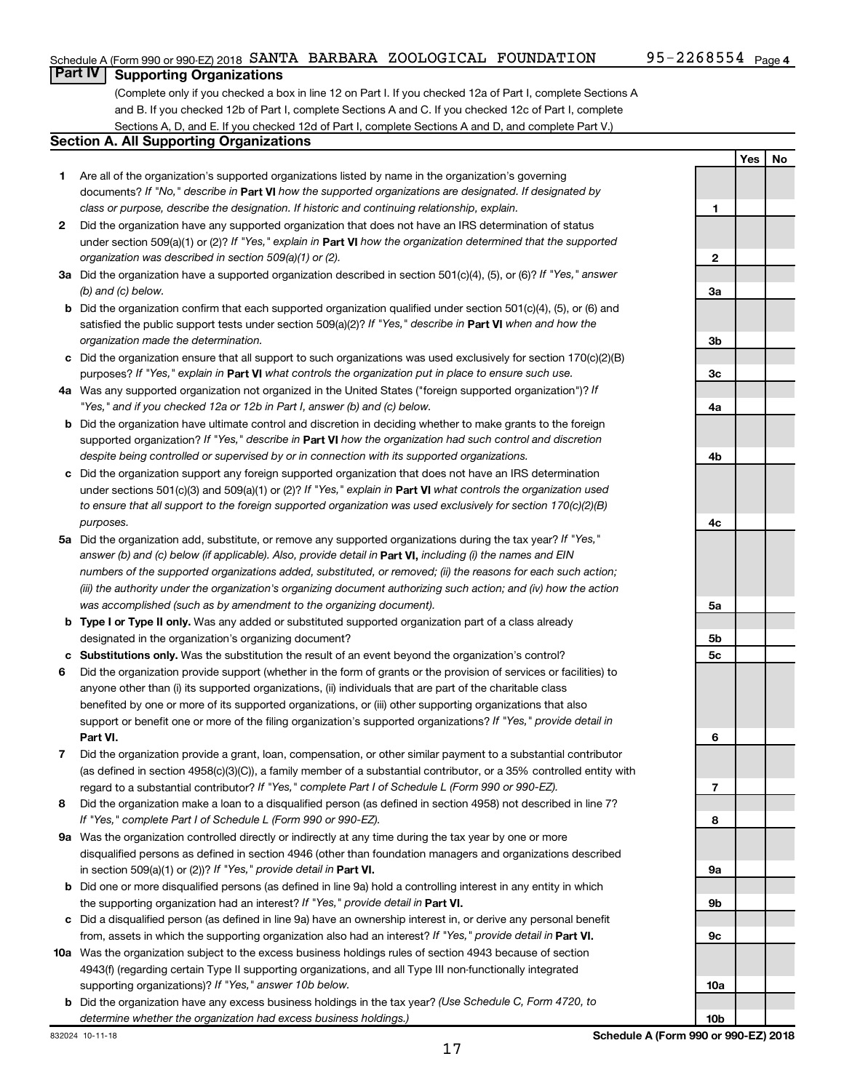**Yes No**

## **Part IV Supporting Organizations**

(Complete only if you checked a box in line 12 on Part I. If you checked 12a of Part I, complete Sections A and B. If you checked 12b of Part I, complete Sections A and C. If you checked 12c of Part I, complete Sections A, D, and E. If you checked 12d of Part I, complete Sections A and D, and complete Part V.)

## **Section A. All Supporting Organizations**

- **1** Are all of the organization's supported organizations listed by name in the organization's governing documents? If "No," describe in Part VI how the supported organizations are designated. If designated by *class or purpose, describe the designation. If historic and continuing relationship, explain.*
- **2** Did the organization have any supported organization that does not have an IRS determination of status under section 509(a)(1) or (2)? If "Yes," explain in Part **VI** how the organization determined that the supported *organization was described in section 509(a)(1) or (2).*
- **3a** Did the organization have a supported organization described in section 501(c)(4), (5), or (6)? If "Yes," answer *(b) and (c) below.*
- **b** Did the organization confirm that each supported organization qualified under section 501(c)(4), (5), or (6) and satisfied the public support tests under section 509(a)(2)? If "Yes," describe in Part VI when and how the *organization made the determination.*
- **c** Did the organization ensure that all support to such organizations was used exclusively for section 170(c)(2)(B) purposes? If "Yes," explain in Part VI what controls the organization put in place to ensure such use.
- **4 a** *If* Was any supported organization not organized in the United States ("foreign supported organization")? *"Yes," and if you checked 12a or 12b in Part I, answer (b) and (c) below.*
- **b** Did the organization have ultimate control and discretion in deciding whether to make grants to the foreign supported organization? If "Yes," describe in Part VI how the organization had such control and discretion *despite being controlled or supervised by or in connection with its supported organizations.*
- **c** Did the organization support any foreign supported organization that does not have an IRS determination under sections 501(c)(3) and 509(a)(1) or (2)? If "Yes," explain in Part VI what controls the organization used *to ensure that all support to the foreign supported organization was used exclusively for section 170(c)(2)(B) purposes.*
- **5a** Did the organization add, substitute, or remove any supported organizations during the tax year? If "Yes," answer (b) and (c) below (if applicable). Also, provide detail in **Part VI,** including (i) the names and EIN *numbers of the supported organizations added, substituted, or removed; (ii) the reasons for each such action; (iii) the authority under the organization's organizing document authorizing such action; and (iv) how the action was accomplished (such as by amendment to the organizing document).*
- **b** Type I or Type II only. Was any added or substituted supported organization part of a class already designated in the organization's organizing document?
- **c Substitutions only.**  Was the substitution the result of an event beyond the organization's control?
- **6** Did the organization provide support (whether in the form of grants or the provision of services or facilities) to **Part VI.** support or benefit one or more of the filing organization's supported organizations? If "Yes," provide detail in anyone other than (i) its supported organizations, (ii) individuals that are part of the charitable class benefited by one or more of its supported organizations, or (iii) other supporting organizations that also
- **7** Did the organization provide a grant, loan, compensation, or other similar payment to a substantial contributor regard to a substantial contributor? If "Yes," complete Part I of Schedule L (Form 990 or 990-EZ). (as defined in section 4958(c)(3)(C)), a family member of a substantial contributor, or a 35% controlled entity with
- **8** Did the organization make a loan to a disqualified person (as defined in section 4958) not described in line 7? *If "Yes," complete Part I of Schedule L (Form 990 or 990-EZ).*
- **9 a** Was the organization controlled directly or indirectly at any time during the tax year by one or more in section 509(a)(1) or (2))? If "Yes," provide detail in **Part VI.** disqualified persons as defined in section 4946 (other than foundation managers and organizations described
- **b** Did one or more disqualified persons (as defined in line 9a) hold a controlling interest in any entity in which the supporting organization had an interest? If "Yes," provide detail in Part VI.
- **c** Did a disqualified person (as defined in line 9a) have an ownership interest in, or derive any personal benefit from, assets in which the supporting organization also had an interest? If "Yes," provide detail in Part VI.
- **10 a** Was the organization subject to the excess business holdings rules of section 4943 because of section supporting organizations)? If "Yes," answer 10b below. 4943(f) (regarding certain Type II supporting organizations, and all Type III non-functionally integrated
	- **b** Did the organization have any excess business holdings in the tax year? (Use Schedule C, Form 4720, to *determine whether the organization had excess business holdings.)*

**1 2 3a 3b 3c 4a 4b 4c 5a 5b 5c 6 7 8 9a 9b 9c 10a**

**10b**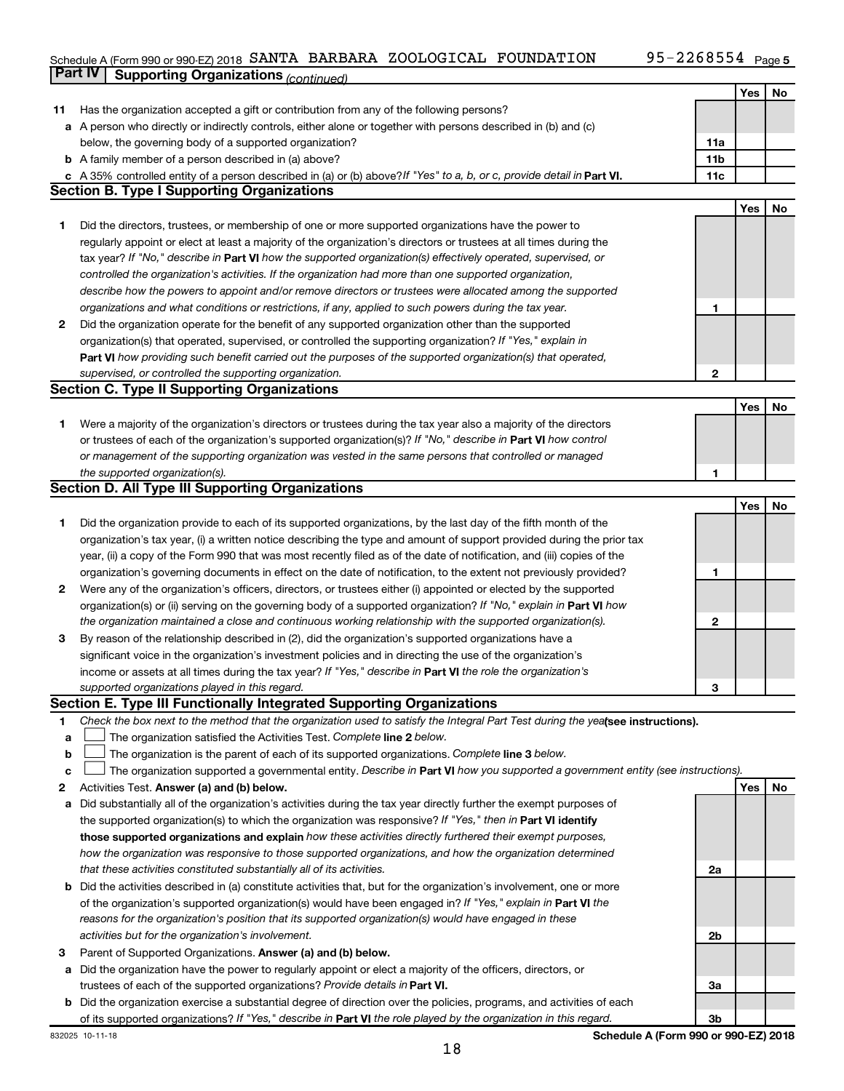## Schedule A (Form 990 or 990-EZ) 2018 SANTA BARBARA ZOOLOGICAL FOUNDATION 95-2268554 Page **Part IV Supporting Organizations** *(continued)*

|    |                                                                                                                                                                                                                                   |                 | Yes | No |
|----|-----------------------------------------------------------------------------------------------------------------------------------------------------------------------------------------------------------------------------------|-----------------|-----|----|
| 11 | Has the organization accepted a gift or contribution from any of the following persons?                                                                                                                                           |                 |     |    |
|    | a A person who directly or indirectly controls, either alone or together with persons described in (b) and (c)                                                                                                                    |                 |     |    |
|    | below, the governing body of a supported organization?                                                                                                                                                                            | 11a             |     |    |
|    | <b>b</b> A family member of a person described in (a) above?                                                                                                                                                                      | 11 <sub>b</sub> |     |    |
|    | c A 35% controlled entity of a person described in (a) or (b) above? If "Yes" to a, b, or c, provide detail in Part VI.                                                                                                           | 11c             |     |    |
|    | <b>Section B. Type I Supporting Organizations</b>                                                                                                                                                                                 |                 |     |    |
|    |                                                                                                                                                                                                                                   |                 | Yes | No |
| 1  | Did the directors, trustees, or membership of one or more supported organizations have the power to                                                                                                                               |                 |     |    |
|    | regularly appoint or elect at least a majority of the organization's directors or trustees at all times during the                                                                                                                |                 |     |    |
|    | tax year? If "No," describe in Part VI how the supported organization(s) effectively operated, supervised, or                                                                                                                     |                 |     |    |
|    | controlled the organization's activities. If the organization had more than one supported organization,                                                                                                                           |                 |     |    |
|    | describe how the powers to appoint and/or remove directors or trustees were allocated among the supported                                                                                                                         |                 |     |    |
|    | organizations and what conditions or restrictions, if any, applied to such powers during the tax year.                                                                                                                            | 1               |     |    |
| 2  | Did the organization operate for the benefit of any supported organization other than the supported                                                                                                                               |                 |     |    |
|    | organization(s) that operated, supervised, or controlled the supporting organization? If "Yes," explain in                                                                                                                        |                 |     |    |
|    | Part VI how providing such benefit carried out the purposes of the supported organization(s) that operated,                                                                                                                       |                 |     |    |
|    | supervised, or controlled the supporting organization.                                                                                                                                                                            | $\mathbf{2}$    |     |    |
|    | <b>Section C. Type II Supporting Organizations</b>                                                                                                                                                                                |                 |     |    |
|    |                                                                                                                                                                                                                                   |                 | Yes | No |
| 1  | Were a majority of the organization's directors or trustees during the tax year also a majority of the directors                                                                                                                  |                 |     |    |
|    | or trustees of each of the organization's supported organization(s)? If "No," describe in Part VI how control                                                                                                                     |                 |     |    |
|    | or management of the supporting organization was vested in the same persons that controlled or managed                                                                                                                            |                 |     |    |
|    | the supported organization(s).                                                                                                                                                                                                    | 1               |     |    |
|    | <b>Section D. All Type III Supporting Organizations</b>                                                                                                                                                                           |                 |     |    |
|    |                                                                                                                                                                                                                                   |                 | Yes | No |
| 1  | Did the organization provide to each of its supported organizations, by the last day of the fifth month of the                                                                                                                    |                 |     |    |
|    | organization's tax year, (i) a written notice describing the type and amount of support provided during the prior tax                                                                                                             |                 |     |    |
|    | year, (ii) a copy of the Form 990 that was most recently filed as of the date of notification, and (iii) copies of the                                                                                                            |                 |     |    |
|    | organization's governing documents in effect on the date of notification, to the extent not previously provided?                                                                                                                  | 1               |     |    |
| 2  | Were any of the organization's officers, directors, or trustees either (i) appointed or elected by the supported                                                                                                                  |                 |     |    |
|    | organization(s) or (ii) serving on the governing body of a supported organization? If "No," explain in Part VI how<br>the organization maintained a close and continuous working relationship with the supported organization(s). | 2               |     |    |
| 3  | By reason of the relationship described in (2), did the organization's supported organizations have a                                                                                                                             |                 |     |    |
|    | significant voice in the organization's investment policies and in directing the use of the organization's                                                                                                                        |                 |     |    |
|    | income or assets at all times during the tax year? If "Yes," describe in Part VI the role the organization's                                                                                                                      |                 |     |    |
|    | supported organizations played in this regard.                                                                                                                                                                                    | З               |     |    |
|    | Section E. Type III Functionally Integrated Supporting Organizations                                                                                                                                                              |                 |     |    |
| 1. | Check the box next to the method that the organization used to satisfy the Integral Part Test during the yealsee instructions).                                                                                                   |                 |     |    |
| a  | The organization satisfied the Activities Test. Complete line 2 below.                                                                                                                                                            |                 |     |    |
| b  | The organization is the parent of each of its supported organizations. Complete line 3 below.                                                                                                                                     |                 |     |    |
| c  | The organization supported a governmental entity. Describe in Part VI how you supported a government entity (see instructions).                                                                                                   |                 |     |    |
| 2  | Activities Test. Answer (a) and (b) below.                                                                                                                                                                                        |                 | Yes | No |
| a  | Did substantially all of the organization's activities during the tax year directly further the exempt purposes of                                                                                                                |                 |     |    |
|    | the supported organization(s) to which the organization was responsive? If "Yes," then in Part VI identify                                                                                                                        |                 |     |    |
|    | those supported organizations and explain how these activities directly furthered their exempt purposes,                                                                                                                          |                 |     |    |
|    | how the organization was responsive to those supported organizations, and how the organization determined                                                                                                                         |                 |     |    |
|    | that these activities constituted substantially all of its activities.                                                                                                                                                            | 2a              |     |    |
|    | <b>b</b> Did the activities described in (a) constitute activities that, but for the organization's involvement, one or more                                                                                                      |                 |     |    |
|    | of the organization's supported organization(s) would have been engaged in? If "Yes," explain in Part VI the                                                                                                                      |                 |     |    |
|    | reasons for the organization's position that its supported organization(s) would have engaged in these                                                                                                                            |                 |     |    |
|    | activities but for the organization's involvement.                                                                                                                                                                                | 2b              |     |    |
| з  | Parent of Supported Organizations. Answer (a) and (b) below.                                                                                                                                                                      |                 |     |    |
|    | a Did the organization have the power to regularly appoint or elect a majority of the officers, directors, or                                                                                                                     |                 |     |    |
|    | trustees of each of the supported organizations? Provide details in Part VI.                                                                                                                                                      | За              |     |    |
|    | <b>b</b> Did the organization exercise a substantial degree of direction over the policies, programs, and activities of each                                                                                                      |                 |     |    |
|    | of its supported organizations? If "Yes," describe in Part VI the role played by the organization in this regard.                                                                                                                 | Зb              |     |    |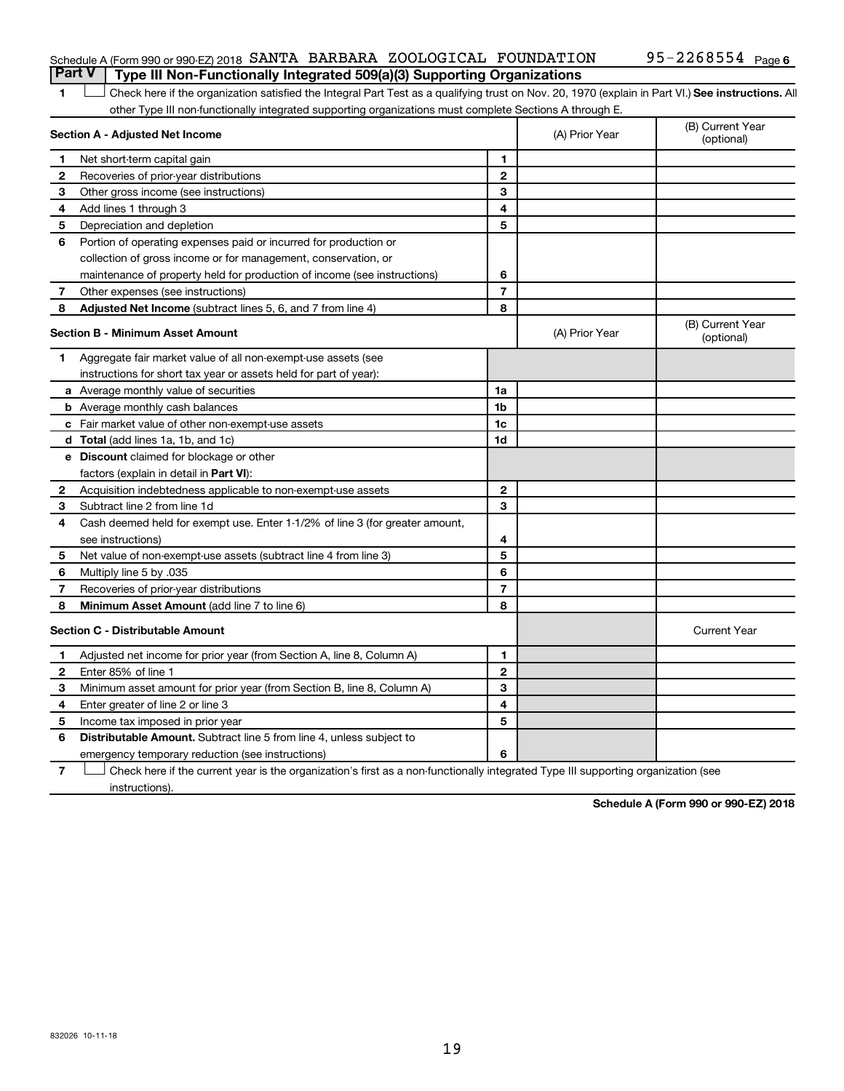## Schedule A (Form 990 or 990-EZ) 2018 SANTA BARBARA ZOOLOGICAL FOUNDATION 95-2268554 Page **Part V Type III Non-Functionally Integrated 509(a)(3) Supporting Organizations**

1 **Letter See instructions.** All Check here if the organization satisfied the Integral Part Test as a qualifying trust on Nov. 20, 1970 (explain in Part VI.) See instructions. All other Type III non-functionally integrated supporting organizations must complete Sections A through E.

|              | Section A - Adjusted Net Income                                              | (A) Prior Year | (B) Current Year<br>(optional) |                                |
|--------------|------------------------------------------------------------------------------|----------------|--------------------------------|--------------------------------|
| 1.           | Net short-term capital gain                                                  | 1              |                                |                                |
| 2            | Recoveries of prior-year distributions                                       | $\mathbf{2}$   |                                |                                |
| 3            | Other gross income (see instructions)                                        | 3              |                                |                                |
| 4            | Add lines 1 through 3                                                        | 4              |                                |                                |
| 5            | Depreciation and depletion                                                   | 5              |                                |                                |
| 6            | Portion of operating expenses paid or incurred for production or             |                |                                |                                |
|              | collection of gross income or for management, conservation, or               |                |                                |                                |
|              | maintenance of property held for production of income (see instructions)     | 6              |                                |                                |
| 7            | Other expenses (see instructions)                                            | $\overline{7}$ |                                |                                |
| 8            | Adjusted Net Income (subtract lines 5, 6, and 7 from line 4)                 | 8              |                                |                                |
|              | <b>Section B - Minimum Asset Amount</b>                                      |                | (A) Prior Year                 | (B) Current Year<br>(optional) |
| 1.           | Aggregate fair market value of all non-exempt-use assets (see                |                |                                |                                |
|              | instructions for short tax year or assets held for part of year):            |                |                                |                                |
|              | a Average monthly value of securities                                        | 1a             |                                |                                |
|              | <b>b</b> Average monthly cash balances                                       | 1b             |                                |                                |
|              | c Fair market value of other non-exempt-use assets                           | 1c             |                                |                                |
|              | d Total (add lines 1a, 1b, and 1c)                                           | 1d             |                                |                                |
|              | <b>e</b> Discount claimed for blockage or other                              |                |                                |                                |
|              | factors (explain in detail in <b>Part VI</b> ):                              |                |                                |                                |
| 2            | Acquisition indebtedness applicable to non-exempt-use assets                 | $\mathbf{2}$   |                                |                                |
| 3            | Subtract line 2 from line 1d                                                 | 3              |                                |                                |
| 4            | Cash deemed held for exempt use. Enter 1-1/2% of line 3 (for greater amount, |                |                                |                                |
|              | see instructions)                                                            | 4              |                                |                                |
| 5            | Net value of non-exempt-use assets (subtract line 4 from line 3)             | 5              |                                |                                |
| 6            | Multiply line 5 by .035                                                      | 6              |                                |                                |
| 7            | Recoveries of prior-year distributions                                       | 7              |                                |                                |
| 8            | Minimum Asset Amount (add line 7 to line 6)                                  | 8              |                                |                                |
|              | <b>Section C - Distributable Amount</b>                                      |                |                                | <b>Current Year</b>            |
| 1            | Adjusted net income for prior year (from Section A, line 8, Column A)        | 1              |                                |                                |
| $\mathbf{2}$ | Enter 85% of line 1                                                          | $\mathbf{2}$   |                                |                                |
| З            | Minimum asset amount for prior year (from Section B, line 8, Column A)       | 3              |                                |                                |
| 4            | Enter greater of line 2 or line 3                                            | 4              |                                |                                |
| 5            | Income tax imposed in prior year                                             | 5              |                                |                                |
| 6            | <b>Distributable Amount.</b> Subtract line 5 from line 4, unless subject to  |                |                                |                                |
|              | emergency temporary reduction (see instructions)                             | 6              |                                |                                |
|              |                                                                              |                |                                |                                |

**7** Let Check here if the current year is the organization's first as a non-functionally integrated Type III supporting organization (see instructions).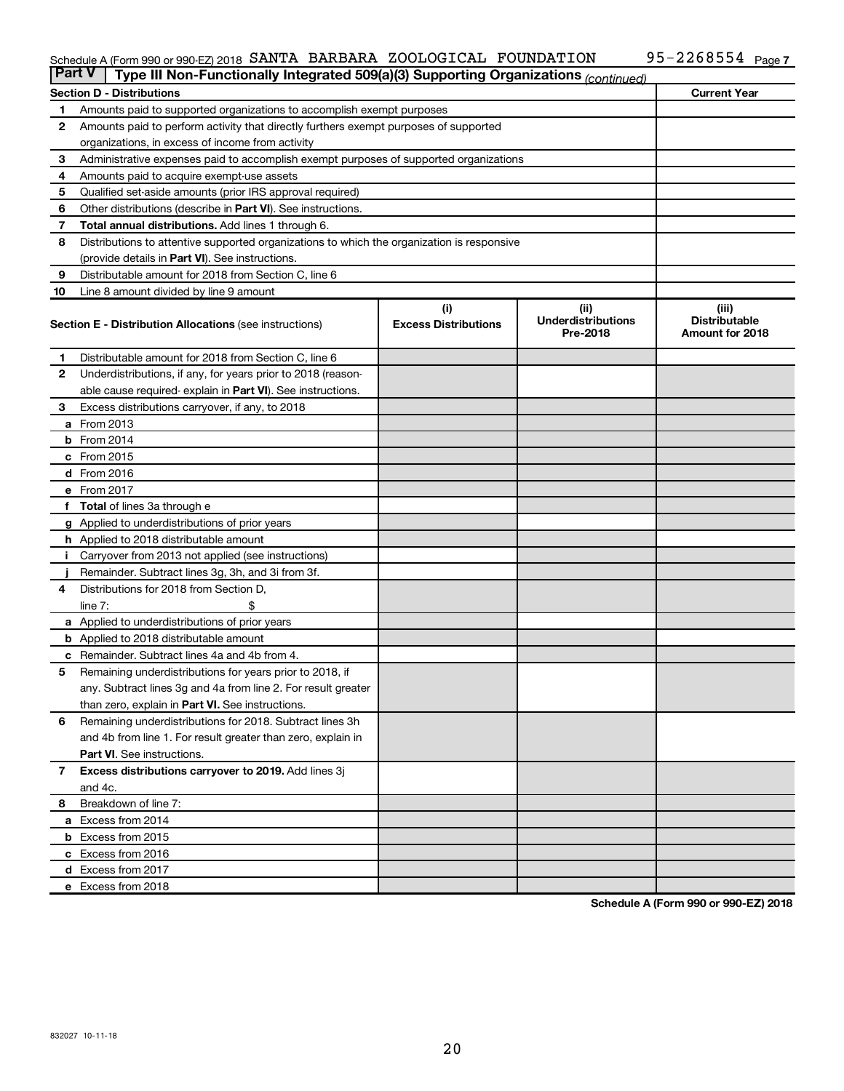### Schedule A (Form 990 or 990-EZ) 2018 Page SANTA BARBARA ZOOLOGICAL FOUNDATION 95-2268554

| <b>Part V</b><br>Type III Non-Functionally Integrated 509(a)(3) Supporting Organizations (continued) |                                                                                            |                             |                                       |                                         |  |  |  |
|------------------------------------------------------------------------------------------------------|--------------------------------------------------------------------------------------------|-----------------------------|---------------------------------------|-----------------------------------------|--|--|--|
|                                                                                                      | <b>Section D - Distributions</b>                                                           |                             |                                       | <b>Current Year</b>                     |  |  |  |
| 1                                                                                                    | Amounts paid to supported organizations to accomplish exempt purposes                      |                             |                                       |                                         |  |  |  |
| $\mathbf{2}$                                                                                         | Amounts paid to perform activity that directly furthers exempt purposes of supported       |                             |                                       |                                         |  |  |  |
|                                                                                                      | organizations, in excess of income from activity                                           |                             |                                       |                                         |  |  |  |
| 3                                                                                                    | Administrative expenses paid to accomplish exempt purposes of supported organizations      |                             |                                       |                                         |  |  |  |
| 4                                                                                                    | Amounts paid to acquire exempt-use assets                                                  |                             |                                       |                                         |  |  |  |
| 5                                                                                                    | Qualified set-aside amounts (prior IRS approval required)                                  |                             |                                       |                                         |  |  |  |
| 6                                                                                                    | Other distributions (describe in <b>Part VI</b> ). See instructions.                       |                             |                                       |                                         |  |  |  |
| 7                                                                                                    | Total annual distributions. Add lines 1 through 6.                                         |                             |                                       |                                         |  |  |  |
| 8                                                                                                    | Distributions to attentive supported organizations to which the organization is responsive |                             |                                       |                                         |  |  |  |
|                                                                                                      | (provide details in Part VI). See instructions.                                            |                             |                                       |                                         |  |  |  |
| 9                                                                                                    | Distributable amount for 2018 from Section C, line 6                                       |                             |                                       |                                         |  |  |  |
| 10                                                                                                   | Line 8 amount divided by line 9 amount                                                     |                             |                                       |                                         |  |  |  |
|                                                                                                      |                                                                                            | (i)                         | (ii)                                  | (iii)                                   |  |  |  |
|                                                                                                      | <b>Section E - Distribution Allocations (see instructions)</b>                             | <b>Excess Distributions</b> | <b>Underdistributions</b><br>Pre-2018 | <b>Distributable</b><br>Amount for 2018 |  |  |  |
| 1                                                                                                    | Distributable amount for 2018 from Section C, line 6                                       |                             |                                       |                                         |  |  |  |
| $\mathbf{2}$                                                                                         | Underdistributions, if any, for years prior to 2018 (reason-                               |                             |                                       |                                         |  |  |  |
|                                                                                                      | able cause required-explain in Part VI). See instructions.                                 |                             |                                       |                                         |  |  |  |
| 3                                                                                                    | Excess distributions carryover, if any, to 2018                                            |                             |                                       |                                         |  |  |  |
|                                                                                                      | <b>a</b> From 2013                                                                         |                             |                                       |                                         |  |  |  |
|                                                                                                      | <b>b</b> From 2014                                                                         |                             |                                       |                                         |  |  |  |
|                                                                                                      | c From 2015                                                                                |                             |                                       |                                         |  |  |  |
|                                                                                                      | d From 2016                                                                                |                             |                                       |                                         |  |  |  |
|                                                                                                      | e From 2017                                                                                |                             |                                       |                                         |  |  |  |
|                                                                                                      | f Total of lines 3a through e                                                              |                             |                                       |                                         |  |  |  |
|                                                                                                      | g Applied to underdistributions of prior years                                             |                             |                                       |                                         |  |  |  |
|                                                                                                      | h Applied to 2018 distributable amount                                                     |                             |                                       |                                         |  |  |  |
| Ť.                                                                                                   | Carryover from 2013 not applied (see instructions)                                         |                             |                                       |                                         |  |  |  |
|                                                                                                      | Remainder. Subtract lines 3g, 3h, and 3i from 3f.                                          |                             |                                       |                                         |  |  |  |
| 4                                                                                                    | Distributions for 2018 from Section D,                                                     |                             |                                       |                                         |  |  |  |
|                                                                                                      | line $7:$                                                                                  |                             |                                       |                                         |  |  |  |
|                                                                                                      | a Applied to underdistributions of prior years                                             |                             |                                       |                                         |  |  |  |
|                                                                                                      | <b>b</b> Applied to 2018 distributable amount                                              |                             |                                       |                                         |  |  |  |
| с                                                                                                    | Remainder. Subtract lines 4a and 4b from 4.                                                |                             |                                       |                                         |  |  |  |
| 5                                                                                                    | Remaining underdistributions for years prior to 2018, if                                   |                             |                                       |                                         |  |  |  |
|                                                                                                      | any. Subtract lines 3g and 4a from line 2. For result greater                              |                             |                                       |                                         |  |  |  |
|                                                                                                      | than zero, explain in Part VI. See instructions.                                           |                             |                                       |                                         |  |  |  |
| 6                                                                                                    | Remaining underdistributions for 2018. Subtract lines 3h                                   |                             |                                       |                                         |  |  |  |
|                                                                                                      | and 4b from line 1. For result greater than zero, explain in                               |                             |                                       |                                         |  |  |  |
|                                                                                                      | <b>Part VI.</b> See instructions.                                                          |                             |                                       |                                         |  |  |  |
| $\mathbf{7}$                                                                                         | Excess distributions carryover to 2019. Add lines 3j                                       |                             |                                       |                                         |  |  |  |
|                                                                                                      | and 4c.                                                                                    |                             |                                       |                                         |  |  |  |
| 8                                                                                                    | Breakdown of line 7:                                                                       |                             |                                       |                                         |  |  |  |
|                                                                                                      | a Excess from 2014                                                                         |                             |                                       |                                         |  |  |  |
|                                                                                                      | <b>b</b> Excess from 2015                                                                  |                             |                                       |                                         |  |  |  |
|                                                                                                      | c Excess from 2016                                                                         |                             |                                       |                                         |  |  |  |
|                                                                                                      | d Excess from 2017                                                                         |                             |                                       |                                         |  |  |  |
|                                                                                                      | e Excess from 2018                                                                         |                             |                                       |                                         |  |  |  |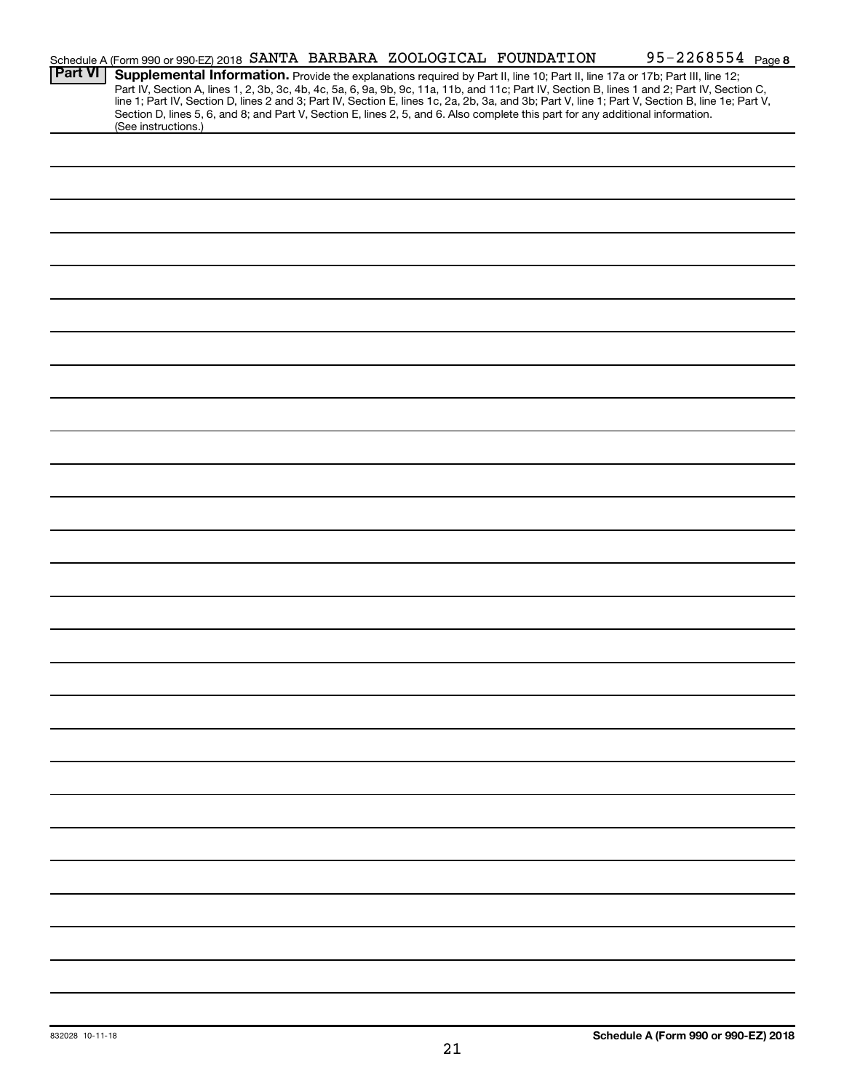|                | Schedule A (Form 990 or 990-EZ) 2018 SANTA BARBARA ZOOLOGICAL FOUNDATION                                                                                                                                                                                                                                                                                                                                                          |  | 95-2268554 Page 8 |  |
|----------------|-----------------------------------------------------------------------------------------------------------------------------------------------------------------------------------------------------------------------------------------------------------------------------------------------------------------------------------------------------------------------------------------------------------------------------------|--|-------------------|--|
| <b>Part VI</b> | Supplemental Information. Provide the explanations required by Part II, line 10; Part II, line 17a or 17b; Part III, line 12;<br>Part IV, Section A, lines 1, 2, 3b, 3c, 4b, 4c, 5a, 6, 9a, 9b, 9c, 11a, 11b, and 11c; Part IV, Section B, lines 1 and 2; Part IV, Section C,<br>line 1; Part IV, Section D, lines 2 and 3; Part IV, Section E, lines 1c, 2a, 2b, 3a, and 3b; Part V, line 1; Part V, Section B, line 1e; Part V, |  |                   |  |
|                | Section D, lines 5, 6, and 8; and Part V, Section E, lines 2, 5, and 6. Also complete this part for any additional information.<br>(See instructions.)                                                                                                                                                                                                                                                                            |  |                   |  |
|                |                                                                                                                                                                                                                                                                                                                                                                                                                                   |  |                   |  |
|                |                                                                                                                                                                                                                                                                                                                                                                                                                                   |  |                   |  |
|                |                                                                                                                                                                                                                                                                                                                                                                                                                                   |  |                   |  |
|                |                                                                                                                                                                                                                                                                                                                                                                                                                                   |  |                   |  |
|                |                                                                                                                                                                                                                                                                                                                                                                                                                                   |  |                   |  |
|                |                                                                                                                                                                                                                                                                                                                                                                                                                                   |  |                   |  |
|                |                                                                                                                                                                                                                                                                                                                                                                                                                                   |  |                   |  |
|                |                                                                                                                                                                                                                                                                                                                                                                                                                                   |  |                   |  |
|                |                                                                                                                                                                                                                                                                                                                                                                                                                                   |  |                   |  |
|                |                                                                                                                                                                                                                                                                                                                                                                                                                                   |  |                   |  |
|                |                                                                                                                                                                                                                                                                                                                                                                                                                                   |  |                   |  |
|                |                                                                                                                                                                                                                                                                                                                                                                                                                                   |  |                   |  |
|                |                                                                                                                                                                                                                                                                                                                                                                                                                                   |  |                   |  |
|                |                                                                                                                                                                                                                                                                                                                                                                                                                                   |  |                   |  |
|                |                                                                                                                                                                                                                                                                                                                                                                                                                                   |  |                   |  |
|                |                                                                                                                                                                                                                                                                                                                                                                                                                                   |  |                   |  |
|                |                                                                                                                                                                                                                                                                                                                                                                                                                                   |  |                   |  |
|                |                                                                                                                                                                                                                                                                                                                                                                                                                                   |  |                   |  |
|                |                                                                                                                                                                                                                                                                                                                                                                                                                                   |  |                   |  |
|                |                                                                                                                                                                                                                                                                                                                                                                                                                                   |  |                   |  |
|                |                                                                                                                                                                                                                                                                                                                                                                                                                                   |  |                   |  |
|                |                                                                                                                                                                                                                                                                                                                                                                                                                                   |  |                   |  |
|                |                                                                                                                                                                                                                                                                                                                                                                                                                                   |  |                   |  |
|                |                                                                                                                                                                                                                                                                                                                                                                                                                                   |  |                   |  |
|                |                                                                                                                                                                                                                                                                                                                                                                                                                                   |  |                   |  |
|                |                                                                                                                                                                                                                                                                                                                                                                                                                                   |  |                   |  |
|                |                                                                                                                                                                                                                                                                                                                                                                                                                                   |  |                   |  |
|                |                                                                                                                                                                                                                                                                                                                                                                                                                                   |  |                   |  |
|                |                                                                                                                                                                                                                                                                                                                                                                                                                                   |  |                   |  |
|                |                                                                                                                                                                                                                                                                                                                                                                                                                                   |  |                   |  |
|                |                                                                                                                                                                                                                                                                                                                                                                                                                                   |  |                   |  |
|                |                                                                                                                                                                                                                                                                                                                                                                                                                                   |  |                   |  |
|                |                                                                                                                                                                                                                                                                                                                                                                                                                                   |  |                   |  |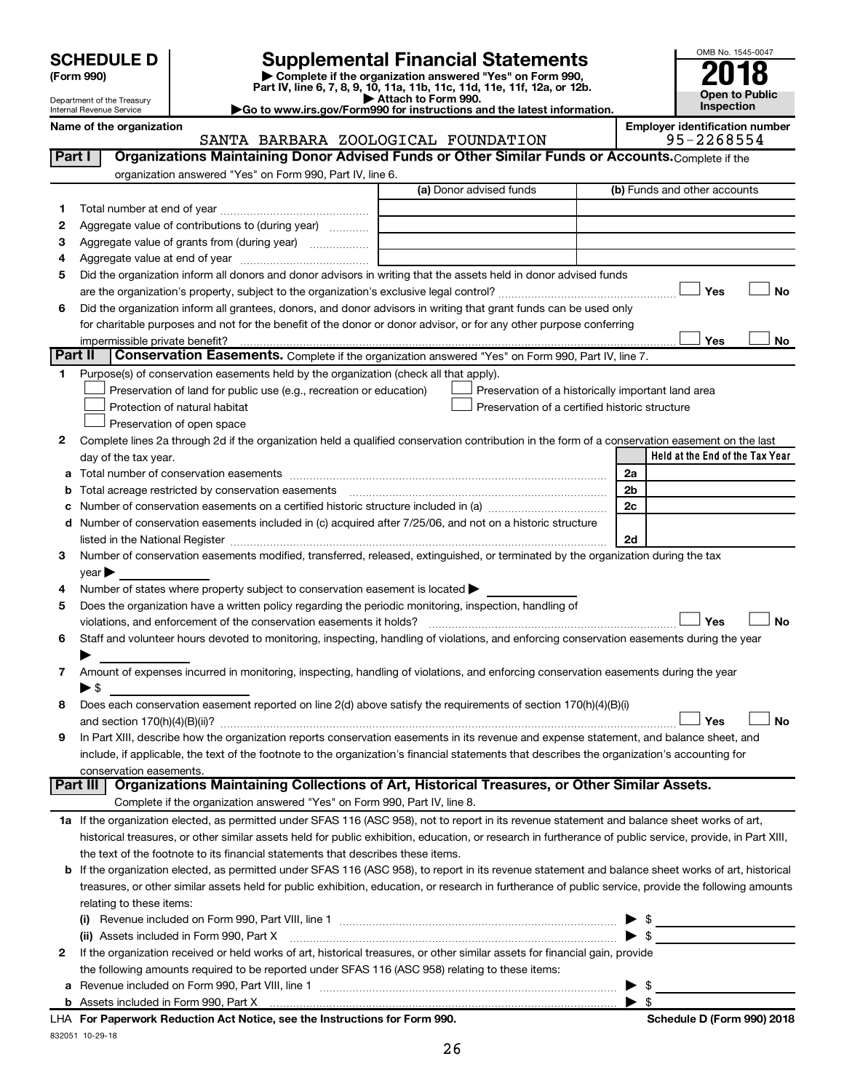| <b>SCHEDULE D</b> |  |
|-------------------|--|
|-------------------|--|

Department of the Treasury Internal Revenue Service

832051 10-29-18

**(Form 990) | Complete if the organization answered "Yes" on Form 990, Part IV, line 6, 7, 8, 9, 10, 11a, 11b, 11c, 11d, 11e, 11f, 12a, or 12b. SCHEDULE D Supplemental Financial Statements**<br> **Form 990 2018**<br> **Part IV** line 6.7.8.9.10, 11a, 11b, 11d, 11d, 11d, 11d, 11d, 12a, 0r, 12b

**| Attach to Form 990. |Go to www.irs.gov/Form990 for instructions and the latest information.**



## Name of the organization<br>**SANTA BARBARA ZOOLOGICAL FOUNDATION** 95-2268554 SANTA BARBARA ZOOLOGICAL FOUNDATION

|        | Organizations Maintaining Donor Advised Funds or Other Similar Funds or Accounts. Complete if the<br>Part I                                               |                                                |                                                    |  |  |  |
|--------|-----------------------------------------------------------------------------------------------------------------------------------------------------------|------------------------------------------------|----------------------------------------------------|--|--|--|
|        | organization answered "Yes" on Form 990, Part IV, line 6.                                                                                                 |                                                |                                                    |  |  |  |
|        |                                                                                                                                                           | (a) Donor advised funds                        | (b) Funds and other accounts                       |  |  |  |
| 1      |                                                                                                                                                           |                                                |                                                    |  |  |  |
| 2      | Aggregate value of contributions to (during year)                                                                                                         |                                                |                                                    |  |  |  |
| З      | Aggregate value of grants from (during year)                                                                                                              |                                                |                                                    |  |  |  |
| 4      |                                                                                                                                                           |                                                |                                                    |  |  |  |
| 5      | Did the organization inform all donors and donor advisors in writing that the assets held in donor advised funds                                          |                                                |                                                    |  |  |  |
|        |                                                                                                                                                           |                                                | Yes<br>No                                          |  |  |  |
| 6      | Did the organization inform all grantees, donors, and donor advisors in writing that grant funds can be used only                                         |                                                |                                                    |  |  |  |
|        | for charitable purposes and not for the benefit of the donor or donor advisor, or for any other purpose conferring                                        |                                                |                                                    |  |  |  |
|        | impermissible private benefit?                                                                                                                            |                                                | Yes<br>No                                          |  |  |  |
|        | Part II<br>Conservation Easements. Complete if the organization answered "Yes" on Form 990, Part IV, line 7.                                              |                                                |                                                    |  |  |  |
| 1.     | Purpose(s) of conservation easements held by the organization (check all that apply).                                                                     |                                                |                                                    |  |  |  |
|        | Preservation of land for public use (e.g., recreation or education)                                                                                       |                                                | Preservation of a historically important land area |  |  |  |
|        | Protection of natural habitat                                                                                                                             | Preservation of a certified historic structure |                                                    |  |  |  |
|        | Preservation of open space                                                                                                                                |                                                |                                                    |  |  |  |
| 2      | Complete lines 2a through 2d if the organization held a qualified conservation contribution in the form of a conservation easement on the last            |                                                |                                                    |  |  |  |
|        | day of the tax year.                                                                                                                                      |                                                | Held at the End of the Tax Year                    |  |  |  |
|        |                                                                                                                                                           |                                                | 2a                                                 |  |  |  |
|        | Total acreage restricted by conservation easements                                                                                                        |                                                | 2b                                                 |  |  |  |
|        |                                                                                                                                                           |                                                | 2c                                                 |  |  |  |
| d      | Number of conservation easements included in (c) acquired after 7/25/06, and not on a historic structure                                                  |                                                |                                                    |  |  |  |
|        |                                                                                                                                                           |                                                | 2d                                                 |  |  |  |
| 3      | Number of conservation easements modified, transferred, released, extinguished, or terminated by the organization during the tax                          |                                                |                                                    |  |  |  |
|        | year<br>Number of states where property subject to conservation easement is located >                                                                     |                                                |                                                    |  |  |  |
| 4<br>5 | Does the organization have a written policy regarding the periodic monitoring, inspection, handling of                                                    |                                                |                                                    |  |  |  |
|        | violations, and enforcement of the conservation easements it holds?                                                                                       |                                                | Yes<br>No                                          |  |  |  |
| 6      | Staff and volunteer hours devoted to monitoring, inspecting, handling of violations, and enforcing conservation easements during the year                 |                                                |                                                    |  |  |  |
|        |                                                                                                                                                           |                                                |                                                    |  |  |  |
| 7      | Amount of expenses incurred in monitoring, inspecting, handling of violations, and enforcing conservation easements during the year                       |                                                |                                                    |  |  |  |
|        | $\blacktriangleright$ \$                                                                                                                                  |                                                |                                                    |  |  |  |
| 8      | Does each conservation easement reported on line 2(d) above satisfy the requirements of section 170(h)(4)(B)(i)                                           |                                                |                                                    |  |  |  |
|        |                                                                                                                                                           |                                                | No<br>Yes                                          |  |  |  |
| 9      | In Part XIII, describe how the organization reports conservation easements in its revenue and expense statement, and balance sheet, and                   |                                                |                                                    |  |  |  |
|        | include, if applicable, the text of the footnote to the organization's financial statements that describes the organization's accounting for              |                                                |                                                    |  |  |  |
|        | conservation easements.                                                                                                                                   |                                                |                                                    |  |  |  |
|        | Organizations Maintaining Collections of Art, Historical Treasures, or Other Similar Assets.<br>Part III                                                  |                                                |                                                    |  |  |  |
|        | Complete if the organization answered "Yes" on Form 990, Part IV, line 8.                                                                                 |                                                |                                                    |  |  |  |
|        | 1a If the organization elected, as permitted under SFAS 116 (ASC 958), not to report in its revenue statement and balance sheet works of art,             |                                                |                                                    |  |  |  |
|        | historical treasures, or other similar assets held for public exhibition, education, or research in furtherance of public service, provide, in Part XIII, |                                                |                                                    |  |  |  |
|        | the text of the footnote to its financial statements that describes these items.                                                                          |                                                |                                                    |  |  |  |
| b      | If the organization elected, as permitted under SFAS 116 (ASC 958), to report in its revenue statement and balance sheet works of art, historical         |                                                |                                                    |  |  |  |
|        | treasures, or other similar assets held for public exhibition, education, or research in furtherance of public service, provide the following amounts     |                                                |                                                    |  |  |  |
|        | relating to these items:                                                                                                                                  |                                                |                                                    |  |  |  |
|        |                                                                                                                                                           |                                                | \$                                                 |  |  |  |
|        | (ii) Assets included in Form 990, Part X                                                                                                                  |                                                | $\blacktriangleright$ \$                           |  |  |  |
| 2      | If the organization received or held works of art, historical treasures, or other similar assets for financial gain, provide                              |                                                |                                                    |  |  |  |
|        | the following amounts required to be reported under SFAS 116 (ASC 958) relating to these items:                                                           |                                                |                                                    |  |  |  |
|        |                                                                                                                                                           |                                                | \$<br>▶                                            |  |  |  |
|        |                                                                                                                                                           |                                                | $\blacktriangleright$ s                            |  |  |  |
|        | LHA For Paperwork Reduction Act Notice, see the Instructions for Form 990.                                                                                |                                                | Schedule D (Form 990) 2018                         |  |  |  |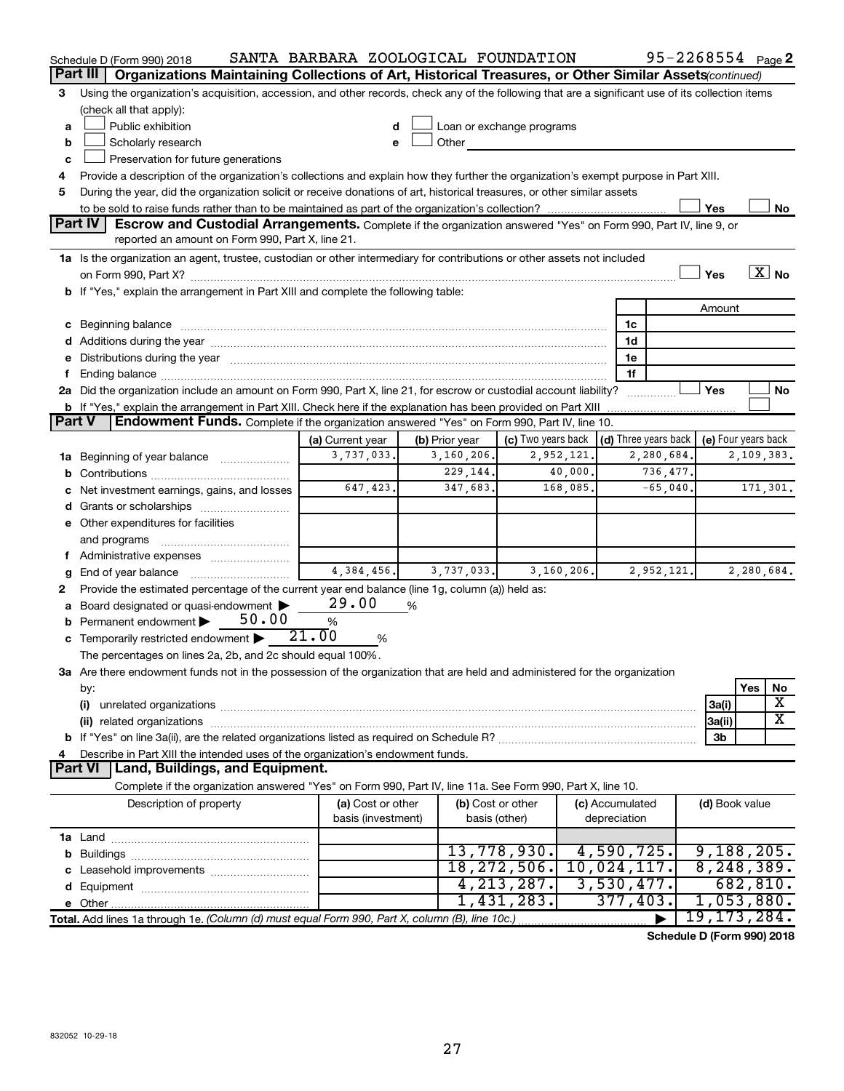| Part III<br>Organizations Maintaining Collections of Art, Historical Treasures, or Other Similar Assets (continued)<br>Using the organization's acquisition, accession, and other records, check any of the following that are a significant use of its collection items<br>3<br>(check all that apply):<br>Public exhibition<br>Loan or exchange programs<br>a<br>Scholarly research<br>Other the contract of the contract of the contract of the contract of the contract of the contract of the contract of the contract of the contract of the contract of the contract of the contract of the contract of the cont<br>b<br>Preservation for future generations<br>c<br>Provide a description of the organization's collections and explain how they further the organization's exempt purpose in Part XIII.<br>4<br>During the year, did the organization solicit or receive donations of art, historical treasures, or other similar assets<br>5<br>Yes<br>No<br><b>Part IV</b><br><b>Escrow and Custodial Arrangements.</b> Complete if the organization answered "Yes" on Form 990, Part IV, line 9, or<br>reported an amount on Form 990, Part X, line 21.<br>1a Is the organization an agent, trustee, custodian or other intermediary for contributions or other assets not included<br>$\overline{X}$ No<br>Yes<br>b If "Yes," explain the arrangement in Part XIII and complete the following table:<br>Amount<br>c Beginning balance measurements and the contract of the contract of the contract of the contract of the contract of the contract of the contract of the contract of the contract of the contract of the contract of the contr<br>1c<br>1d<br>e Distributions during the year manufactured and contained and contained and contained and contained and contained and contained and contained and contained and contained and contained and contained and contained and conta<br>1e<br>1f<br>2a Did the organization include an amount on Form 990, Part X, line 21, for escrow or custodial account liability?<br>Yes<br>No<br>.<br><b>b</b> If "Yes," explain the arrangement in Part XIII. Check here if the explanation has been provided on Part XIII<br>Endowment Funds. Complete if the organization answered "Yes" on Form 990, Part IV, line 10.<br><b>Part V</b><br>(c) Two years back $\vert$ (d) Three years back $\vert$<br>(e) Four years back<br>(a) Current year<br>(b) Prior year<br>3,737,033.<br>3,160,206.<br>2,952,121.<br>2,280,684.<br>2,109,383.<br>1a Beginning of year balance<br>229,144.<br>40,000.<br>736,477.<br>647,423.<br>347,683.<br>168,085.<br>$-65,040$<br>171,301.<br>c Net investment earnings, gains, and losses<br>e Other expenditures for facilities<br>and programs<br>f Administrative expenses<br>4,384,456.<br>3,737,033.<br>3,160,206.<br>2,952,121.<br>2,280,684.<br><b>g</b> End of year balance $\ldots$<br>Provide the estimated percentage of the current year end balance (line 1g, column (a)) held as:<br>2<br>29.00<br>a Board designated or quasi-endowment ><br>%<br>50.00<br><b>b</b> Permanent endowment $\blacktriangleright$<br>$\%$<br><b>c</b> Temporarily restricted endowment $\triangleright$ $21.00$<br>%<br>The percentages on lines 2a, 2b, and 2c should equal 100%.<br>3a Are there endowment funds not in the possession of the organization that are held and administered for the organization<br>Yes<br>No<br>by:<br>X<br>(i)<br>3a(i)<br>X<br>3a(ii)<br>3b<br>Describe in Part XIII the intended uses of the organization's endowment funds.<br>4<br>Land, Buildings, and Equipment.<br><b>Part VI</b><br>Complete if the organization answered "Yes" on Form 990, Part IV, line 11a. See Form 990, Part X, line 10.<br>Description of property<br>(a) Cost or other<br>(b) Cost or other<br>(c) Accumulated<br>(d) Book value<br>basis (investment)<br>depreciation<br>basis (other)<br>13,778,930.<br>4,590,725.<br>9,188,205.<br>18, 272, 506.<br>10,024,117.<br>8, 248, 389.<br>3,530,477.<br>4, 213, 287.<br>682, 810.<br>377,403.<br>1,053,880.<br>1,431,283.<br>19,173,284.<br>Total. Add lines 1a through 1e. (Column (d) must equal Form 990, Part X, column (B), line 10c.)<br>$d_{\text{obs}} = 1000$ and $\sigma$ | Schedule D (Form 990) 2018 | SANTA BARBARA ZOOLOGICAL FOUNDATION |  |  | $95 - 2268554$ Page 2 |  |  |
|-------------------------------------------------------------------------------------------------------------------------------------------------------------------------------------------------------------------------------------------------------------------------------------------------------------------------------------------------------------------------------------------------------------------------------------------------------------------------------------------------------------------------------------------------------------------------------------------------------------------------------------------------------------------------------------------------------------------------------------------------------------------------------------------------------------------------------------------------------------------------------------------------------------------------------------------------------------------------------------------------------------------------------------------------------------------------------------------------------------------------------------------------------------------------------------------------------------------------------------------------------------------------------------------------------------------------------------------------------------------------------------------------------------------------------------------------------------------------------------------------------------------------------------------------------------------------------------------------------------------------------------------------------------------------------------------------------------------------------------------------------------------------------------------------------------------------------------------------------------------------------------------------------------------------------------------------------------------------------------------------------------------------------------------------------------------------------------------------------------------------------------------------------------------------------------------------------------------------------------------------------------------------------------------------------------------------------------------------------------------------------------------------------------------------------------------------------------------------------------------------------------------------------------------------------------------------------------------------------------------------------------------------------------------------------------------------------------------------------------------------------------------------------------------------------------------------------------------------------------------------------------------------------------------------------------------------------------------------------------------------------------------------------------------------------------------------------------------------------------------------------------------------------------------------------------------------------------------------------------------------------------------------------------------------------------------------------------------------------------------------------------------------------------------------------------------------------------------------------------------------------------------------------------------------------------------------------------------------------------------------------------------------------------------------------------------------------------------------------------------------------------------------------------------------------------------------------------------------------------------------------------------------------------------------------------------------------------------------------------------------------------------------------------------------------------------------------------------------------------------------------------------------------------------------------------------------------------------------------------------|----------------------------|-------------------------------------|--|--|-----------------------|--|--|
|                                                                                                                                                                                                                                                                                                                                                                                                                                                                                                                                                                                                                                                                                                                                                                                                                                                                                                                                                                                                                                                                                                                                                                                                                                                                                                                                                                                                                                                                                                                                                                                                                                                                                                                                                                                                                                                                                                                                                                                                                                                                                                                                                                                                                                                                                                                                                                                                                                                                                                                                                                                                                                                                                                                                                                                                                                                                                                                                                                                                                                                                                                                                                                                                                                                                                                                                                                                                                                                                                                                                                                                                                                                                                                                                                                                                                                                                                                                                                                                                                                                                                                                                                                                                                                           |                            |                                     |  |  |                       |  |  |
|                                                                                                                                                                                                                                                                                                                                                                                                                                                                                                                                                                                                                                                                                                                                                                                                                                                                                                                                                                                                                                                                                                                                                                                                                                                                                                                                                                                                                                                                                                                                                                                                                                                                                                                                                                                                                                                                                                                                                                                                                                                                                                                                                                                                                                                                                                                                                                                                                                                                                                                                                                                                                                                                                                                                                                                                                                                                                                                                                                                                                                                                                                                                                                                                                                                                                                                                                                                                                                                                                                                                                                                                                                                                                                                                                                                                                                                                                                                                                                                                                                                                                                                                                                                                                                           |                            |                                     |  |  |                       |  |  |
|                                                                                                                                                                                                                                                                                                                                                                                                                                                                                                                                                                                                                                                                                                                                                                                                                                                                                                                                                                                                                                                                                                                                                                                                                                                                                                                                                                                                                                                                                                                                                                                                                                                                                                                                                                                                                                                                                                                                                                                                                                                                                                                                                                                                                                                                                                                                                                                                                                                                                                                                                                                                                                                                                                                                                                                                                                                                                                                                                                                                                                                                                                                                                                                                                                                                                                                                                                                                                                                                                                                                                                                                                                                                                                                                                                                                                                                                                                                                                                                                                                                                                                                                                                                                                                           |                            |                                     |  |  |                       |  |  |
|                                                                                                                                                                                                                                                                                                                                                                                                                                                                                                                                                                                                                                                                                                                                                                                                                                                                                                                                                                                                                                                                                                                                                                                                                                                                                                                                                                                                                                                                                                                                                                                                                                                                                                                                                                                                                                                                                                                                                                                                                                                                                                                                                                                                                                                                                                                                                                                                                                                                                                                                                                                                                                                                                                                                                                                                                                                                                                                                                                                                                                                                                                                                                                                                                                                                                                                                                                                                                                                                                                                                                                                                                                                                                                                                                                                                                                                                                                                                                                                                                                                                                                                                                                                                                                           |                            |                                     |  |  |                       |  |  |
|                                                                                                                                                                                                                                                                                                                                                                                                                                                                                                                                                                                                                                                                                                                                                                                                                                                                                                                                                                                                                                                                                                                                                                                                                                                                                                                                                                                                                                                                                                                                                                                                                                                                                                                                                                                                                                                                                                                                                                                                                                                                                                                                                                                                                                                                                                                                                                                                                                                                                                                                                                                                                                                                                                                                                                                                                                                                                                                                                                                                                                                                                                                                                                                                                                                                                                                                                                                                                                                                                                                                                                                                                                                                                                                                                                                                                                                                                                                                                                                                                                                                                                                                                                                                                                           |                            |                                     |  |  |                       |  |  |
|                                                                                                                                                                                                                                                                                                                                                                                                                                                                                                                                                                                                                                                                                                                                                                                                                                                                                                                                                                                                                                                                                                                                                                                                                                                                                                                                                                                                                                                                                                                                                                                                                                                                                                                                                                                                                                                                                                                                                                                                                                                                                                                                                                                                                                                                                                                                                                                                                                                                                                                                                                                                                                                                                                                                                                                                                                                                                                                                                                                                                                                                                                                                                                                                                                                                                                                                                                                                                                                                                                                                                                                                                                                                                                                                                                                                                                                                                                                                                                                                                                                                                                                                                                                                                                           |                            |                                     |  |  |                       |  |  |
|                                                                                                                                                                                                                                                                                                                                                                                                                                                                                                                                                                                                                                                                                                                                                                                                                                                                                                                                                                                                                                                                                                                                                                                                                                                                                                                                                                                                                                                                                                                                                                                                                                                                                                                                                                                                                                                                                                                                                                                                                                                                                                                                                                                                                                                                                                                                                                                                                                                                                                                                                                                                                                                                                                                                                                                                                                                                                                                                                                                                                                                                                                                                                                                                                                                                                                                                                                                                                                                                                                                                                                                                                                                                                                                                                                                                                                                                                                                                                                                                                                                                                                                                                                                                                                           |                            |                                     |  |  |                       |  |  |
|                                                                                                                                                                                                                                                                                                                                                                                                                                                                                                                                                                                                                                                                                                                                                                                                                                                                                                                                                                                                                                                                                                                                                                                                                                                                                                                                                                                                                                                                                                                                                                                                                                                                                                                                                                                                                                                                                                                                                                                                                                                                                                                                                                                                                                                                                                                                                                                                                                                                                                                                                                                                                                                                                                                                                                                                                                                                                                                                                                                                                                                                                                                                                                                                                                                                                                                                                                                                                                                                                                                                                                                                                                                                                                                                                                                                                                                                                                                                                                                                                                                                                                                                                                                                                                           |                            |                                     |  |  |                       |  |  |
|                                                                                                                                                                                                                                                                                                                                                                                                                                                                                                                                                                                                                                                                                                                                                                                                                                                                                                                                                                                                                                                                                                                                                                                                                                                                                                                                                                                                                                                                                                                                                                                                                                                                                                                                                                                                                                                                                                                                                                                                                                                                                                                                                                                                                                                                                                                                                                                                                                                                                                                                                                                                                                                                                                                                                                                                                                                                                                                                                                                                                                                                                                                                                                                                                                                                                                                                                                                                                                                                                                                                                                                                                                                                                                                                                                                                                                                                                                                                                                                                                                                                                                                                                                                                                                           |                            |                                     |  |  |                       |  |  |
|                                                                                                                                                                                                                                                                                                                                                                                                                                                                                                                                                                                                                                                                                                                                                                                                                                                                                                                                                                                                                                                                                                                                                                                                                                                                                                                                                                                                                                                                                                                                                                                                                                                                                                                                                                                                                                                                                                                                                                                                                                                                                                                                                                                                                                                                                                                                                                                                                                                                                                                                                                                                                                                                                                                                                                                                                                                                                                                                                                                                                                                                                                                                                                                                                                                                                                                                                                                                                                                                                                                                                                                                                                                                                                                                                                                                                                                                                                                                                                                                                                                                                                                                                                                                                                           |                            |                                     |  |  |                       |  |  |
|                                                                                                                                                                                                                                                                                                                                                                                                                                                                                                                                                                                                                                                                                                                                                                                                                                                                                                                                                                                                                                                                                                                                                                                                                                                                                                                                                                                                                                                                                                                                                                                                                                                                                                                                                                                                                                                                                                                                                                                                                                                                                                                                                                                                                                                                                                                                                                                                                                                                                                                                                                                                                                                                                                                                                                                                                                                                                                                                                                                                                                                                                                                                                                                                                                                                                                                                                                                                                                                                                                                                                                                                                                                                                                                                                                                                                                                                                                                                                                                                                                                                                                                                                                                                                                           |                            |                                     |  |  |                       |  |  |
|                                                                                                                                                                                                                                                                                                                                                                                                                                                                                                                                                                                                                                                                                                                                                                                                                                                                                                                                                                                                                                                                                                                                                                                                                                                                                                                                                                                                                                                                                                                                                                                                                                                                                                                                                                                                                                                                                                                                                                                                                                                                                                                                                                                                                                                                                                                                                                                                                                                                                                                                                                                                                                                                                                                                                                                                                                                                                                                                                                                                                                                                                                                                                                                                                                                                                                                                                                                                                                                                                                                                                                                                                                                                                                                                                                                                                                                                                                                                                                                                                                                                                                                                                                                                                                           |                            |                                     |  |  |                       |  |  |
|                                                                                                                                                                                                                                                                                                                                                                                                                                                                                                                                                                                                                                                                                                                                                                                                                                                                                                                                                                                                                                                                                                                                                                                                                                                                                                                                                                                                                                                                                                                                                                                                                                                                                                                                                                                                                                                                                                                                                                                                                                                                                                                                                                                                                                                                                                                                                                                                                                                                                                                                                                                                                                                                                                                                                                                                                                                                                                                                                                                                                                                                                                                                                                                                                                                                                                                                                                                                                                                                                                                                                                                                                                                                                                                                                                                                                                                                                                                                                                                                                                                                                                                                                                                                                                           |                            |                                     |  |  |                       |  |  |
|                                                                                                                                                                                                                                                                                                                                                                                                                                                                                                                                                                                                                                                                                                                                                                                                                                                                                                                                                                                                                                                                                                                                                                                                                                                                                                                                                                                                                                                                                                                                                                                                                                                                                                                                                                                                                                                                                                                                                                                                                                                                                                                                                                                                                                                                                                                                                                                                                                                                                                                                                                                                                                                                                                                                                                                                                                                                                                                                                                                                                                                                                                                                                                                                                                                                                                                                                                                                                                                                                                                                                                                                                                                                                                                                                                                                                                                                                                                                                                                                                                                                                                                                                                                                                                           |                            |                                     |  |  |                       |  |  |
|                                                                                                                                                                                                                                                                                                                                                                                                                                                                                                                                                                                                                                                                                                                                                                                                                                                                                                                                                                                                                                                                                                                                                                                                                                                                                                                                                                                                                                                                                                                                                                                                                                                                                                                                                                                                                                                                                                                                                                                                                                                                                                                                                                                                                                                                                                                                                                                                                                                                                                                                                                                                                                                                                                                                                                                                                                                                                                                                                                                                                                                                                                                                                                                                                                                                                                                                                                                                                                                                                                                                                                                                                                                                                                                                                                                                                                                                                                                                                                                                                                                                                                                                                                                                                                           |                            |                                     |  |  |                       |  |  |
|                                                                                                                                                                                                                                                                                                                                                                                                                                                                                                                                                                                                                                                                                                                                                                                                                                                                                                                                                                                                                                                                                                                                                                                                                                                                                                                                                                                                                                                                                                                                                                                                                                                                                                                                                                                                                                                                                                                                                                                                                                                                                                                                                                                                                                                                                                                                                                                                                                                                                                                                                                                                                                                                                                                                                                                                                                                                                                                                                                                                                                                                                                                                                                                                                                                                                                                                                                                                                                                                                                                                                                                                                                                                                                                                                                                                                                                                                                                                                                                                                                                                                                                                                                                                                                           |                            |                                     |  |  |                       |  |  |
|                                                                                                                                                                                                                                                                                                                                                                                                                                                                                                                                                                                                                                                                                                                                                                                                                                                                                                                                                                                                                                                                                                                                                                                                                                                                                                                                                                                                                                                                                                                                                                                                                                                                                                                                                                                                                                                                                                                                                                                                                                                                                                                                                                                                                                                                                                                                                                                                                                                                                                                                                                                                                                                                                                                                                                                                                                                                                                                                                                                                                                                                                                                                                                                                                                                                                                                                                                                                                                                                                                                                                                                                                                                                                                                                                                                                                                                                                                                                                                                                                                                                                                                                                                                                                                           |                            |                                     |  |  |                       |  |  |
|                                                                                                                                                                                                                                                                                                                                                                                                                                                                                                                                                                                                                                                                                                                                                                                                                                                                                                                                                                                                                                                                                                                                                                                                                                                                                                                                                                                                                                                                                                                                                                                                                                                                                                                                                                                                                                                                                                                                                                                                                                                                                                                                                                                                                                                                                                                                                                                                                                                                                                                                                                                                                                                                                                                                                                                                                                                                                                                                                                                                                                                                                                                                                                                                                                                                                                                                                                                                                                                                                                                                                                                                                                                                                                                                                                                                                                                                                                                                                                                                                                                                                                                                                                                                                                           |                            |                                     |  |  |                       |  |  |
|                                                                                                                                                                                                                                                                                                                                                                                                                                                                                                                                                                                                                                                                                                                                                                                                                                                                                                                                                                                                                                                                                                                                                                                                                                                                                                                                                                                                                                                                                                                                                                                                                                                                                                                                                                                                                                                                                                                                                                                                                                                                                                                                                                                                                                                                                                                                                                                                                                                                                                                                                                                                                                                                                                                                                                                                                                                                                                                                                                                                                                                                                                                                                                                                                                                                                                                                                                                                                                                                                                                                                                                                                                                                                                                                                                                                                                                                                                                                                                                                                                                                                                                                                                                                                                           |                            |                                     |  |  |                       |  |  |
|                                                                                                                                                                                                                                                                                                                                                                                                                                                                                                                                                                                                                                                                                                                                                                                                                                                                                                                                                                                                                                                                                                                                                                                                                                                                                                                                                                                                                                                                                                                                                                                                                                                                                                                                                                                                                                                                                                                                                                                                                                                                                                                                                                                                                                                                                                                                                                                                                                                                                                                                                                                                                                                                                                                                                                                                                                                                                                                                                                                                                                                                                                                                                                                                                                                                                                                                                                                                                                                                                                                                                                                                                                                                                                                                                                                                                                                                                                                                                                                                                                                                                                                                                                                                                                           |                            |                                     |  |  |                       |  |  |
|                                                                                                                                                                                                                                                                                                                                                                                                                                                                                                                                                                                                                                                                                                                                                                                                                                                                                                                                                                                                                                                                                                                                                                                                                                                                                                                                                                                                                                                                                                                                                                                                                                                                                                                                                                                                                                                                                                                                                                                                                                                                                                                                                                                                                                                                                                                                                                                                                                                                                                                                                                                                                                                                                                                                                                                                                                                                                                                                                                                                                                                                                                                                                                                                                                                                                                                                                                                                                                                                                                                                                                                                                                                                                                                                                                                                                                                                                                                                                                                                                                                                                                                                                                                                                                           |                            |                                     |  |  |                       |  |  |
|                                                                                                                                                                                                                                                                                                                                                                                                                                                                                                                                                                                                                                                                                                                                                                                                                                                                                                                                                                                                                                                                                                                                                                                                                                                                                                                                                                                                                                                                                                                                                                                                                                                                                                                                                                                                                                                                                                                                                                                                                                                                                                                                                                                                                                                                                                                                                                                                                                                                                                                                                                                                                                                                                                                                                                                                                                                                                                                                                                                                                                                                                                                                                                                                                                                                                                                                                                                                                                                                                                                                                                                                                                                                                                                                                                                                                                                                                                                                                                                                                                                                                                                                                                                                                                           |                            |                                     |  |  |                       |  |  |
|                                                                                                                                                                                                                                                                                                                                                                                                                                                                                                                                                                                                                                                                                                                                                                                                                                                                                                                                                                                                                                                                                                                                                                                                                                                                                                                                                                                                                                                                                                                                                                                                                                                                                                                                                                                                                                                                                                                                                                                                                                                                                                                                                                                                                                                                                                                                                                                                                                                                                                                                                                                                                                                                                                                                                                                                                                                                                                                                                                                                                                                                                                                                                                                                                                                                                                                                                                                                                                                                                                                                                                                                                                                                                                                                                                                                                                                                                                                                                                                                                                                                                                                                                                                                                                           |                            |                                     |  |  |                       |  |  |
|                                                                                                                                                                                                                                                                                                                                                                                                                                                                                                                                                                                                                                                                                                                                                                                                                                                                                                                                                                                                                                                                                                                                                                                                                                                                                                                                                                                                                                                                                                                                                                                                                                                                                                                                                                                                                                                                                                                                                                                                                                                                                                                                                                                                                                                                                                                                                                                                                                                                                                                                                                                                                                                                                                                                                                                                                                                                                                                                                                                                                                                                                                                                                                                                                                                                                                                                                                                                                                                                                                                                                                                                                                                                                                                                                                                                                                                                                                                                                                                                                                                                                                                                                                                                                                           |                            |                                     |  |  |                       |  |  |
|                                                                                                                                                                                                                                                                                                                                                                                                                                                                                                                                                                                                                                                                                                                                                                                                                                                                                                                                                                                                                                                                                                                                                                                                                                                                                                                                                                                                                                                                                                                                                                                                                                                                                                                                                                                                                                                                                                                                                                                                                                                                                                                                                                                                                                                                                                                                                                                                                                                                                                                                                                                                                                                                                                                                                                                                                                                                                                                                                                                                                                                                                                                                                                                                                                                                                                                                                                                                                                                                                                                                                                                                                                                                                                                                                                                                                                                                                                                                                                                                                                                                                                                                                                                                                                           |                            |                                     |  |  |                       |  |  |
|                                                                                                                                                                                                                                                                                                                                                                                                                                                                                                                                                                                                                                                                                                                                                                                                                                                                                                                                                                                                                                                                                                                                                                                                                                                                                                                                                                                                                                                                                                                                                                                                                                                                                                                                                                                                                                                                                                                                                                                                                                                                                                                                                                                                                                                                                                                                                                                                                                                                                                                                                                                                                                                                                                                                                                                                                                                                                                                                                                                                                                                                                                                                                                                                                                                                                                                                                                                                                                                                                                                                                                                                                                                                                                                                                                                                                                                                                                                                                                                                                                                                                                                                                                                                                                           |                            |                                     |  |  |                       |  |  |
|                                                                                                                                                                                                                                                                                                                                                                                                                                                                                                                                                                                                                                                                                                                                                                                                                                                                                                                                                                                                                                                                                                                                                                                                                                                                                                                                                                                                                                                                                                                                                                                                                                                                                                                                                                                                                                                                                                                                                                                                                                                                                                                                                                                                                                                                                                                                                                                                                                                                                                                                                                                                                                                                                                                                                                                                                                                                                                                                                                                                                                                                                                                                                                                                                                                                                                                                                                                                                                                                                                                                                                                                                                                                                                                                                                                                                                                                                                                                                                                                                                                                                                                                                                                                                                           |                            |                                     |  |  |                       |  |  |
|                                                                                                                                                                                                                                                                                                                                                                                                                                                                                                                                                                                                                                                                                                                                                                                                                                                                                                                                                                                                                                                                                                                                                                                                                                                                                                                                                                                                                                                                                                                                                                                                                                                                                                                                                                                                                                                                                                                                                                                                                                                                                                                                                                                                                                                                                                                                                                                                                                                                                                                                                                                                                                                                                                                                                                                                                                                                                                                                                                                                                                                                                                                                                                                                                                                                                                                                                                                                                                                                                                                                                                                                                                                                                                                                                                                                                                                                                                                                                                                                                                                                                                                                                                                                                                           |                            |                                     |  |  |                       |  |  |
|                                                                                                                                                                                                                                                                                                                                                                                                                                                                                                                                                                                                                                                                                                                                                                                                                                                                                                                                                                                                                                                                                                                                                                                                                                                                                                                                                                                                                                                                                                                                                                                                                                                                                                                                                                                                                                                                                                                                                                                                                                                                                                                                                                                                                                                                                                                                                                                                                                                                                                                                                                                                                                                                                                                                                                                                                                                                                                                                                                                                                                                                                                                                                                                                                                                                                                                                                                                                                                                                                                                                                                                                                                                                                                                                                                                                                                                                                                                                                                                                                                                                                                                                                                                                                                           |                            |                                     |  |  |                       |  |  |
|                                                                                                                                                                                                                                                                                                                                                                                                                                                                                                                                                                                                                                                                                                                                                                                                                                                                                                                                                                                                                                                                                                                                                                                                                                                                                                                                                                                                                                                                                                                                                                                                                                                                                                                                                                                                                                                                                                                                                                                                                                                                                                                                                                                                                                                                                                                                                                                                                                                                                                                                                                                                                                                                                                                                                                                                                                                                                                                                                                                                                                                                                                                                                                                                                                                                                                                                                                                                                                                                                                                                                                                                                                                                                                                                                                                                                                                                                                                                                                                                                                                                                                                                                                                                                                           |                            |                                     |  |  |                       |  |  |
|                                                                                                                                                                                                                                                                                                                                                                                                                                                                                                                                                                                                                                                                                                                                                                                                                                                                                                                                                                                                                                                                                                                                                                                                                                                                                                                                                                                                                                                                                                                                                                                                                                                                                                                                                                                                                                                                                                                                                                                                                                                                                                                                                                                                                                                                                                                                                                                                                                                                                                                                                                                                                                                                                                                                                                                                                                                                                                                                                                                                                                                                                                                                                                                                                                                                                                                                                                                                                                                                                                                                                                                                                                                                                                                                                                                                                                                                                                                                                                                                                                                                                                                                                                                                                                           |                            |                                     |  |  |                       |  |  |
|                                                                                                                                                                                                                                                                                                                                                                                                                                                                                                                                                                                                                                                                                                                                                                                                                                                                                                                                                                                                                                                                                                                                                                                                                                                                                                                                                                                                                                                                                                                                                                                                                                                                                                                                                                                                                                                                                                                                                                                                                                                                                                                                                                                                                                                                                                                                                                                                                                                                                                                                                                                                                                                                                                                                                                                                                                                                                                                                                                                                                                                                                                                                                                                                                                                                                                                                                                                                                                                                                                                                                                                                                                                                                                                                                                                                                                                                                                                                                                                                                                                                                                                                                                                                                                           |                            |                                     |  |  |                       |  |  |
|                                                                                                                                                                                                                                                                                                                                                                                                                                                                                                                                                                                                                                                                                                                                                                                                                                                                                                                                                                                                                                                                                                                                                                                                                                                                                                                                                                                                                                                                                                                                                                                                                                                                                                                                                                                                                                                                                                                                                                                                                                                                                                                                                                                                                                                                                                                                                                                                                                                                                                                                                                                                                                                                                                                                                                                                                                                                                                                                                                                                                                                                                                                                                                                                                                                                                                                                                                                                                                                                                                                                                                                                                                                                                                                                                                                                                                                                                                                                                                                                                                                                                                                                                                                                                                           |                            |                                     |  |  |                       |  |  |
|                                                                                                                                                                                                                                                                                                                                                                                                                                                                                                                                                                                                                                                                                                                                                                                                                                                                                                                                                                                                                                                                                                                                                                                                                                                                                                                                                                                                                                                                                                                                                                                                                                                                                                                                                                                                                                                                                                                                                                                                                                                                                                                                                                                                                                                                                                                                                                                                                                                                                                                                                                                                                                                                                                                                                                                                                                                                                                                                                                                                                                                                                                                                                                                                                                                                                                                                                                                                                                                                                                                                                                                                                                                                                                                                                                                                                                                                                                                                                                                                                                                                                                                                                                                                                                           |                            |                                     |  |  |                       |  |  |
|                                                                                                                                                                                                                                                                                                                                                                                                                                                                                                                                                                                                                                                                                                                                                                                                                                                                                                                                                                                                                                                                                                                                                                                                                                                                                                                                                                                                                                                                                                                                                                                                                                                                                                                                                                                                                                                                                                                                                                                                                                                                                                                                                                                                                                                                                                                                                                                                                                                                                                                                                                                                                                                                                                                                                                                                                                                                                                                                                                                                                                                                                                                                                                                                                                                                                                                                                                                                                                                                                                                                                                                                                                                                                                                                                                                                                                                                                                                                                                                                                                                                                                                                                                                                                                           |                            |                                     |  |  |                       |  |  |
|                                                                                                                                                                                                                                                                                                                                                                                                                                                                                                                                                                                                                                                                                                                                                                                                                                                                                                                                                                                                                                                                                                                                                                                                                                                                                                                                                                                                                                                                                                                                                                                                                                                                                                                                                                                                                                                                                                                                                                                                                                                                                                                                                                                                                                                                                                                                                                                                                                                                                                                                                                                                                                                                                                                                                                                                                                                                                                                                                                                                                                                                                                                                                                                                                                                                                                                                                                                                                                                                                                                                                                                                                                                                                                                                                                                                                                                                                                                                                                                                                                                                                                                                                                                                                                           |                            |                                     |  |  |                       |  |  |
|                                                                                                                                                                                                                                                                                                                                                                                                                                                                                                                                                                                                                                                                                                                                                                                                                                                                                                                                                                                                                                                                                                                                                                                                                                                                                                                                                                                                                                                                                                                                                                                                                                                                                                                                                                                                                                                                                                                                                                                                                                                                                                                                                                                                                                                                                                                                                                                                                                                                                                                                                                                                                                                                                                                                                                                                                                                                                                                                                                                                                                                                                                                                                                                                                                                                                                                                                                                                                                                                                                                                                                                                                                                                                                                                                                                                                                                                                                                                                                                                                                                                                                                                                                                                                                           |                            |                                     |  |  |                       |  |  |
|                                                                                                                                                                                                                                                                                                                                                                                                                                                                                                                                                                                                                                                                                                                                                                                                                                                                                                                                                                                                                                                                                                                                                                                                                                                                                                                                                                                                                                                                                                                                                                                                                                                                                                                                                                                                                                                                                                                                                                                                                                                                                                                                                                                                                                                                                                                                                                                                                                                                                                                                                                                                                                                                                                                                                                                                                                                                                                                                                                                                                                                                                                                                                                                                                                                                                                                                                                                                                                                                                                                                                                                                                                                                                                                                                                                                                                                                                                                                                                                                                                                                                                                                                                                                                                           |                            |                                     |  |  |                       |  |  |
|                                                                                                                                                                                                                                                                                                                                                                                                                                                                                                                                                                                                                                                                                                                                                                                                                                                                                                                                                                                                                                                                                                                                                                                                                                                                                                                                                                                                                                                                                                                                                                                                                                                                                                                                                                                                                                                                                                                                                                                                                                                                                                                                                                                                                                                                                                                                                                                                                                                                                                                                                                                                                                                                                                                                                                                                                                                                                                                                                                                                                                                                                                                                                                                                                                                                                                                                                                                                                                                                                                                                                                                                                                                                                                                                                                                                                                                                                                                                                                                                                                                                                                                                                                                                                                           |                            |                                     |  |  |                       |  |  |
|                                                                                                                                                                                                                                                                                                                                                                                                                                                                                                                                                                                                                                                                                                                                                                                                                                                                                                                                                                                                                                                                                                                                                                                                                                                                                                                                                                                                                                                                                                                                                                                                                                                                                                                                                                                                                                                                                                                                                                                                                                                                                                                                                                                                                                                                                                                                                                                                                                                                                                                                                                                                                                                                                                                                                                                                                                                                                                                                                                                                                                                                                                                                                                                                                                                                                                                                                                                                                                                                                                                                                                                                                                                                                                                                                                                                                                                                                                                                                                                                                                                                                                                                                                                                                                           |                            |                                     |  |  |                       |  |  |
|                                                                                                                                                                                                                                                                                                                                                                                                                                                                                                                                                                                                                                                                                                                                                                                                                                                                                                                                                                                                                                                                                                                                                                                                                                                                                                                                                                                                                                                                                                                                                                                                                                                                                                                                                                                                                                                                                                                                                                                                                                                                                                                                                                                                                                                                                                                                                                                                                                                                                                                                                                                                                                                                                                                                                                                                                                                                                                                                                                                                                                                                                                                                                                                                                                                                                                                                                                                                                                                                                                                                                                                                                                                                                                                                                                                                                                                                                                                                                                                                                                                                                                                                                                                                                                           |                            |                                     |  |  |                       |  |  |
|                                                                                                                                                                                                                                                                                                                                                                                                                                                                                                                                                                                                                                                                                                                                                                                                                                                                                                                                                                                                                                                                                                                                                                                                                                                                                                                                                                                                                                                                                                                                                                                                                                                                                                                                                                                                                                                                                                                                                                                                                                                                                                                                                                                                                                                                                                                                                                                                                                                                                                                                                                                                                                                                                                                                                                                                                                                                                                                                                                                                                                                                                                                                                                                                                                                                                                                                                                                                                                                                                                                                                                                                                                                                                                                                                                                                                                                                                                                                                                                                                                                                                                                                                                                                                                           |                            |                                     |  |  |                       |  |  |
|                                                                                                                                                                                                                                                                                                                                                                                                                                                                                                                                                                                                                                                                                                                                                                                                                                                                                                                                                                                                                                                                                                                                                                                                                                                                                                                                                                                                                                                                                                                                                                                                                                                                                                                                                                                                                                                                                                                                                                                                                                                                                                                                                                                                                                                                                                                                                                                                                                                                                                                                                                                                                                                                                                                                                                                                                                                                                                                                                                                                                                                                                                                                                                                                                                                                                                                                                                                                                                                                                                                                                                                                                                                                                                                                                                                                                                                                                                                                                                                                                                                                                                                                                                                                                                           |                            |                                     |  |  |                       |  |  |
|                                                                                                                                                                                                                                                                                                                                                                                                                                                                                                                                                                                                                                                                                                                                                                                                                                                                                                                                                                                                                                                                                                                                                                                                                                                                                                                                                                                                                                                                                                                                                                                                                                                                                                                                                                                                                                                                                                                                                                                                                                                                                                                                                                                                                                                                                                                                                                                                                                                                                                                                                                                                                                                                                                                                                                                                                                                                                                                                                                                                                                                                                                                                                                                                                                                                                                                                                                                                                                                                                                                                                                                                                                                                                                                                                                                                                                                                                                                                                                                                                                                                                                                                                                                                                                           |                            |                                     |  |  |                       |  |  |
|                                                                                                                                                                                                                                                                                                                                                                                                                                                                                                                                                                                                                                                                                                                                                                                                                                                                                                                                                                                                                                                                                                                                                                                                                                                                                                                                                                                                                                                                                                                                                                                                                                                                                                                                                                                                                                                                                                                                                                                                                                                                                                                                                                                                                                                                                                                                                                                                                                                                                                                                                                                                                                                                                                                                                                                                                                                                                                                                                                                                                                                                                                                                                                                                                                                                                                                                                                                                                                                                                                                                                                                                                                                                                                                                                                                                                                                                                                                                                                                                                                                                                                                                                                                                                                           |                            |                                     |  |  |                       |  |  |
|                                                                                                                                                                                                                                                                                                                                                                                                                                                                                                                                                                                                                                                                                                                                                                                                                                                                                                                                                                                                                                                                                                                                                                                                                                                                                                                                                                                                                                                                                                                                                                                                                                                                                                                                                                                                                                                                                                                                                                                                                                                                                                                                                                                                                                                                                                                                                                                                                                                                                                                                                                                                                                                                                                                                                                                                                                                                                                                                                                                                                                                                                                                                                                                                                                                                                                                                                                                                                                                                                                                                                                                                                                                                                                                                                                                                                                                                                                                                                                                                                                                                                                                                                                                                                                           |                            |                                     |  |  |                       |  |  |
|                                                                                                                                                                                                                                                                                                                                                                                                                                                                                                                                                                                                                                                                                                                                                                                                                                                                                                                                                                                                                                                                                                                                                                                                                                                                                                                                                                                                                                                                                                                                                                                                                                                                                                                                                                                                                                                                                                                                                                                                                                                                                                                                                                                                                                                                                                                                                                                                                                                                                                                                                                                                                                                                                                                                                                                                                                                                                                                                                                                                                                                                                                                                                                                                                                                                                                                                                                                                                                                                                                                                                                                                                                                                                                                                                                                                                                                                                                                                                                                                                                                                                                                                                                                                                                           |                            |                                     |  |  |                       |  |  |
|                                                                                                                                                                                                                                                                                                                                                                                                                                                                                                                                                                                                                                                                                                                                                                                                                                                                                                                                                                                                                                                                                                                                                                                                                                                                                                                                                                                                                                                                                                                                                                                                                                                                                                                                                                                                                                                                                                                                                                                                                                                                                                                                                                                                                                                                                                                                                                                                                                                                                                                                                                                                                                                                                                                                                                                                                                                                                                                                                                                                                                                                                                                                                                                                                                                                                                                                                                                                                                                                                                                                                                                                                                                                                                                                                                                                                                                                                                                                                                                                                                                                                                                                                                                                                                           |                            |                                     |  |  |                       |  |  |
|                                                                                                                                                                                                                                                                                                                                                                                                                                                                                                                                                                                                                                                                                                                                                                                                                                                                                                                                                                                                                                                                                                                                                                                                                                                                                                                                                                                                                                                                                                                                                                                                                                                                                                                                                                                                                                                                                                                                                                                                                                                                                                                                                                                                                                                                                                                                                                                                                                                                                                                                                                                                                                                                                                                                                                                                                                                                                                                                                                                                                                                                                                                                                                                                                                                                                                                                                                                                                                                                                                                                                                                                                                                                                                                                                                                                                                                                                                                                                                                                                                                                                                                                                                                                                                           |                            |                                     |  |  |                       |  |  |
|                                                                                                                                                                                                                                                                                                                                                                                                                                                                                                                                                                                                                                                                                                                                                                                                                                                                                                                                                                                                                                                                                                                                                                                                                                                                                                                                                                                                                                                                                                                                                                                                                                                                                                                                                                                                                                                                                                                                                                                                                                                                                                                                                                                                                                                                                                                                                                                                                                                                                                                                                                                                                                                                                                                                                                                                                                                                                                                                                                                                                                                                                                                                                                                                                                                                                                                                                                                                                                                                                                                                                                                                                                                                                                                                                                                                                                                                                                                                                                                                                                                                                                                                                                                                                                           |                            |                                     |  |  |                       |  |  |

**Schedule D (Form 990) 2018**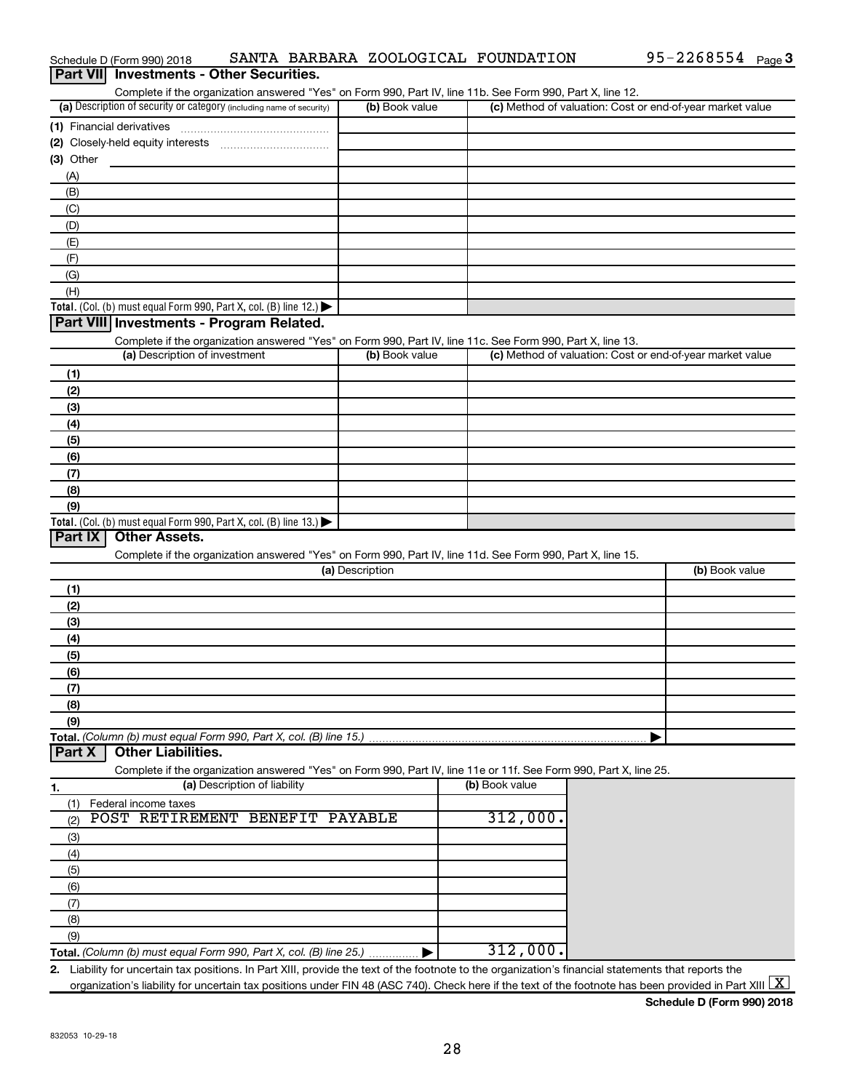|                     | Complete if the organization answered "Yes" on Form 990, Part IV, line 11b. See Form 990, Part X, line 12.        |                 |                |                                                           |
|---------------------|-------------------------------------------------------------------------------------------------------------------|-----------------|----------------|-----------------------------------------------------------|
|                     | (a) Description of security or category (including name of security)                                              | (b) Book value  |                | (c) Method of valuation: Cost or end-of-year market value |
|                     | (1) Financial derivatives                                                                                         |                 |                |                                                           |
|                     |                                                                                                                   |                 |                |                                                           |
| $(3)$ Other         |                                                                                                                   |                 |                |                                                           |
| (A)                 |                                                                                                                   |                 |                |                                                           |
| (B)                 |                                                                                                                   |                 |                |                                                           |
| (C)                 |                                                                                                                   |                 |                |                                                           |
| (D)                 |                                                                                                                   |                 |                |                                                           |
| (E)                 |                                                                                                                   |                 |                |                                                           |
| (F)                 |                                                                                                                   |                 |                |                                                           |
| (G)                 |                                                                                                                   |                 |                |                                                           |
| (H)                 |                                                                                                                   |                 |                |                                                           |
|                     | Total. (Col. (b) must equal Form 990, Part X, col. (B) line 12.)                                                  |                 |                |                                                           |
|                     | Part VIII Investments - Program Related.                                                                          |                 |                |                                                           |
|                     | Complete if the organization answered "Yes" on Form 990, Part IV, line 11c. See Form 990, Part X, line 13.        |                 |                |                                                           |
|                     | (a) Description of investment                                                                                     | (b) Book value  |                | (c) Method of valuation: Cost or end-of-year market value |
| (1)                 |                                                                                                                   |                 |                |                                                           |
| (2)                 |                                                                                                                   |                 |                |                                                           |
| (3)                 |                                                                                                                   |                 |                |                                                           |
| (4)                 |                                                                                                                   |                 |                |                                                           |
| (5)                 |                                                                                                                   |                 |                |                                                           |
| (6)                 |                                                                                                                   |                 |                |                                                           |
| (7)                 |                                                                                                                   |                 |                |                                                           |
| (8)                 |                                                                                                                   |                 |                |                                                           |
| (9)                 |                                                                                                                   |                 |                |                                                           |
|                     |                                                                                                                   |                 |                |                                                           |
|                     | Total. (Col. (b) must equal Form 990, Part X, col. (B) line 13.)                                                  |                 |                |                                                           |
| <b>Part IX</b>      | <b>Other Assets.</b>                                                                                              |                 |                |                                                           |
|                     | Complete if the organization answered "Yes" on Form 990, Part IV, line 11d. See Form 990, Part X, line 15.        |                 |                |                                                           |
|                     |                                                                                                                   | (a) Description |                | (b) Book value                                            |
| (1)                 |                                                                                                                   |                 |                |                                                           |
| (2)                 |                                                                                                                   |                 |                |                                                           |
| (3)                 |                                                                                                                   |                 |                |                                                           |
| (4)                 |                                                                                                                   |                 |                |                                                           |
| (5)                 |                                                                                                                   |                 |                |                                                           |
| (6)                 |                                                                                                                   |                 |                |                                                           |
| (7)                 |                                                                                                                   |                 |                |                                                           |
| (8)                 |                                                                                                                   |                 |                |                                                           |
| (9)                 |                                                                                                                   |                 |                |                                                           |
|                     | Total. (Column (b) must equal Form 990, Part X, col. (B) line 15.)                                                |                 |                |                                                           |
|                     | <b>Other Liabilities.</b>                                                                                         |                 |                |                                                           |
|                     | Complete if the organization answered "Yes" on Form 990, Part IV, line 11e or 11f. See Form 990, Part X, line 25. |                 |                |                                                           |
|                     | (a) Description of liability                                                                                      |                 | (b) Book value |                                                           |
| (1)                 | Federal income taxes                                                                                              |                 |                |                                                           |
| (2)                 | POST RETIREMENT BENEFIT                                                                                           | PAYABLE         | 312,000.       |                                                           |
| (3)                 |                                                                                                                   |                 |                |                                                           |
| (4)                 |                                                                                                                   |                 |                |                                                           |
| <b>Part X</b><br>1. |                                                                                                                   |                 |                |                                                           |
| (5)                 |                                                                                                                   |                 |                |                                                           |
| (6)                 |                                                                                                                   |                 |                |                                                           |
| (7)                 |                                                                                                                   |                 |                |                                                           |
| (8)<br>(9)          |                                                                                                                   |                 |                |                                                           |

Schedule D (Form 990) 2018 SANTA BARBARA ZOOLOGICAL FOUNDATION 95-2268554 Page

**Schedule D (Form 990) 2018**

95-2268554 Page 3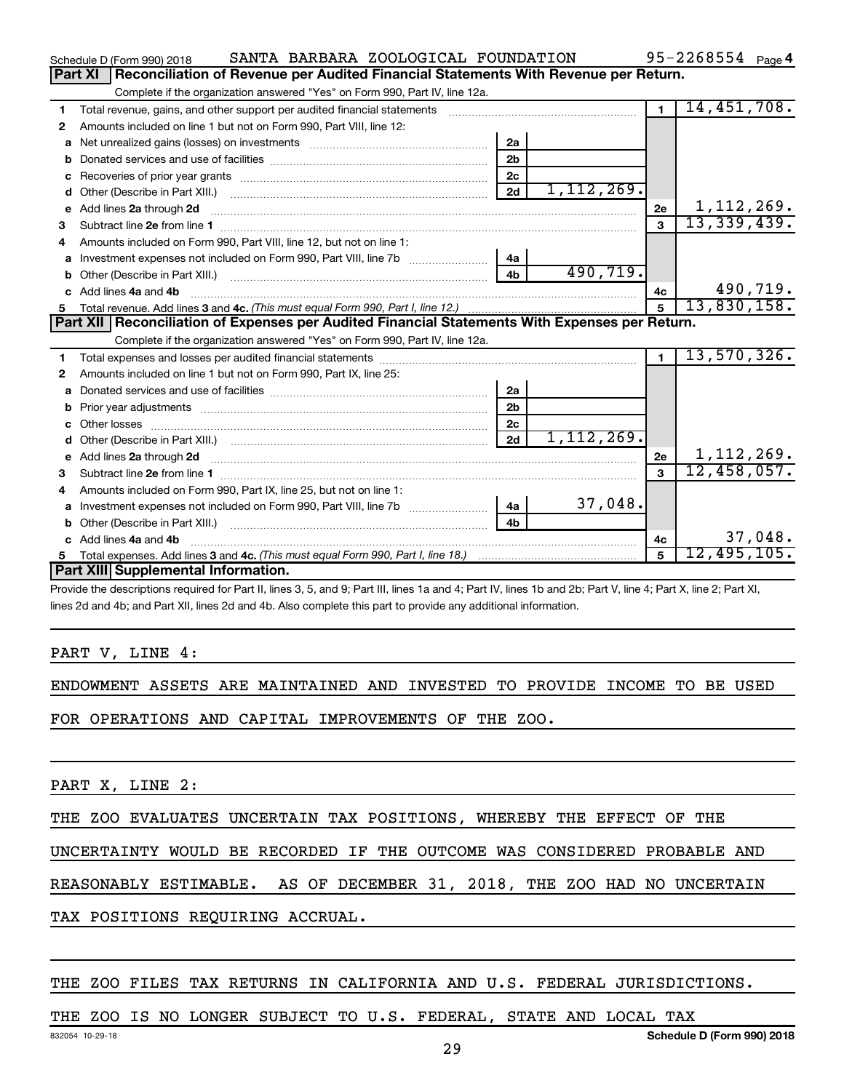|                                                                                                | SANTA BARBARA ZOOLOGICAL FOUNDATION<br>Schedule D (Form 990) 2018                                                                                                                                                                  |                |              |                | 95-2268554 $_{Page 4}$ |  |
|------------------------------------------------------------------------------------------------|------------------------------------------------------------------------------------------------------------------------------------------------------------------------------------------------------------------------------------|----------------|--------------|----------------|------------------------|--|
| Reconciliation of Revenue per Audited Financial Statements With Revenue per Return.<br>Part XI |                                                                                                                                                                                                                                    |                |              |                |                        |  |
|                                                                                                | Complete if the organization answered "Yes" on Form 990, Part IV, line 12a.                                                                                                                                                        |                |              |                |                        |  |
| 1                                                                                              | Total revenue, gains, and other support per audited financial statements                                                                                                                                                           |                |              | $\overline{1}$ | 14,451,708.            |  |
| 2                                                                                              | Amounts included on line 1 but not on Form 990, Part VIII, line 12:                                                                                                                                                                |                |              |                |                        |  |
| a                                                                                              |                                                                                                                                                                                                                                    | 2a             |              |                |                        |  |
|                                                                                                |                                                                                                                                                                                                                                    | 2 <sub>b</sub> |              |                |                        |  |
| c                                                                                              | Recoveries of prior year grants [11, 120] North Machinese Street Prior (120) 120 Machinese Machinese [12] North Machinese [12] North Machinese [12] North Machinese [12] North Machinese [12] North Machinese [12] North Machi     | 2 <sub>c</sub> |              |                |                        |  |
| d                                                                                              |                                                                                                                                                                                                                                    | 2d             | 1, 112, 269. |                |                        |  |
| е                                                                                              | Add lines 2a through 2d                                                                                                                                                                                                            |                |              | 2e             | 1, 112, 269.           |  |
| 3                                                                                              |                                                                                                                                                                                                                                    |                |              | $\mathbf{a}$   | 13,339,439.            |  |
| 4                                                                                              | Amounts included on Form 990, Part VIII, line 12, but not on line 1:                                                                                                                                                               |                |              |                |                        |  |
|                                                                                                | Investment expenses not included on Form 990, Part VIII, line 7b [11] [11] Investment expenses not included on Form 990, Part VIII, line 7b                                                                                        | 4a             |              |                |                        |  |
|                                                                                                |                                                                                                                                                                                                                                    | 4 <sub>b</sub> | 490, 719.    |                |                        |  |
| c.                                                                                             | Add lines 4a and 4b                                                                                                                                                                                                                |                |              | 4c             | 490,719.               |  |
|                                                                                                |                                                                                                                                                                                                                                    |                |              | $\overline{5}$ | 13,830,158.            |  |
|                                                                                                |                                                                                                                                                                                                                                    |                |              |                |                        |  |
|                                                                                                | Part XII   Reconciliation of Expenses per Audited Financial Statements With Expenses per Return.                                                                                                                                   |                |              |                |                        |  |
|                                                                                                | Complete if the organization answered "Yes" on Form 990, Part IV, line 12a.                                                                                                                                                        |                |              |                |                        |  |
| 1                                                                                              |                                                                                                                                                                                                                                    |                |              | $\blacksquare$ | 13,570,326.            |  |
| 2                                                                                              | Amounts included on line 1 but not on Form 990, Part IX, line 25:                                                                                                                                                                  |                |              |                |                        |  |
| a                                                                                              |                                                                                                                                                                                                                                    | 2a             |              |                |                        |  |
|                                                                                                |                                                                                                                                                                                                                                    | 2 <sub>b</sub> |              |                |                        |  |
|                                                                                                |                                                                                                                                                                                                                                    | 2 <sub>c</sub> |              |                |                        |  |
| d                                                                                              |                                                                                                                                                                                                                                    | 2d             | 1, 112, 269. |                |                        |  |
| е                                                                                              | Add lines 2a through 2d <b>contained a contained a contained a contained a</b> contained a contained a contained a contained a contact a contact a contact a contact a contact a contact a contact a contact a contact a contact a |                |              | 2e             | 1, 112, 269.           |  |
| з                                                                                              |                                                                                                                                                                                                                                    |                |              | $\mathbf{3}$   | 12,458,057.            |  |
| 4                                                                                              | Amounts included on Form 990, Part IX, line 25, but not on line 1:                                                                                                                                                                 |                |              |                |                        |  |
| a                                                                                              |                                                                                                                                                                                                                                    |                | 37,048.      |                |                        |  |
|                                                                                                |                                                                                                                                                                                                                                    | 4 <sub>b</sub> |              |                |                        |  |
| c.                                                                                             | Add lines 4a and 4b                                                                                                                                                                                                                |                |              | 4c             | 37,048.                |  |
|                                                                                                | Part XIII Supplemental Information.                                                                                                                                                                                                |                |              | 5              | 12,495,105.            |  |

Provide the descriptions required for Part II, lines 3, 5, and 9; Part III, lines 1a and 4; Part IV, lines 1b and 2b; Part V, line 4; Part X, line 2; Part XI, lines 2d and 4b; and Part XII, lines 2d and 4b. Also complete this part to provide any additional information.

## PART V, LINE 4:

ENDOWMENT ASSETS ARE MAINTAINED AND INVESTED TO PROVIDE INCOME TO BE USED

FOR OPERATIONS AND CAPITAL IMPROVEMENTS OF THE ZOO.

PART X, LINE 2:

THE ZOO EVALUATES UNCERTAIN TAX POSITIONS, WHEREBY THE EFFECT OF THE

UNCERTAINTY WOULD BE RECORDED IF THE OUTCOME WAS CONSIDERED PROBABLE AND

REASONABLY ESTIMABLE. AS OF DECEMBER 31, 2018, THE ZOO HAD NO UNCERTAIN

TAX POSITIONS REQUIRING ACCRUAL.

## THE ZOO FILES TAX RETURNS IN CALIFORNIA AND U.S. FEDERAL JURISDICTIONS.

## THE ZOO IS NO LONGER SUBJECT TO U.S. FEDERAL, STATE AND LOCAL TAX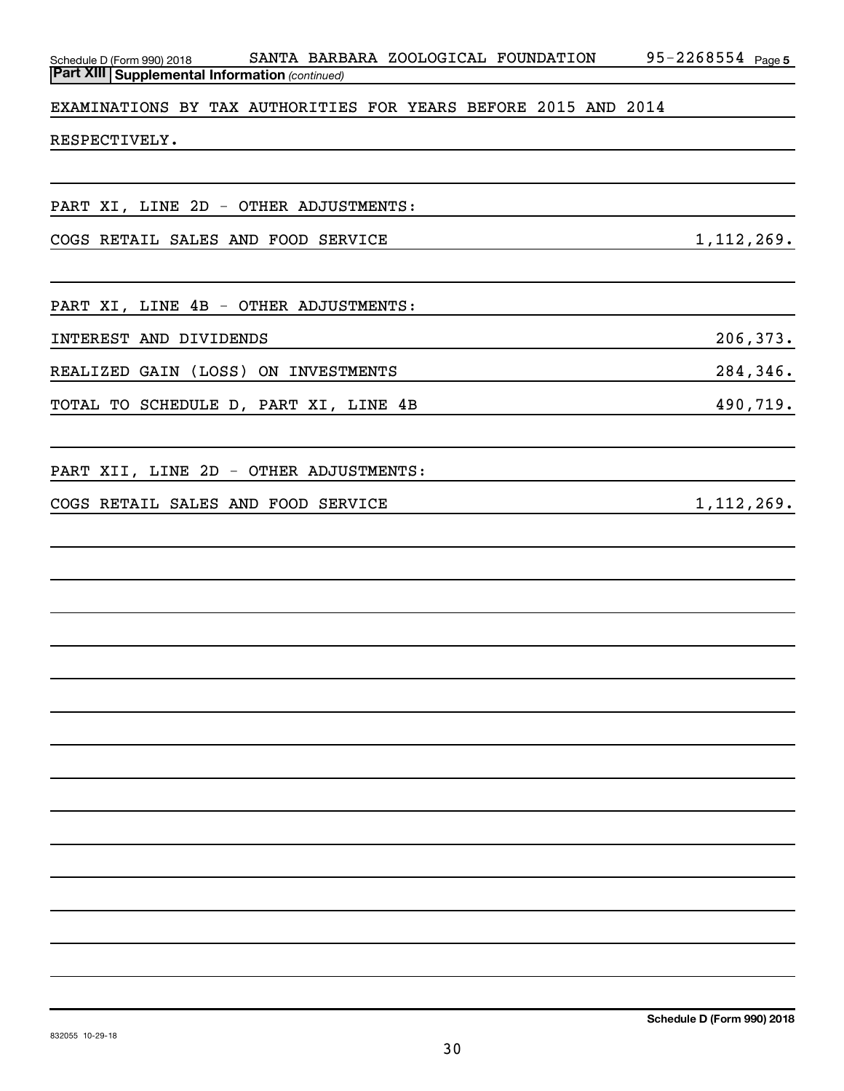| SANTA BARBARA ZOOLOGICAL FOUNDATION<br>Schedule D (Form 990) 2018<br><b>Part XIII Supplemental Information (continued)</b> | $95 - 2268554$ Page 5 |
|----------------------------------------------------------------------------------------------------------------------------|-----------------------|
| EXAMINATIONS BY TAX AUTHORITIES FOR YEARS BEFORE 2015 AND 2014                                                             |                       |
| RESPECTIVELY.                                                                                                              |                       |
|                                                                                                                            |                       |
|                                                                                                                            |                       |
| PART XI, LINE 2D - OTHER ADJUSTMENTS:                                                                                      |                       |
| COGS RETAIL SALES AND FOOD SERVICE                                                                                         | 1, 112, 269.          |
|                                                                                                                            |                       |
| PART XI, LINE 4B - OTHER ADJUSTMENTS:                                                                                      |                       |
| INTEREST AND DIVIDENDS                                                                                                     | 206, 373.             |
| REALIZED GAIN (LOSS)<br>ON INVESTMENTS                                                                                     | 284,346.              |
| TOTAL TO SCHEDULE D, PART XI, LINE 4B                                                                                      | 490,719.              |
|                                                                                                                            |                       |
| PART XII, LINE 2D - OTHER ADJUSTMENTS:                                                                                     |                       |
| COGS RETAIL SALES AND FOOD SERVICE                                                                                         | 1, 112, 269.          |
|                                                                                                                            |                       |
|                                                                                                                            |                       |
|                                                                                                                            |                       |
|                                                                                                                            |                       |
|                                                                                                                            |                       |
|                                                                                                                            |                       |
|                                                                                                                            |                       |
|                                                                                                                            |                       |
|                                                                                                                            |                       |
|                                                                                                                            |                       |
|                                                                                                                            |                       |
|                                                                                                                            |                       |
|                                                                                                                            |                       |
|                                                                                                                            |                       |
|                                                                                                                            |                       |
|                                                                                                                            |                       |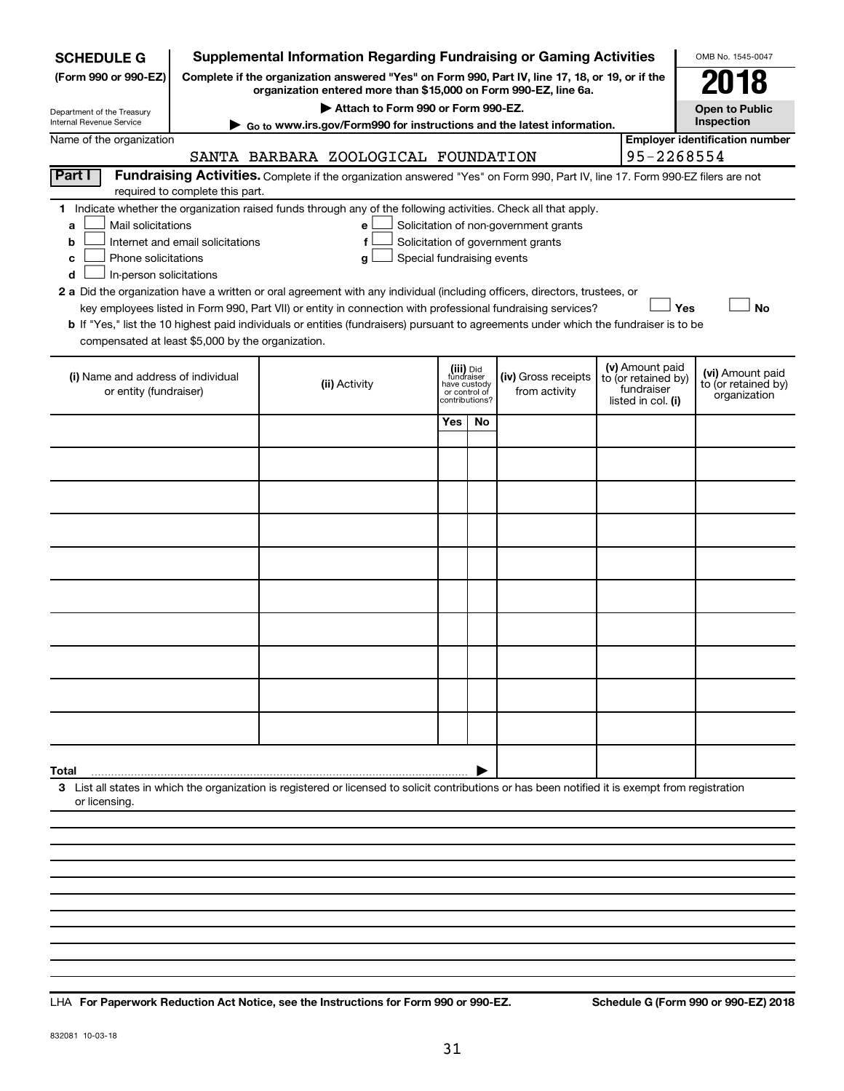| <b>SCHEDULE G</b>                                                                                                                             |                                  | <b>Supplemental Information Regarding Fundraising or Gaming Activities</b>                                                                                                                                                                                                                                                                                                                                                                                                                                           |                                                                            |    |                                                                            |                                                                            | OMB No. 1545-0047                                       |
|-----------------------------------------------------------------------------------------------------------------------------------------------|----------------------------------|----------------------------------------------------------------------------------------------------------------------------------------------------------------------------------------------------------------------------------------------------------------------------------------------------------------------------------------------------------------------------------------------------------------------------------------------------------------------------------------------------------------------|----------------------------------------------------------------------------|----|----------------------------------------------------------------------------|----------------------------------------------------------------------------|---------------------------------------------------------|
| (Form 990 or 990-EZ)                                                                                                                          |                                  | Complete if the organization answered "Yes" on Form 990, Part IV, line 17, 18, or 19, or if the<br>organization entered more than \$15,000 on Form 990-EZ, line 6a.                                                                                                                                                                                                                                                                                                                                                  |                                                                            |    |                                                                            |                                                                            | 2018                                                    |
| Department of the Treasury                                                                                                                    |                                  | Attach to Form 990 or Form 990-EZ.                                                                                                                                                                                                                                                                                                                                                                                                                                                                                   |                                                                            |    |                                                                            |                                                                            | <b>Open to Public</b>                                   |
| Internal Revenue Service                                                                                                                      |                                  | Go to www.irs.gov/Form990 for instructions and the latest information.                                                                                                                                                                                                                                                                                                                                                                                                                                               |                                                                            |    |                                                                            |                                                                            | Inspection                                              |
| Name of the organization                                                                                                                      |                                  | SANTA BARBARA ZOOLOGICAL FOUNDATION                                                                                                                                                                                                                                                                                                                                                                                                                                                                                  |                                                                            |    |                                                                            |                                                                            | <b>Employer identification number</b><br>95-2268554     |
| Part I                                                                                                                                        | required to complete this part.  | Fundraising Activities. Complete if the organization answered "Yes" on Form 990, Part IV, line 17. Form 990-EZ filers are not                                                                                                                                                                                                                                                                                                                                                                                        |                                                                            |    |                                                                            |                                                                            |                                                         |
| Mail solicitations<br>a<br>b<br>Phone solicitations<br>c<br>In-person solicitations<br>d<br>compensated at least \$5,000 by the organization. | Internet and email solicitations | 1 Indicate whether the organization raised funds through any of the following activities. Check all that apply.<br>e<br>f<br>g<br>2 a Did the organization have a written or oral agreement with any individual (including officers, directors, trustees, or<br>key employees listed in Form 990, Part VII) or entity in connection with professional fundraising services?<br>b If "Yes," list the 10 highest paid individuals or entities (fundraisers) pursuant to agreements under which the fundraiser is to be | Special fundraising events                                                 |    | Solicitation of non-government grants<br>Solicitation of government grants |                                                                            | Yes<br><b>No</b>                                        |
| (i) Name and address of individual<br>or entity (fundraiser)                                                                                  |                                  | (ii) Activity                                                                                                                                                                                                                                                                                                                                                                                                                                                                                                        | (iii) Did<br>fundraiser<br>have custody<br>or control of<br>contributions? |    | (iv) Gross receipts<br>from activity                                       | (v) Amount paid<br>to (or retained by)<br>fundraiser<br>listed in col. (i) | (vi) Amount paid<br>to (or retained by)<br>organization |
|                                                                                                                                               |                                  |                                                                                                                                                                                                                                                                                                                                                                                                                                                                                                                      | Yes                                                                        | No |                                                                            |                                                                            |                                                         |
|                                                                                                                                               |                                  |                                                                                                                                                                                                                                                                                                                                                                                                                                                                                                                      |                                                                            |    |                                                                            |                                                                            |                                                         |
|                                                                                                                                               |                                  |                                                                                                                                                                                                                                                                                                                                                                                                                                                                                                                      |                                                                            |    |                                                                            |                                                                            |                                                         |
|                                                                                                                                               |                                  |                                                                                                                                                                                                                                                                                                                                                                                                                                                                                                                      |                                                                            |    |                                                                            |                                                                            |                                                         |
|                                                                                                                                               |                                  |                                                                                                                                                                                                                                                                                                                                                                                                                                                                                                                      |                                                                            |    |                                                                            |                                                                            |                                                         |
|                                                                                                                                               |                                  |                                                                                                                                                                                                                                                                                                                                                                                                                                                                                                                      |                                                                            |    |                                                                            |                                                                            |                                                         |
|                                                                                                                                               |                                  |                                                                                                                                                                                                                                                                                                                                                                                                                                                                                                                      |                                                                            |    |                                                                            |                                                                            |                                                         |
|                                                                                                                                               |                                  |                                                                                                                                                                                                                                                                                                                                                                                                                                                                                                                      |                                                                            |    |                                                                            |                                                                            |                                                         |
|                                                                                                                                               |                                  |                                                                                                                                                                                                                                                                                                                                                                                                                                                                                                                      |                                                                            |    |                                                                            |                                                                            |                                                         |
|                                                                                                                                               |                                  |                                                                                                                                                                                                                                                                                                                                                                                                                                                                                                                      |                                                                            |    |                                                                            |                                                                            |                                                         |
| Total                                                                                                                                         |                                  |                                                                                                                                                                                                                                                                                                                                                                                                                                                                                                                      |                                                                            |    |                                                                            |                                                                            |                                                         |
| or licensing.                                                                                                                                 |                                  | 3 List all states in which the organization is registered or licensed to solicit contributions or has been notified it is exempt from registration                                                                                                                                                                                                                                                                                                                                                                   |                                                                            |    |                                                                            |                                                                            |                                                         |
|                                                                                                                                               |                                  |                                                                                                                                                                                                                                                                                                                                                                                                                                                                                                                      |                                                                            |    |                                                                            |                                                                            |                                                         |
|                                                                                                                                               |                                  |                                                                                                                                                                                                                                                                                                                                                                                                                                                                                                                      |                                                                            |    |                                                                            |                                                                            |                                                         |
|                                                                                                                                               |                                  |                                                                                                                                                                                                                                                                                                                                                                                                                                                                                                                      |                                                                            |    |                                                                            |                                                                            |                                                         |
|                                                                                                                                               |                                  |                                                                                                                                                                                                                                                                                                                                                                                                                                                                                                                      |                                                                            |    |                                                                            |                                                                            |                                                         |

**For Paperwork Reduction Act Notice, see the Instructions for Form 990 or 990-EZ. Schedule G (Form 990 or 990-EZ) 2018** LHA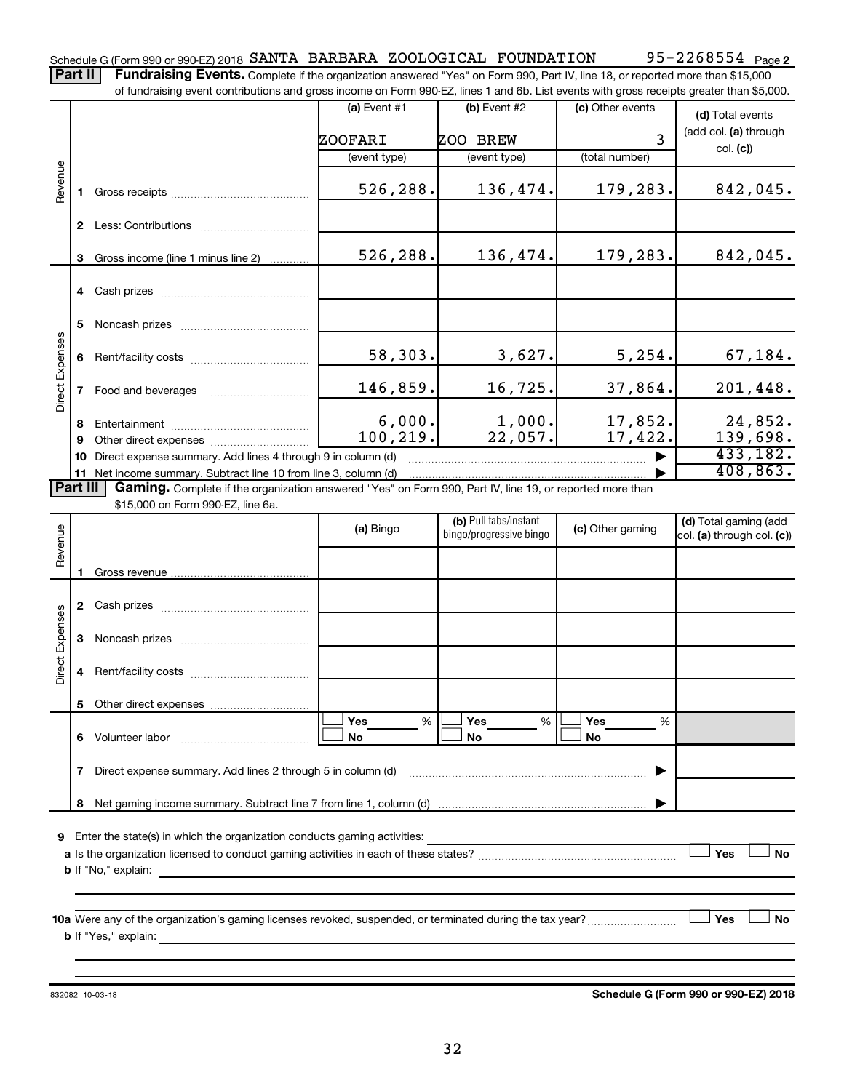Part II | Fundraising Events. Complete if the organization answered "Yes" on Form 990, Part IV, line 18, or reported more than \$15,000 of fundraising event contributions and gross income on Form 990-EZ, lines 1 and 6b. List events with gross receipts greater than \$5,000.

|                 |   |                                                                                                                                                                             |                | $\sim$ 0.1 T 0.1 T 0.00 LE, in 100 T and 0.0. Elot overlies with gross receipts greater than $\phi$ o,000. |                       |                            |
|-----------------|---|-----------------------------------------------------------------------------------------------------------------------------------------------------------------------------|----------------|------------------------------------------------------------------------------------------------------------|-----------------------|----------------------------|
|                 |   |                                                                                                                                                                             | (a) Event $#1$ | (b) Event #2                                                                                               | (c) Other events      | (d) Total events           |
|                 |   |                                                                                                                                                                             | ZOOFARI        | ZOO BREW                                                                                                   | 3                     | (add col. (a) through      |
|                 |   |                                                                                                                                                                             | (event type)   | (event type)                                                                                               | (total number)        | col. (c)                   |
| Revenue         |   |                                                                                                                                                                             | 526,288.       | 136,474.                                                                                                   | 179,283.              | 842,045.                   |
|                 |   |                                                                                                                                                                             |                |                                                                                                            |                       |                            |
|                 |   | 3 Gross income (line 1 minus line 2)                                                                                                                                        | 526,288.       | 136,474.                                                                                                   | 179,283.              | 842,045.                   |
|                 |   |                                                                                                                                                                             |                |                                                                                                            |                       |                            |
|                 | 5 |                                                                                                                                                                             |                |                                                                                                            |                       |                            |
|                 |   |                                                                                                                                                                             | 58,303.        | 3,627.                                                                                                     | 5,254.                | 67,184.                    |
| Direct Expenses | 7 | Food and beverages                                                                                                                                                          | 146,859.       | 16,725.                                                                                                    | 37,864.               | 201,448.                   |
|                 | 8 |                                                                                                                                                                             | 6,000.         | 1,000.                                                                                                     | 17,852.               | 24,852.                    |
|                 | 9 |                                                                                                                                                                             | 100, 219.      | 22,057.                                                                                                    | 17,422.               | 139,698.<br>433,182.       |
|                 |   | 10 Direct expense summary. Add lines 4 through 9 in column (d)                                                                                                              |                |                                                                                                            |                       | 408,863.                   |
| <b>Part III</b> |   | 11 Net income summary. Subtract line 10 from line 3, column (d)<br>Gaming. Complete if the organization answered "Yes" on Form 990, Part IV, line 19, or reported more than |                |                                                                                                            |                       |                            |
|                 |   | \$15,000 on Form 990-EZ, line 6a.                                                                                                                                           |                |                                                                                                            |                       |                            |
|                 |   |                                                                                                                                                                             |                | (b) Pull tabs/instant                                                                                      |                       | (d) Total gaming (add      |
| Revenue         |   |                                                                                                                                                                             | (a) Bingo      | bingo/progressive bingo                                                                                    | (c) Other gaming      | col. (a) through col. (c)) |
|                 |   |                                                                                                                                                                             |                |                                                                                                            |                       |                            |
|                 |   |                                                                                                                                                                             |                |                                                                                                            |                       |                            |
|                 |   |                                                                                                                                                                             |                |                                                                                                            |                       |                            |
| Direct Expenses |   |                                                                                                                                                                             |                |                                                                                                            |                       |                            |
|                 | 4 |                                                                                                                                                                             |                |                                                                                                            |                       |                            |
|                 |   |                                                                                                                                                                             |                |                                                                                                            |                       |                            |
|                 |   | 6 Volunteer labor                                                                                                                                                           | Yes<br>%<br>No | Yes<br>%<br>No                                                                                             | <b>Yes</b><br>%<br>No |                            |
|                 | 7 | Direct expense summary. Add lines 2 through 5 in column (d)                                                                                                                 |                |                                                                                                            |                       |                            |
|                 | 8 |                                                                                                                                                                             |                |                                                                                                            |                       |                            |
|                 |   |                                                                                                                                                                             |                |                                                                                                            |                       |                            |
| 9               |   | Enter the state(s) in which the organization conducts gaming activities:                                                                                                    |                |                                                                                                            |                       |                            |
|                 |   |                                                                                                                                                                             |                |                                                                                                            |                       | Yes<br>No                  |
|                 |   | <b>b</b> If "No," explain:                                                                                                                                                  |                |                                                                                                            |                       |                            |
|                 |   |                                                                                                                                                                             |                |                                                                                                            |                       |                            |
|                 |   | 10a Were any of the organization's gaming licenses revoked, suspended, or terminated during the tax year?                                                                   |                |                                                                                                            |                       | Yes<br>No                  |
|                 |   | <b>b</b> If "Yes," explain:                                                                                                                                                 |                |                                                                                                            |                       |                            |

832082 10-03-18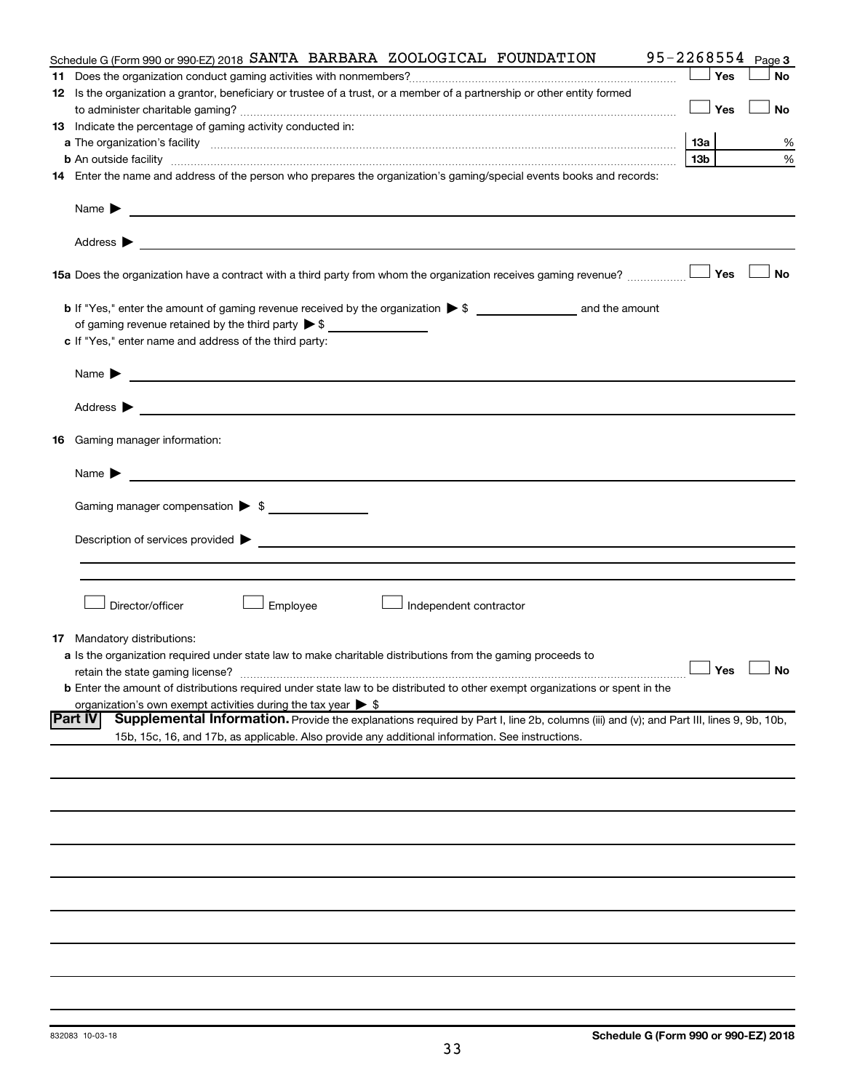| Yes<br><b>No</b><br>12 Is the organization a grantor, beneficiary or trustee of a trust, or a member of a partnership or other entity formed<br>Yes<br>No<br>13 Indicate the percentage of gaming activity conducted in:<br>13а<br>%<br>%<br>13 <sub>b</sub><br><b>b</b> An outside facility <i>www.communicality www.communicality.communicality www.communicality www.communicality.communicality www.communicality.com</i><br>14 Enter the name and address of the person who prepares the organization's gaming/special events books and records:<br>Name $\blacktriangleright$<br><u>and the control of the control of the control of the control of the control of the control of</u><br>Yes<br><b>No</b><br>15a Does the organization have a contract with a third party from whom the organization receives gaming revenue?<br>of gaming revenue retained by the third party $\triangleright$ \$ |
|----------------------------------------------------------------------------------------------------------------------------------------------------------------------------------------------------------------------------------------------------------------------------------------------------------------------------------------------------------------------------------------------------------------------------------------------------------------------------------------------------------------------------------------------------------------------------------------------------------------------------------------------------------------------------------------------------------------------------------------------------------------------------------------------------------------------------------------------------------------------------------------------------------|
|                                                                                                                                                                                                                                                                                                                                                                                                                                                                                                                                                                                                                                                                                                                                                                                                                                                                                                          |
|                                                                                                                                                                                                                                                                                                                                                                                                                                                                                                                                                                                                                                                                                                                                                                                                                                                                                                          |
|                                                                                                                                                                                                                                                                                                                                                                                                                                                                                                                                                                                                                                                                                                                                                                                                                                                                                                          |
|                                                                                                                                                                                                                                                                                                                                                                                                                                                                                                                                                                                                                                                                                                                                                                                                                                                                                                          |
|                                                                                                                                                                                                                                                                                                                                                                                                                                                                                                                                                                                                                                                                                                                                                                                                                                                                                                          |
|                                                                                                                                                                                                                                                                                                                                                                                                                                                                                                                                                                                                                                                                                                                                                                                                                                                                                                          |
|                                                                                                                                                                                                                                                                                                                                                                                                                                                                                                                                                                                                                                                                                                                                                                                                                                                                                                          |
|                                                                                                                                                                                                                                                                                                                                                                                                                                                                                                                                                                                                                                                                                                                                                                                                                                                                                                          |
|                                                                                                                                                                                                                                                                                                                                                                                                                                                                                                                                                                                                                                                                                                                                                                                                                                                                                                          |
|                                                                                                                                                                                                                                                                                                                                                                                                                                                                                                                                                                                                                                                                                                                                                                                                                                                                                                          |
|                                                                                                                                                                                                                                                                                                                                                                                                                                                                                                                                                                                                                                                                                                                                                                                                                                                                                                          |
|                                                                                                                                                                                                                                                                                                                                                                                                                                                                                                                                                                                                                                                                                                                                                                                                                                                                                                          |
|                                                                                                                                                                                                                                                                                                                                                                                                                                                                                                                                                                                                                                                                                                                                                                                                                                                                                                          |
| c If "Yes," enter name and address of the third party:                                                                                                                                                                                                                                                                                                                                                                                                                                                                                                                                                                                                                                                                                                                                                                                                                                                   |
|                                                                                                                                                                                                                                                                                                                                                                                                                                                                                                                                                                                                                                                                                                                                                                                                                                                                                                          |
| <u>and the contract of the contract of the contract of the contract of the contract of the contract of the contract of</u><br>Name $\blacktriangleright$                                                                                                                                                                                                                                                                                                                                                                                                                                                                                                                                                                                                                                                                                                                                                 |
| Address $\blacktriangleright$<br><u> 1989 - Jan Barbara (h. 1989).</u>                                                                                                                                                                                                                                                                                                                                                                                                                                                                                                                                                                                                                                                                                                                                                                                                                                   |
| <b>16</b> Gaming manager information:                                                                                                                                                                                                                                                                                                                                                                                                                                                                                                                                                                                                                                                                                                                                                                                                                                                                    |
| <u> 1990 - Johann Barbara, martin amerikan basal dan berasal dan berasal dalam basal dalam basal dalam basal dala</u><br>Name $\blacktriangleright$                                                                                                                                                                                                                                                                                                                                                                                                                                                                                                                                                                                                                                                                                                                                                      |
| Gaming manager compensation > \$                                                                                                                                                                                                                                                                                                                                                                                                                                                                                                                                                                                                                                                                                                                                                                                                                                                                         |
|                                                                                                                                                                                                                                                                                                                                                                                                                                                                                                                                                                                                                                                                                                                                                                                                                                                                                                          |
|                                                                                                                                                                                                                                                                                                                                                                                                                                                                                                                                                                                                                                                                                                                                                                                                                                                                                                          |
|                                                                                                                                                                                                                                                                                                                                                                                                                                                                                                                                                                                                                                                                                                                                                                                                                                                                                                          |
|                                                                                                                                                                                                                                                                                                                                                                                                                                                                                                                                                                                                                                                                                                                                                                                                                                                                                                          |
|                                                                                                                                                                                                                                                                                                                                                                                                                                                                                                                                                                                                                                                                                                                                                                                                                                                                                                          |
| Director/officer<br>Employee<br>Independent contractor                                                                                                                                                                                                                                                                                                                                                                                                                                                                                                                                                                                                                                                                                                                                                                                                                                                   |
|                                                                                                                                                                                                                                                                                                                                                                                                                                                                                                                                                                                                                                                                                                                                                                                                                                                                                                          |
| Mandatory distributions:<br>17                                                                                                                                                                                                                                                                                                                                                                                                                                                                                                                                                                                                                                                                                                                                                                                                                                                                           |
| a Is the organization required under state law to make charitable distributions from the gaming proceeds to                                                                                                                                                                                                                                                                                                                                                                                                                                                                                                                                                                                                                                                                                                                                                                                              |
| $\Box$ Yes $\Box$ No<br>retain the state gaming license?                                                                                                                                                                                                                                                                                                                                                                                                                                                                                                                                                                                                                                                                                                                                                                                                                                                 |
| <b>b</b> Enter the amount of distributions required under state law to be distributed to other exempt organizations or spent in the                                                                                                                                                                                                                                                                                                                                                                                                                                                                                                                                                                                                                                                                                                                                                                      |
| organization's own exempt activities during the tax year $\triangleright$ \$                                                                                                                                                                                                                                                                                                                                                                                                                                                                                                                                                                                                                                                                                                                                                                                                                             |
| <b>Part IV</b><br>Supplemental Information. Provide the explanations required by Part I, line 2b, columns (iii) and (v); and Part III, lines 9, 9b, 10b,                                                                                                                                                                                                                                                                                                                                                                                                                                                                                                                                                                                                                                                                                                                                                 |
| 15b, 15c, 16, and 17b, as applicable. Also provide any additional information. See instructions.                                                                                                                                                                                                                                                                                                                                                                                                                                                                                                                                                                                                                                                                                                                                                                                                         |
|                                                                                                                                                                                                                                                                                                                                                                                                                                                                                                                                                                                                                                                                                                                                                                                                                                                                                                          |
|                                                                                                                                                                                                                                                                                                                                                                                                                                                                                                                                                                                                                                                                                                                                                                                                                                                                                                          |
|                                                                                                                                                                                                                                                                                                                                                                                                                                                                                                                                                                                                                                                                                                                                                                                                                                                                                                          |
|                                                                                                                                                                                                                                                                                                                                                                                                                                                                                                                                                                                                                                                                                                                                                                                                                                                                                                          |
|                                                                                                                                                                                                                                                                                                                                                                                                                                                                                                                                                                                                                                                                                                                                                                                                                                                                                                          |
|                                                                                                                                                                                                                                                                                                                                                                                                                                                                                                                                                                                                                                                                                                                                                                                                                                                                                                          |
|                                                                                                                                                                                                                                                                                                                                                                                                                                                                                                                                                                                                                                                                                                                                                                                                                                                                                                          |
|                                                                                                                                                                                                                                                                                                                                                                                                                                                                                                                                                                                                                                                                                                                                                                                                                                                                                                          |
|                                                                                                                                                                                                                                                                                                                                                                                                                                                                                                                                                                                                                                                                                                                                                                                                                                                                                                          |
|                                                                                                                                                                                                                                                                                                                                                                                                                                                                                                                                                                                                                                                                                                                                                                                                                                                                                                          |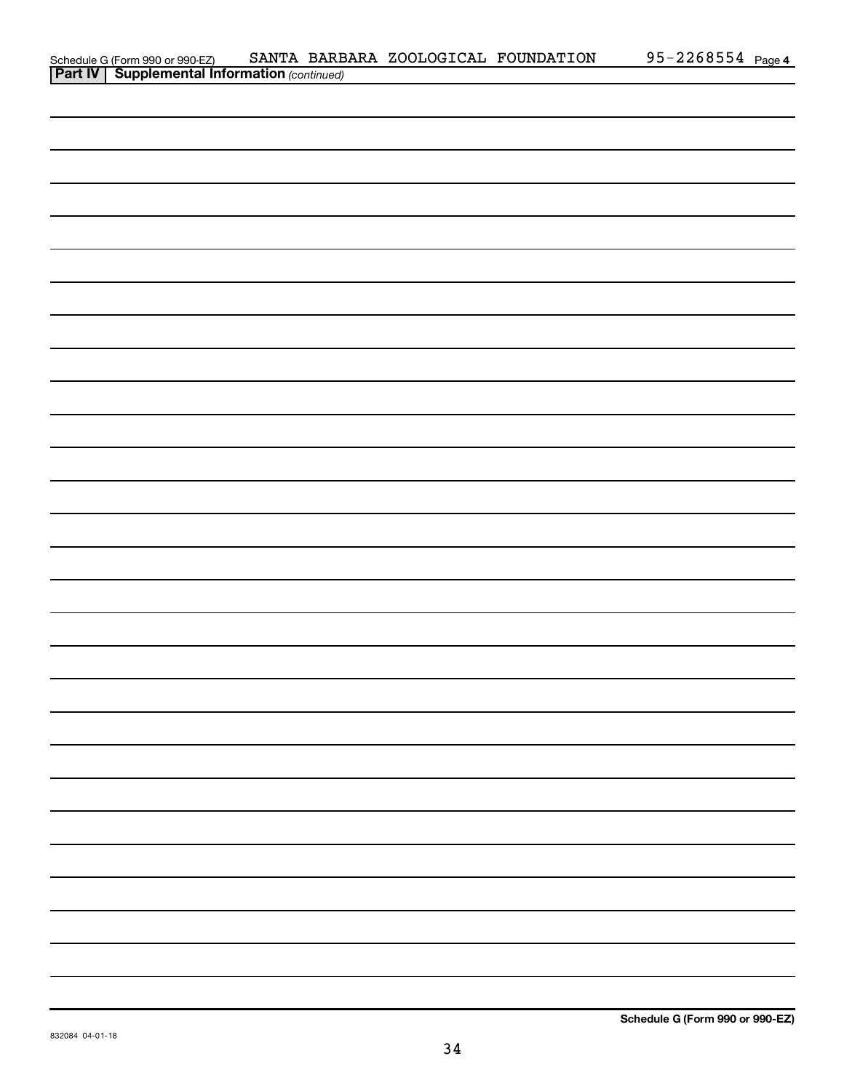| Schedule G (Form 990 or 990-EZ) SANTA BARB<br><b>Part IV   Supplemental Information</b> (continued) | SANTA BARBARA ZOOLOGICAL FOUNDATION |  | 95-2268554 Page 4 |
|-----------------------------------------------------------------------------------------------------|-------------------------------------|--|-------------------|
|                                                                                                     |                                     |  |                   |
|                                                                                                     |                                     |  |                   |
|                                                                                                     |                                     |  |                   |
|                                                                                                     |                                     |  |                   |
|                                                                                                     |                                     |  |                   |
|                                                                                                     |                                     |  |                   |
|                                                                                                     |                                     |  |                   |
|                                                                                                     |                                     |  |                   |
|                                                                                                     |                                     |  |                   |
|                                                                                                     |                                     |  |                   |
|                                                                                                     |                                     |  |                   |
|                                                                                                     |                                     |  |                   |
|                                                                                                     |                                     |  |                   |
|                                                                                                     |                                     |  |                   |
|                                                                                                     |                                     |  |                   |
|                                                                                                     |                                     |  |                   |
|                                                                                                     |                                     |  |                   |
|                                                                                                     |                                     |  |                   |
|                                                                                                     |                                     |  |                   |
|                                                                                                     |                                     |  |                   |
|                                                                                                     |                                     |  |                   |
|                                                                                                     |                                     |  |                   |
|                                                                                                     |                                     |  |                   |
|                                                                                                     |                                     |  |                   |
|                                                                                                     |                                     |  |                   |
|                                                                                                     |                                     |  |                   |
|                                                                                                     |                                     |  |                   |
|                                                                                                     |                                     |  |                   |
|                                                                                                     |                                     |  |                   |
|                                                                                                     |                                     |  |                   |
|                                                                                                     |                                     |  |                   |
|                                                                                                     |                                     |  |                   |
|                                                                                                     |                                     |  |                   |
|                                                                                                     |                                     |  |                   |
|                                                                                                     |                                     |  |                   |
|                                                                                                     |                                     |  |                   |
|                                                                                                     |                                     |  |                   |
|                                                                                                     |                                     |  |                   |
|                                                                                                     |                                     |  |                   |
|                                                                                                     |                                     |  |                   |
|                                                                                                     |                                     |  |                   |
|                                                                                                     |                                     |  |                   |
|                                                                                                     |                                     |  |                   |
|                                                                                                     |                                     |  |                   |
|                                                                                                     |                                     |  |                   |
|                                                                                                     |                                     |  |                   |
|                                                                                                     |                                     |  |                   |
|                                                                                                     |                                     |  |                   |
|                                                                                                     |                                     |  |                   |
|                                                                                                     |                                     |  |                   |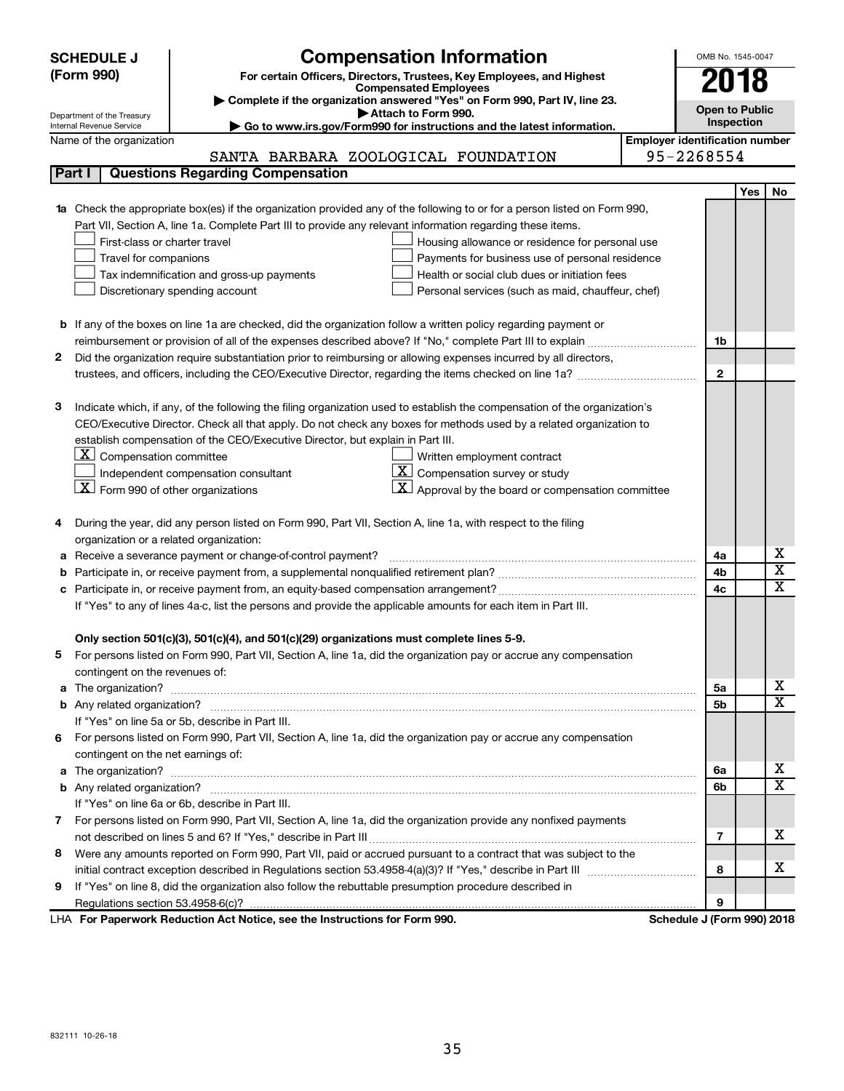|    | <b>SCHEDULE J</b>                                      | <b>Compensation Information</b>                                                                                           |                                       | OMB No. 1545-0047     |            |                         |
|----|--------------------------------------------------------|---------------------------------------------------------------------------------------------------------------------------|---------------------------------------|-----------------------|------------|-------------------------|
|    | (Form 990)                                             | For certain Officers, Directors, Trustees, Key Employees, and Highest                                                     |                                       |                       |            |                         |
|    |                                                        | <b>Compensated Employees</b>                                                                                              |                                       |                       | 2018       |                         |
|    |                                                        | Complete if the organization answered "Yes" on Form 990, Part IV, line 23.                                                |                                       | <b>Open to Public</b> |            |                         |
|    | Department of the Treasury                             | Attach to Form 990.                                                                                                       |                                       |                       | Inspection |                         |
|    | Internal Revenue Service<br>Name of the organization   | Go to www.irs.gov/Form990 for instructions and the latest information.                                                    | <b>Employer identification number</b> |                       |            |                         |
|    |                                                        | SANTA BARBARA ZOOLOGICAL FOUNDATION                                                                                       |                                       | 95-2268554            |            |                         |
|    | Part I                                                 | <b>Questions Regarding Compensation</b>                                                                                   |                                       |                       |            |                         |
|    |                                                        |                                                                                                                           |                                       |                       |            |                         |
|    |                                                        |                                                                                                                           |                                       |                       | Yes        | No                      |
| 1a |                                                        | Check the appropriate box(es) if the organization provided any of the following to or for a person listed on Form 990,    |                                       |                       |            |                         |
|    |                                                        | Part VII, Section A, line 1a. Complete Part III to provide any relevant information regarding these items.                |                                       |                       |            |                         |
|    | First-class or charter travel                          | Housing allowance or residence for personal use                                                                           |                                       |                       |            |                         |
|    | Travel for companions                                  | Payments for business use of personal residence                                                                           |                                       |                       |            |                         |
|    |                                                        | Health or social club dues or initiation fees<br>Tax indemnification and gross-up payments                                |                                       |                       |            |                         |
|    |                                                        | Discretionary spending account<br>Personal services (such as maid, chauffeur, chef)                                       |                                       |                       |            |                         |
|    |                                                        |                                                                                                                           |                                       |                       |            |                         |
|    |                                                        | <b>b</b> If any of the boxes on line 1a are checked, did the organization follow a written policy regarding payment or    |                                       |                       |            |                         |
|    |                                                        |                                                                                                                           |                                       | 1b                    |            |                         |
| 2  |                                                        | Did the organization require substantiation prior to reimbursing or allowing expenses incurred by all directors,          |                                       |                       |            |                         |
|    |                                                        |                                                                                                                           |                                       | $\mathbf{2}$          |            |                         |
|    |                                                        |                                                                                                                           |                                       |                       |            |                         |
| з  |                                                        | Indicate which, if any, of the following the filing organization used to establish the compensation of the organization's |                                       |                       |            |                         |
|    |                                                        | CEO/Executive Director. Check all that apply. Do not check any boxes for methods used by a related organization to        |                                       |                       |            |                         |
|    |                                                        | establish compensation of the CEO/Executive Director, but explain in Part III.                                            |                                       |                       |            |                         |
|    | $\lfloor \underline{x} \rfloor$ Compensation committee | Written employment contract                                                                                               |                                       |                       |            |                         |
|    |                                                        | $ \mathbf{X} $ Compensation survey or study<br>Independent compensation consultant                                        |                                       |                       |            |                         |
|    | $\lfloor x \rfloor$ Form 990 of other organizations    | $\lfloor \underline{X} \rfloor$ Approval by the board or compensation committee                                           |                                       |                       |            |                         |
|    |                                                        |                                                                                                                           |                                       |                       |            |                         |
| 4  |                                                        | During the year, did any person listed on Form 990, Part VII, Section A, line 1a, with respect to the filing              |                                       |                       |            |                         |
|    | organization or a related organization:                |                                                                                                                           |                                       |                       |            |                         |
| а  |                                                        | Receive a severance payment or change-of-control payment?                                                                 |                                       | 4a                    |            | х                       |
| b  |                                                        |                                                                                                                           |                                       | 4b                    |            | $\overline{\textbf{x}}$ |
| c  |                                                        |                                                                                                                           |                                       | 4c                    |            | $\overline{\textbf{x}}$ |
|    |                                                        | If "Yes" to any of lines 4a-c, list the persons and provide the applicable amounts for each item in Part III.             |                                       |                       |            |                         |
|    |                                                        |                                                                                                                           |                                       |                       |            |                         |
|    |                                                        | Only section 501(c)(3), 501(c)(4), and 501(c)(29) organizations must complete lines 5-9.                                  |                                       |                       |            |                         |
|    |                                                        | For persons listed on Form 990, Part VII, Section A, line 1a, did the organization pay or accrue any compensation         |                                       |                       |            |                         |
|    | contingent on the revenues of:                         |                                                                                                                           |                                       |                       |            |                         |
|    |                                                        |                                                                                                                           |                                       | 5а                    |            | х                       |
|    |                                                        |                                                                                                                           |                                       | 5b                    |            | х                       |
|    |                                                        | If "Yes" on line 5a or 5b, describe in Part III.                                                                          |                                       |                       |            |                         |
| 6. |                                                        | For persons listed on Form 990, Part VII, Section A, line 1a, did the organization pay or accrue any compensation         |                                       |                       |            |                         |
|    | contingent on the net earnings of:                     |                                                                                                                           |                                       |                       |            |                         |
|    |                                                        |                                                                                                                           |                                       | 6a                    |            | х                       |
|    |                                                        |                                                                                                                           |                                       | 6b                    |            | х                       |
|    |                                                        | If "Yes" on line 6a or 6b, describe in Part III.                                                                          |                                       |                       |            |                         |
|    |                                                        | 7 For persons listed on Form 990, Part VII, Section A, line 1a, did the organization provide any nonfixed payments        |                                       |                       |            |                         |
|    |                                                        |                                                                                                                           |                                       | 7                     |            | х                       |
| 8  |                                                        | Were any amounts reported on Form 990, Part VII, paid or accrued pursuant to a contract that was subject to the           |                                       |                       |            |                         |
|    |                                                        |                                                                                                                           |                                       | 8                     |            | х                       |
| 9  |                                                        | If "Yes" on line 8, did the organization also follow the rebuttable presumption procedure described in                    |                                       |                       |            |                         |
|    |                                                        |                                                                                                                           |                                       | 9                     |            |                         |
|    |                                                        | duction Act Notice and the Instructions for Form 000                                                                      |                                       | Calcadola, 175an      |            | 000000000               |

**For Paperwork Reduction Act Notice, see the Instructions for Form 990. Schedule J (Form 990) 2018** LHA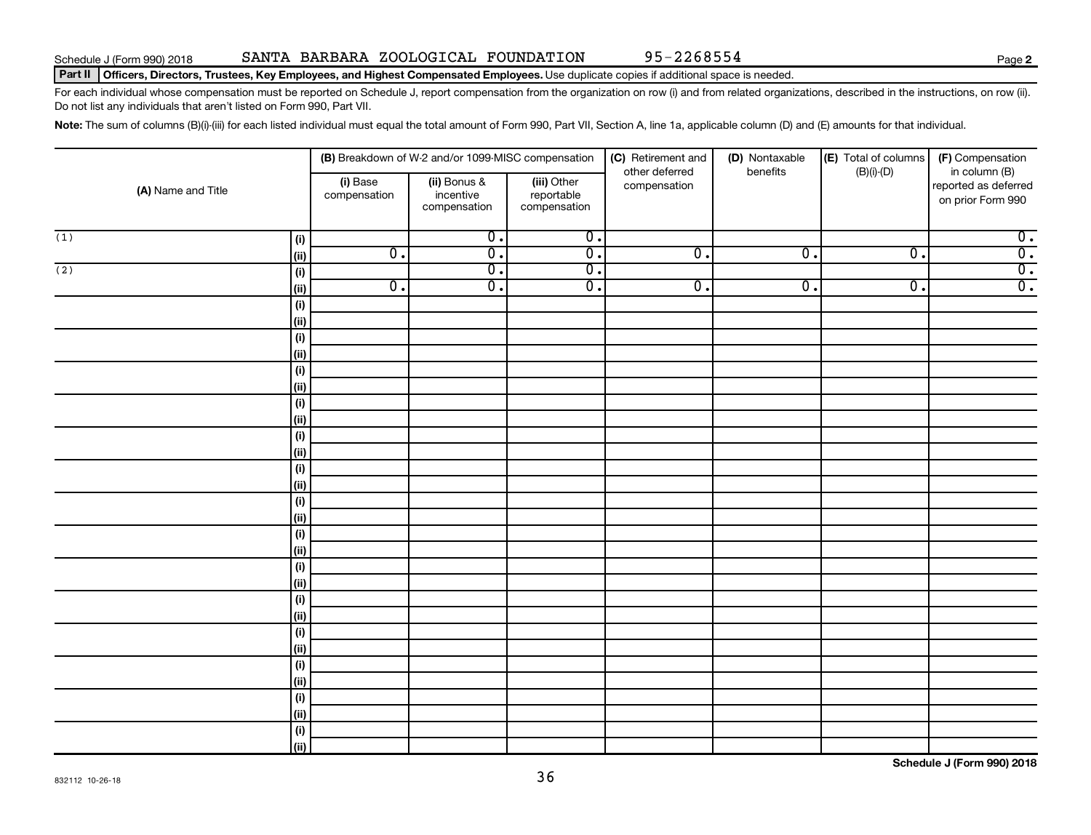## Part II | Officers, Directors, Trustees, Key Employees, and Highest Compensated Employees. Use duplicate copies if additional space is needed.

For each individual whose compensation must be reported on Schedule J, report compensation from the organization on row (i) and from related organizations, described in the instructions, on row (ii). Do not list any individuals that aren't listed on Form 990, Part VII.

Note: The sum of columns (B)(i)-(iii) for each listed individual must equal the total amount of Form 990, Part VII, Section A, line 1a, applicable column (D) and (E) amounts for that individual.

|                                                  |                          | (B) Breakdown of W-2 and/or 1099-MISC compensation |                                           | (C) Retirement and<br>other deferred | (D) Nontaxable<br>benefits | (E) Total of columns<br>$(B)(i)-(D)$ | (F) Compensation<br>in column (B)         |  |  |
|--------------------------------------------------|--------------------------|----------------------------------------------------|-------------------------------------------|--------------------------------------|----------------------------|--------------------------------------|-------------------------------------------|--|--|
| (A) Name and Title                               | (i) Base<br>compensation | (ii) Bonus &<br>incentive<br>compensation          | (iii) Other<br>reportable<br>compensation | compensation                         |                            |                                      | reported as deferred<br>on prior Form 990 |  |  |
| $\overline{(1)}$<br>$\qquad \qquad \textbf{(i)}$ |                          | $\overline{0}$ .                                   | $\overline{0}$ .                          |                                      |                            |                                      | $\overline{0}$ .                          |  |  |
| (ii)                                             | $\overline{0}$ .         | $\overline{0}$ .                                   | $\overline{0}$ .                          | $\overline{0}$ .                     | $\overline{0}$ .           | $\overline{0}$ .                     | $\overline{\mathfrak{o}}$ .               |  |  |
| (2)<br>$\qquad \qquad \textbf{(i)}$              |                          | $\overline{0}$ .                                   | $\overline{0}$ .                          |                                      |                            |                                      | $\overline{\mathfrak{o}}$ .               |  |  |
| (ii)                                             | $\overline{0}$ .         | $\overline{0}$ .                                   | $\overline{0}$ .                          | $\overline{0}$ .                     | $\overline{0}$ .           | $\overline{0}$ .                     | $\overline{0}$ .                          |  |  |
| $\qquad \qquad \textbf{(i)}$                     |                          |                                                    |                                           |                                      |                            |                                      |                                           |  |  |
| (ii)                                             |                          |                                                    |                                           |                                      |                            |                                      |                                           |  |  |
| (i)                                              |                          |                                                    |                                           |                                      |                            |                                      |                                           |  |  |
| (ii)                                             |                          |                                                    |                                           |                                      |                            |                                      |                                           |  |  |
| (i)                                              |                          |                                                    |                                           |                                      |                            |                                      |                                           |  |  |
| (ii)                                             |                          |                                                    |                                           |                                      |                            |                                      |                                           |  |  |
| (i)                                              |                          |                                                    |                                           |                                      |                            |                                      |                                           |  |  |
| (ii)                                             |                          |                                                    |                                           |                                      |                            |                                      |                                           |  |  |
| (i)                                              |                          |                                                    |                                           |                                      |                            |                                      |                                           |  |  |
| (ii)                                             |                          |                                                    |                                           |                                      |                            |                                      |                                           |  |  |
| $(\sf{i})$                                       |                          |                                                    |                                           |                                      |                            |                                      |                                           |  |  |
| (ii)                                             |                          |                                                    |                                           |                                      |                            |                                      |                                           |  |  |
| $(\sf{i})$                                       |                          |                                                    |                                           |                                      |                            |                                      |                                           |  |  |
| (ii)<br>$\qquad \qquad \textbf{(i)}$             |                          |                                                    |                                           |                                      |                            |                                      |                                           |  |  |
| (ii)                                             |                          |                                                    |                                           |                                      |                            |                                      |                                           |  |  |
| (i)                                              |                          |                                                    |                                           |                                      |                            |                                      |                                           |  |  |
| (ii)                                             |                          |                                                    |                                           |                                      |                            |                                      |                                           |  |  |
| $\qquad \qquad \textbf{(i)}$                     |                          |                                                    |                                           |                                      |                            |                                      |                                           |  |  |
| (ii)                                             |                          |                                                    |                                           |                                      |                            |                                      |                                           |  |  |
| (i)                                              |                          |                                                    |                                           |                                      |                            |                                      |                                           |  |  |
| (ii)                                             |                          |                                                    |                                           |                                      |                            |                                      |                                           |  |  |
| (i)                                              |                          |                                                    |                                           |                                      |                            |                                      |                                           |  |  |
| (ii)                                             |                          |                                                    |                                           |                                      |                            |                                      |                                           |  |  |
| (i)                                              |                          |                                                    |                                           |                                      |                            |                                      |                                           |  |  |
| (ii)                                             |                          |                                                    |                                           |                                      |                            |                                      |                                           |  |  |
| $\qquad \qquad \textbf{(i)}$                     |                          |                                                    |                                           |                                      |                            |                                      |                                           |  |  |
| (ii)                                             |                          |                                                    |                                           |                                      |                            |                                      |                                           |  |  |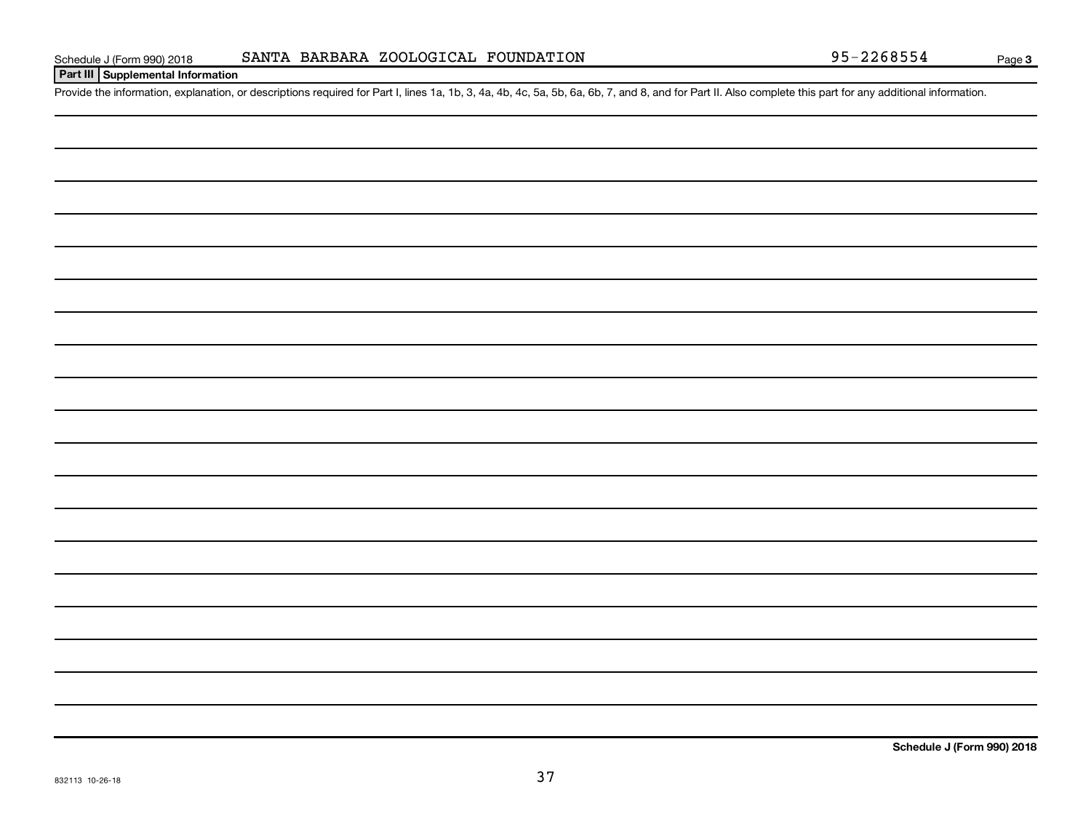## **Part III Supplemental Information**

Provide the information, explanation, or descriptions required for Part I, lines 1a, 1b, 3, 4a, 4b, 4c, 5a, 5b, 6a, 6b, 7, and 8, and for Part II. Also complete this part for any additional information.

**Schedule J (Form 990) 2018**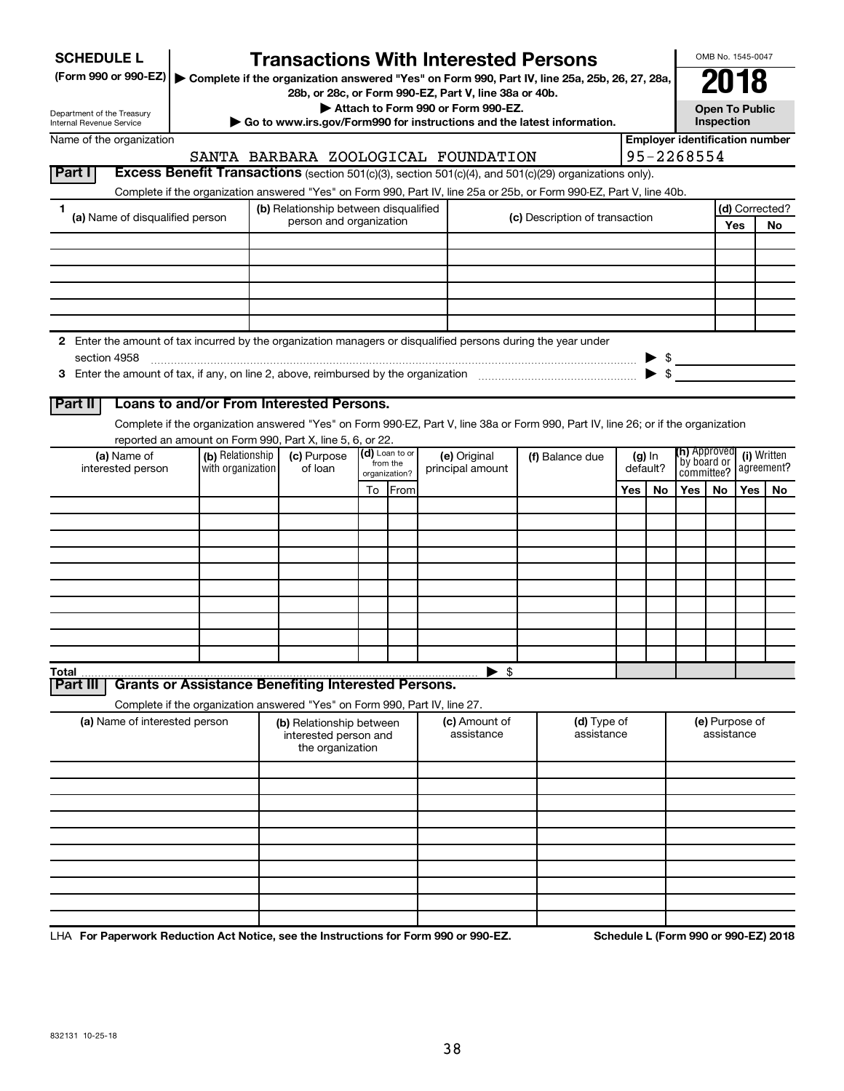| <b>SCHEDULE L</b><br>(Form 990 or 990-EZ)<br>Department of the Treasury<br><b>Internal Revenue Service</b>    |                                       |  |                                                                            |    |                                             | <b>Transactions With Interested Persons</b><br>▶ Complete if the organization answered "Yes" on Form 990, Part IV, line 25a, 25b, 26, 27, 28a,<br>28b, or 28c, or Form 990-EZ, Part V, line 38a or 40b.<br>Attach to Form 990 or Form 990-EZ.<br>Go to www.irs.gov/Form990 for instructions and the latest information. |  |                                |                      |    |                                                                                | OMB No. 1545-0047<br><b>Open To Public</b><br><b>Inspection</b> |     |                                       |
|---------------------------------------------------------------------------------------------------------------|---------------------------------------|--|----------------------------------------------------------------------------|----|---------------------------------------------|-------------------------------------------------------------------------------------------------------------------------------------------------------------------------------------------------------------------------------------------------------------------------------------------------------------------------|--|--------------------------------|----------------------|----|--------------------------------------------------------------------------------|-----------------------------------------------------------------|-----|---------------------------------------|
| Name of the organization                                                                                      |                                       |  |                                                                            |    |                                             |                                                                                                                                                                                                                                                                                                                         |  |                                |                      |    |                                                                                |                                                                 |     | <b>Employer identification number</b> |
|                                                                                                               |                                       |  |                                                                            |    |                                             | SANTA BARBARA ZOOLOGICAL FOUNDATION                                                                                                                                                                                                                                                                                     |  |                                |                      |    | 95-2268554                                                                     |                                                                 |     |                                       |
| Part I                                                                                                        |                                       |  |                                                                            |    |                                             | Excess Benefit Transactions (section 501(c)(3), section 501(c)(4), and 501(c)(29) organizations only).                                                                                                                                                                                                                  |  |                                |                      |    |                                                                                |                                                                 |     |                                       |
|                                                                                                               |                                       |  |                                                                            |    |                                             | Complete if the organization answered "Yes" on Form 990, Part IV, line 25a or 25b, or Form 990-EZ, Part V, line 40b.                                                                                                                                                                                                    |  |                                |                      |    |                                                                                |                                                                 |     |                                       |
| 1<br>(a) Name of disqualified person                                                                          |                                       |  | (b) Relationship between disqualified<br>person and organization           |    |                                             |                                                                                                                                                                                                                                                                                                                         |  | (c) Description of transaction |                      |    |                                                                                |                                                                 | Yes | (d) Corrected?<br>No                  |
|                                                                                                               |                                       |  |                                                                            |    |                                             |                                                                                                                                                                                                                                                                                                                         |  |                                |                      |    |                                                                                |                                                                 |     |                                       |
|                                                                                                               |                                       |  |                                                                            |    |                                             |                                                                                                                                                                                                                                                                                                                         |  |                                |                      |    |                                                                                |                                                                 |     |                                       |
|                                                                                                               |                                       |  |                                                                            |    |                                             |                                                                                                                                                                                                                                                                                                                         |  |                                |                      |    |                                                                                |                                                                 |     |                                       |
| 2 Enter the amount of tax incurred by the organization managers or disqualified persons during the year under |                                       |  |                                                                            |    |                                             |                                                                                                                                                                                                                                                                                                                         |  |                                |                      |    |                                                                                |                                                                 |     |                                       |
| section 4958                                                                                                  |                                       |  |                                                                            |    |                                             |                                                                                                                                                                                                                                                                                                                         |  |                                |                      |    | $\triangleright$ \$                                                            |                                                                 |     |                                       |
|                                                                                                               |                                       |  |                                                                            |    |                                             |                                                                                                                                                                                                                                                                                                                         |  |                                |                      |    |                                                                                |                                                                 |     |                                       |
| Part II                                                                                                       |                                       |  | Loans to and/or From Interested Persons.                                   |    |                                             |                                                                                                                                                                                                                                                                                                                         |  |                                |                      |    |                                                                                |                                                                 |     |                                       |
|                                                                                                               |                                       |  | reported an amount on Form 990, Part X, line 5, 6, or 22.                  |    |                                             | Complete if the organization answered "Yes" on Form 990-EZ, Part V, line 38a or Form 990, Part IV, line 26; or if the organization                                                                                                                                                                                      |  |                                |                      |    |                                                                                |                                                                 |     |                                       |
| (a) Name of<br>interested person                                                                              | (b) Relationship<br>with organization |  | (c) Purpose<br>of loan                                                     |    | (d) Loan to or<br>from the<br>organization? | (e) Original<br>principal amount                                                                                                                                                                                                                                                                                        |  | (f) Balance due                | $(g)$ In<br>default? |    | <b>(h)</b> Approved<br>(i) Written<br>`by board or<br>agreement?<br>committee? |                                                                 |     |                                       |
|                                                                                                               |                                       |  |                                                                            | To | From                                        |                                                                                                                                                                                                                                                                                                                         |  |                                | Yes                  | No | Yes                                                                            | No                                                              | Yes | No.                                   |
|                                                                                                               |                                       |  |                                                                            |    |                                             |                                                                                                                                                                                                                                                                                                                         |  |                                |                      |    |                                                                                |                                                                 |     |                                       |
|                                                                                                               |                                       |  |                                                                            |    |                                             |                                                                                                                                                                                                                                                                                                                         |  |                                |                      |    |                                                                                |                                                                 |     |                                       |
|                                                                                                               |                                       |  |                                                                            |    |                                             |                                                                                                                                                                                                                                                                                                                         |  |                                |                      |    |                                                                                |                                                                 |     |                                       |
|                                                                                                               |                                       |  |                                                                            |    |                                             |                                                                                                                                                                                                                                                                                                                         |  |                                |                      |    |                                                                                |                                                                 |     |                                       |
|                                                                                                               |                                       |  |                                                                            |    |                                             |                                                                                                                                                                                                                                                                                                                         |  |                                |                      |    |                                                                                |                                                                 |     |                                       |
|                                                                                                               |                                       |  |                                                                            |    |                                             |                                                                                                                                                                                                                                                                                                                         |  |                                |                      |    |                                                                                |                                                                 |     |                                       |
|                                                                                                               |                                       |  |                                                                            |    |                                             |                                                                                                                                                                                                                                                                                                                         |  |                                |                      |    |                                                                                |                                                                 |     |                                       |
| Total<br>Part II                                                                                              |                                       |  | <b>Grants or Assistance Benefiting Interested Persons.</b>                 |    |                                             | -\$                                                                                                                                                                                                                                                                                                                     |  |                                |                      |    |                                                                                |                                                                 |     |                                       |
|                                                                                                               |                                       |  | Complete if the organization answered "Yes" on Form 990, Part IV, line 27. |    |                                             |                                                                                                                                                                                                                                                                                                                         |  |                                |                      |    |                                                                                |                                                                 |     |                                       |
|                                                                                                               | (a) Name of interested person         |  | (b) Relationship between<br>interested person and<br>the organization      |    |                                             | (c) Amount of<br>assistance                                                                                                                                                                                                                                                                                             |  | (d) Type of<br>assistance      |                      |    |                                                                                | (e) Purpose of<br>assistance                                    |     |                                       |
|                                                                                                               |                                       |  |                                                                            |    |                                             |                                                                                                                                                                                                                                                                                                                         |  |                                |                      |    |                                                                                |                                                                 |     |                                       |
|                                                                                                               |                                       |  |                                                                            |    |                                             |                                                                                                                                                                                                                                                                                                                         |  |                                |                      |    |                                                                                |                                                                 |     |                                       |
|                                                                                                               |                                       |  |                                                                            |    |                                             |                                                                                                                                                                                                                                                                                                                         |  |                                |                      |    |                                                                                |                                                                 |     |                                       |
|                                                                                                               |                                       |  |                                                                            |    |                                             |                                                                                                                                                                                                                                                                                                                         |  |                                |                      |    |                                                                                |                                                                 |     |                                       |
|                                                                                                               |                                       |  |                                                                            |    |                                             |                                                                                                                                                                                                                                                                                                                         |  |                                |                      |    |                                                                                |                                                                 |     |                                       |
|                                                                                                               |                                       |  |                                                                            |    |                                             |                                                                                                                                                                                                                                                                                                                         |  |                                |                      |    |                                                                                |                                                                 |     |                                       |
|                                                                                                               |                                       |  |                                                                            |    |                                             |                                                                                                                                                                                                                                                                                                                         |  |                                |                      |    |                                                                                |                                                                 |     |                                       |

LHA For Paperwork Reduction Act Notice, see the Instructions for Form 990 or 990-EZ. Schedule L (Form 990 or 990-EZ) 2018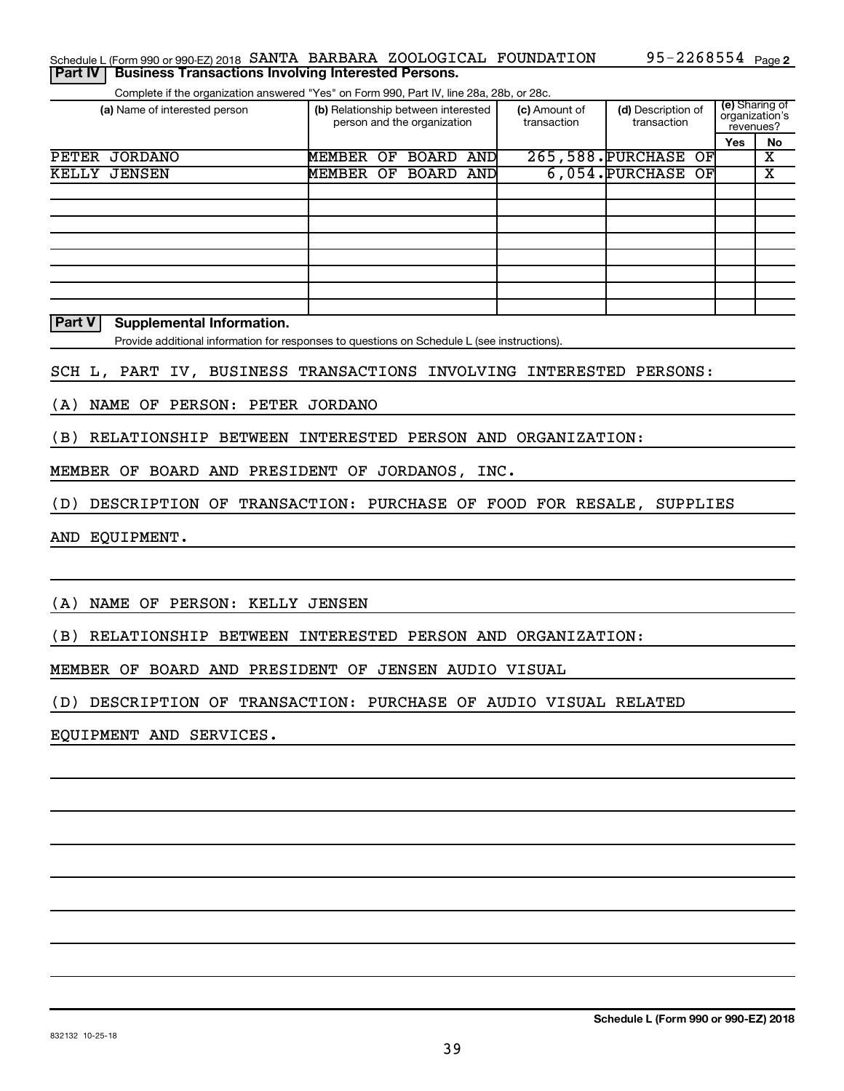|  | Schedule L (Form 990 or 990-EZ) 2018 SANTA BARBARA ZOOLOGICAL FOUNDATION<br><b>Part IV   Business Transactions Involving Interested Persons.</b> |  |  | 95-2268554 <sub>Page 2</sub> |  |
|--|--------------------------------------------------------------------------------------------------------------------------------------------------|--|--|------------------------------|--|
|  |                                                                                                                                                  |  |  |                              |  |

Complete if the organization answered "Yes" on Form 990, Part IV, line 28a, 28b, or 28c.

| (a) Name of interested person  | (b) Relationship between interested<br>person and the organization |    |           |     | (c) Amount of<br>transaction | (d) Description of<br>transaction | (e) Sharing of<br>organization's<br>revenues? |    |
|--------------------------------|--------------------------------------------------------------------|----|-----------|-----|------------------------------|-----------------------------------|-----------------------------------------------|----|
|                                |                                                                    |    |           |     |                              |                                   | Yes                                           | No |
| <b>PETER</b><br><b>JORDANO</b> | MEMBER                                                             | OF | BOARD     | AND |                              | 265,588. PURCHASE<br>OF           |                                               | х  |
| KELLY JENSEN                   | MEMBER OF                                                          |    | BOARD AND |     |                              | 6,054. PURCHASE OF                |                                               | х  |
|                                |                                                                    |    |           |     |                              |                                   |                                               |    |
|                                |                                                                    |    |           |     |                              |                                   |                                               |    |
|                                |                                                                    |    |           |     |                              |                                   |                                               |    |
|                                |                                                                    |    |           |     |                              |                                   |                                               |    |
|                                |                                                                    |    |           |     |                              |                                   |                                               |    |
|                                |                                                                    |    |           |     |                              |                                   |                                               |    |
|                                |                                                                    |    |           |     |                              |                                   |                                               |    |
|                                |                                                                    |    |           |     |                              |                                   |                                               |    |

**Part V** Supplemental Information.

Provide additional information for responses to questions on Schedule L (see instructions).

SCH L, PART IV, BUSINESS TRANSACTIONS INVOLVING INTERESTED PERSONS:

(A) NAME OF PERSON: PETER JORDANO

(B) RELATIONSHIP BETWEEN INTERESTED PERSON AND ORGANIZATION:

MEMBER OF BOARD AND PRESIDENT OF JORDANOS, INC.

(D) DESCRIPTION OF TRANSACTION: PURCHASE OF FOOD FOR RESALE, SUPPLIES

AND EQUIPMENT.

(A) NAME OF PERSON: KELLY JENSEN

(B) RELATIONSHIP BETWEEN INTERESTED PERSON AND ORGANIZATION:

MEMBER OF BOARD AND PRESIDENT OF JENSEN AUDIO VISUAL

(D) DESCRIPTION OF TRANSACTION: PURCHASE OF AUDIO VISUAL RELATED

EQUIPMENT AND SERVICES.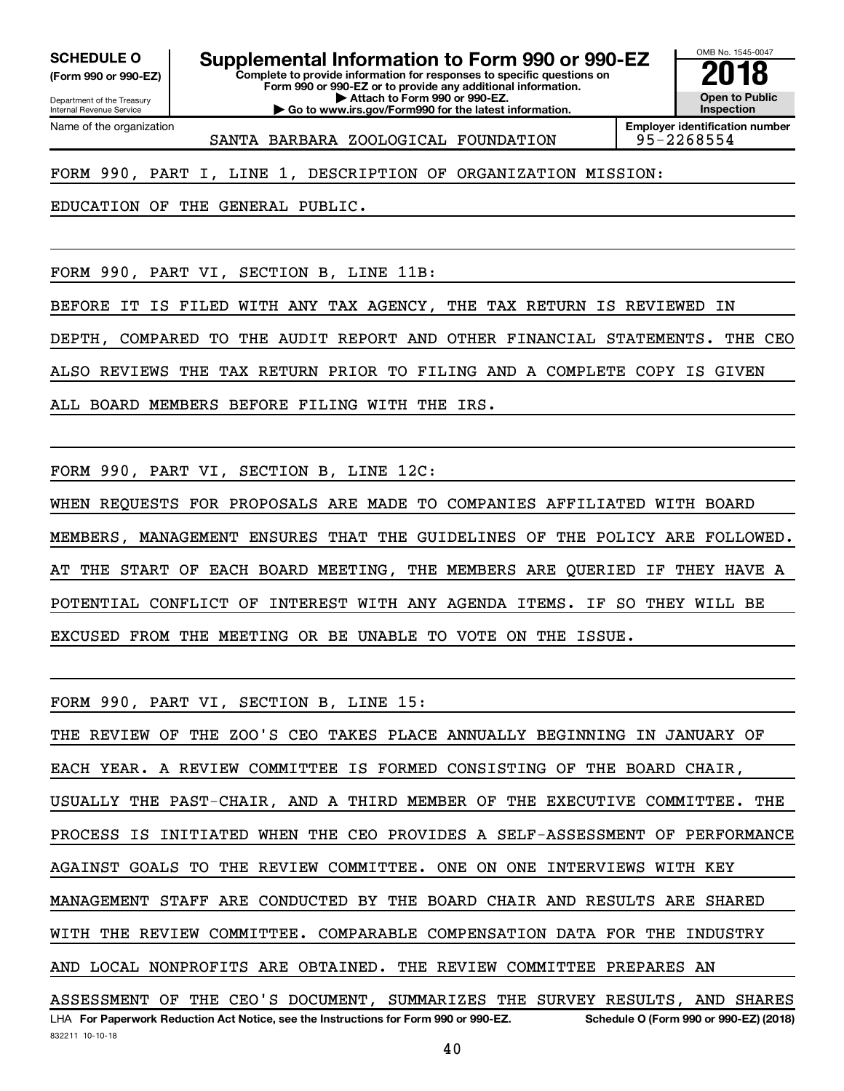**(Form 990 or 990-EZ)**

**SCHEDULE O Supplemental Information to Form 990 or 990-EZ 2018**

Department of the Treasury Internal Revenue Service Name of the organization

832211 10-10-18

**Complete to provide information for responses to specific questions on Form 990 or 990-EZ or to provide any additional information. | Attach to Form 990 or 990-EZ.**

**| Go to www.irs.gov/Form990 for the latest information.**

OMB No. 1545-0047 **Open to Public Inspection**

SANTA BARBARA ZOOLOGICAL FOUNDATION 95-2268554

**Employer identification number**

FORM 990, PART I, LINE 1, DESCRIPTION OF ORGANIZATION MISSION:

EDUCATION OF THE GENERAL PUBLIC.

FORM 990, PART VI, SECTION B, LINE 11B:

BEFORE IT IS FILED WITH ANY TAX AGENCY, THE TAX RETURN IS REVIEWED IN

DEPTH, COMPARED TO THE AUDIT REPORT AND OTHER FINANCIAL STATEMENTS. THE CEO

ALSO REVIEWS THE TAX RETURN PRIOR TO FILING AND A COMPLETE COPY IS GIVEN

ALL BOARD MEMBERS BEFORE FILING WITH THE IRS.

FORM 990, PART VI, SECTION B, LINE 12C:

WHEN REQUESTS FOR PROPOSALS ARE MADE TO COMPANIES AFFILIATED WITH BOARD MEMBERS, MANAGEMENT ENSURES THAT THE GUIDELINES OF THE POLICY ARE FOLLOWED. AT THE START OF EACH BOARD MEETING, THE MEMBERS ARE QUERIED IF THEY HAVE A POTENTIAL CONFLICT OF INTEREST WITH ANY AGENDA ITEMS. IF SO THEY WILL BE EXCUSED FROM THE MEETING OR BE UNABLE TO VOTE ON THE ISSUE.

FORM 990, PART VI, SECTION B, LINE 15:

LHA For Paperwork Reduction Act Notice, see the Instructions for Form 990 or 990-EZ. Schedule O (Form 990 or 990-EZ) (2018) THE REVIEW OF THE ZOO'S CEO TAKES PLACE ANNUALLY BEGINNING IN JANUARY OF EACH YEAR. A REVIEW COMMITTEE IS FORMED CONSISTING OF THE BOARD CHAIR, USUALLY THE PAST-CHAIR, AND A THIRD MEMBER OF THE EXECUTIVE COMMITTEE. THE PROCESS IS INITIATED WHEN THE CEO PROVIDES A SELF-ASSESSMENT OF PERFORMANCE AGAINST GOALS TO THE REVIEW COMMITTEE. ONE ON ONE INTERVIEWS WITH KEY MANAGEMENT STAFF ARE CONDUCTED BY THE BOARD CHAIR AND RESULTS ARE SHARED WITH THE REVIEW COMMITTEE. COMPARABLE COMPENSATION DATA FOR THE INDUSTRY AND LOCAL NONPROFITS ARE OBTAINED. THE REVIEW COMMITTEE PREPARES AN ASSESSMENT OF THE CEO'S DOCUMENT, SUMMARIZES THE SURVEY RESULTS, AND SHARES